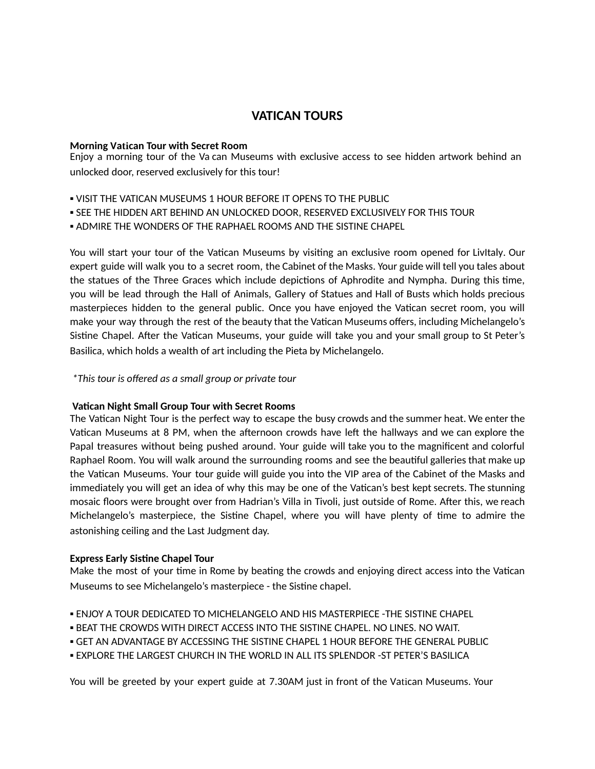# **VATICAN TOURS**

#### **Morning Vatican Tour with Secret Room**

Enjoy a morning tour of the Va can Museums with exclusive access to see hidden artwork behind an unlocked door, reserved exclusively for this tour!

- **.** VISIT THE VATICAN MUSEUMS 1 HOUR BEFORE IT OPENS TO THE PUBLIC
- SEE THE HIDDEN ART BEHIND AN UNLOCKED DOOR, RESERVED EXCLUSIVELY FOR THIS TOUR
- ADMIRE THE WONDERS OF THE RAPHAEL ROOMS AND THE SISTINE CHAPEL

You will start your tour of the Vatican Museums by visiting an exclusive room opened for LivItaly. Our expert guide will walk you to a secret room, the Cabinet of the Masks. Your guide will tell you tales about the statues of the Three Graces which include depictions of Aphrodite and Nympha. During this time, you will be lead through the Hall of Animals, Gallery of Statues and Hall of Busts which holds precious masterpieces hidden to the general public. Once you have enjoyed the Vatican secret room, you will make your way through the rest of the beauty that the Vatican Museums offers, including Michelangelo's Sistine Chapel. After the Vatican Museums, your guide will take you and your small group to St Peter's Basilica, which holds a wealth of art including the Pieta by Michelangelo.

*\* This tour is offered as a small group or private tour*

## **Vatican Night Small Group Tour with Secret Rooms**

The Vatican Night Tour is the perfect way to escape the busy crowds and the summer heat. We enter the Vatican Museums at 8 PM, when the afternoon crowds have left the hallways and we can explore the Papal treasures without being pushed around. Your guide will take you to the magnificent and colorful Raphael Room. You will walk around the surrounding rooms and see the beautiful galleries that make up the Vatican Museums. Your tour guide will guide you into the VIP area of the Cabinet of the Masks and immediately you will get an idea of why this may be one of the Vatican's best kept secrets. The stunning mosaic floors were brought over from Hadrian's Villa in Tivoli, just outside of Rome. After this, we reach Michelangelo's masterpiece, the Sistine Chapel, where you will have plenty of time to admire the astonishing ceiling and the Last Judgment day.

## **Express Early Sistine Chapel Tour**

Make the most of your time in Rome by beating the crowds and enjoying direct access into the Vatican Museums to see Michelangelo's masterpiece - the Sistine chapel.

- **. ENJOY A TOUR DEDICATED TO MICHELANGELO AND HIS MASTERPIECE -THE SISTINE CHAPEL**
- **.** BEAT THE CROWDS WITH DIRECT ACCESS INTO THE SISTINE CHAPEL. NO LINES. NO WAIT.
- GET AN ADVANTAGE BY ACCESSING THE SISTINE CHAPEL 1 HOUR BEFORE THE GENERAL PUBLIC
- EXPLORE THE LARGEST CHURCH IN THE WORLD IN ALL ITS SPLENDOR -ST PETER'S BASILICA

You will be greeted by your expert guide at 7.30AM just in front of the Vatican Museums. Your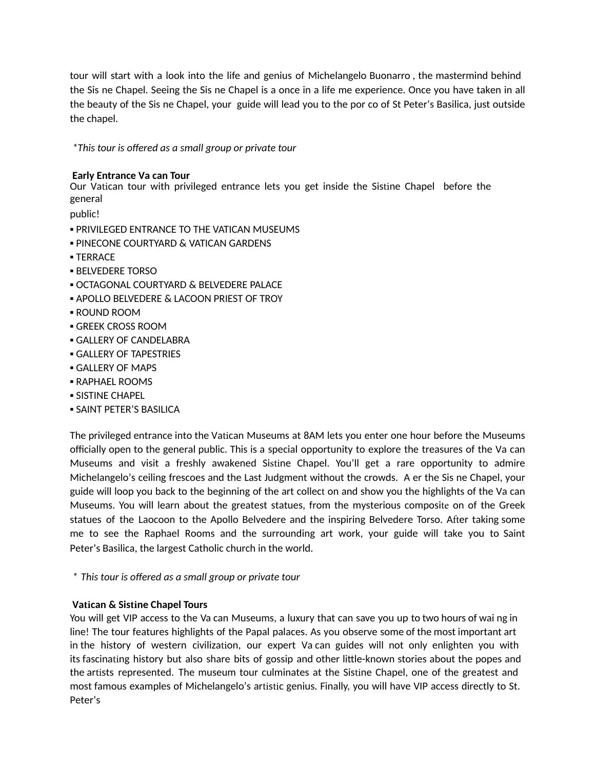tour will start with a look into the life and genius of Michelangelo Buonarro , the mastermind behind the Sis ne Chapel. Seeing the Sis ne Chapel is a once in a life me experience. Once you have taken in all the beauty of the Sis ne Chapel, your guide will lead you to the por co of St Peter's Basilica, just outside the chapel.

*\* This tour is offered as a small group or private tour*

# **Early Entrance Va can Tour**

Our Vatican tour with privileged entrance lets you get inside the Sistine Chapel before the general

public!

- **. PRIVILEGED ENTRANCE TO THE VATICAN MUSEUMS**
- **. PINECONE COURTYARD & VATICAN GARDENS**
- TERRACE
- **BELVEDERE TORSO**
- **OCTAGONAL COURTYARD & BELVEDERE PALACE**
- **. APOLLO BELVEDERE & LACOON PRIEST OF TROY**
- ROUND ROOM
- **GREEK CROSS ROOM**
- **GALLERY OF CANDELABRA**
- **GALLERY OF TAPESTRIES**
- **GALLERY OF MAPS**
- **RAPHAEL ROOMS**
- **SISTINE CHAPEL**
- **SAINT PETER'S BASILICA**

The privileged entrance into the Vatican Museums at 8AM lets you enter one hour before the Museums officially open to the general public. This is a special opportunity to explore the treasures of the Va can Museums and visit a freshly awakened Sistine Chapel. You'll get a rare opportunity to admire Michelangelo's ceiling frescoes and the Last Judgment without the crowds. A er the Sis ne Chapel, your guide will loop you back to the beginning of the art collect on and show you the highlights of the Va can Museums. You will learn about the greatest statues, from the mysterious composite on of the Greek statues of the Laocoon to the Apollo Belvedere and the inspiring Belvedere Torso. After taking some me to see the Raphael Rooms and the surrounding art work, your guide will take you to Saint Peter's Basilica, the largest Catholic church in the world.

*\* This tour is offered as a small group or private tour*

## **Vatican & Sistine Chapel Tours**

You will get VIP access to the Va can Museums, a luxury that can save you up to two hours of wai ng in line! The tour features highlights of the Papal palaces. As you observe some of the most important art in the history of western civilization, our expert Va can guides will not only enlighten you with its fascinating history but also share bits of gossip and other little-known stories about the popes and the artists represented. The museum tour culminates at the Sistine Chapel, one of the greatest and most famous examples of Michelangelo's artistic genius. Finally, you will have VIP access directly to St. Peter's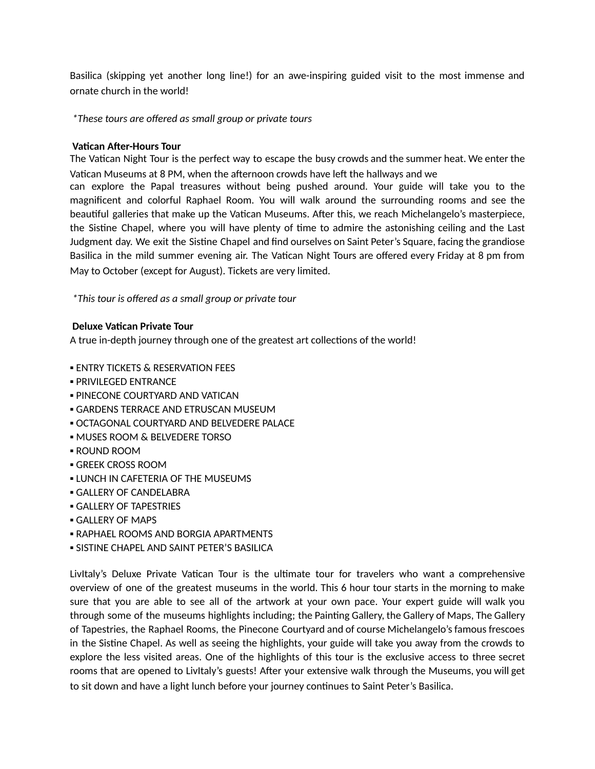Basilica (skipping yet another long line!) for an awe-inspiring guided visit to the most immense and ornate church in the world!

*\* These tours are offered as small group or private tours*

#### **Vatican After-Hours Tour**

The Vatican Night Tour is the perfect way to escape the busy crowds and the summer heat. We enter the Vatican Museums at 8 PM, when the afternoon crowds have left the hallways and we

can explore the Papal treasures without being pushed around. Your guide will take you to the magnificent and colorful Raphael Room. You will walk around the surrounding rooms and see the beautiful galleries that make up the Vatican Museums. After this, we reach Michelangelo's masterpiece, the Sistine Chapel, where you will have plenty of time to admire the astonishing ceiling and the Last Judgment day. We exit the Sistine Chapel and find ourselves on Saint Peter's Square, facing the grandiose Basilica in the mild summer evening air. The Vatican Night Tours are offered every Friday at 8 pm from May to October (except for August). Tickets are very limited.

*\* This tour is offered as a small group or private tour*

#### **Deluxe Vatican Private Tour**

A true in-depth journey through one of the greatest art collections of the world!

- **ENTRY TICKETS & RESERVATION FEES**
- **PRIVILEGED ENTRANCE**
- **. PINECONE COURTYARD AND VATICAN**
- **GARDENS TERRACE AND ETRUSCAN MUSEUM**
- **. OCTAGONAL COURTYARD AND BELVEDERE PALACE**
- **. MUSES ROOM & BELVEDERE TORSO**
- ROUND ROOM
- **GREEK CROSS ROOM**
- **. LUNCH IN CAFETERIA OF THE MUSEUMS**
- **GALLERY OF CANDELABRA**
- **GALLERY OF TAPESTRIES**
- GALLERY OF MAPS
- **. RAPHAEL ROOMS AND BORGIA APARTMENTS**
- **.** SISTINE CHAPEL AND SAINT PETER'S BASILICA

Livitaly's Deluxe Private Vatican Tour is the ultimate tour for travelers who want a comprehensive overview of one of the greatest museums in the world. This 6 hour tour starts in the morning to make sure that you are able to see all of the artwork at your own pace. Your expert guide will walk you through some of the museums highlights including; the Painting Gallery, the Gallery of Maps, The Gallery of Tapestries, the Raphael Rooms, the Pinecone Courtyard and of course Michelangelo's famous frescoes in the Sistine Chapel. As well as seeing the highlights, your guide will take you away from the crowds to explore the less visited areas. One of the highlights of this tour is the exclusive access to three secret rooms that are opened to LivItaly's guests! After your extensive walk through the Museums, you will get to sit down and have a light lunch before your journey continues to Saint Peter's Basilica.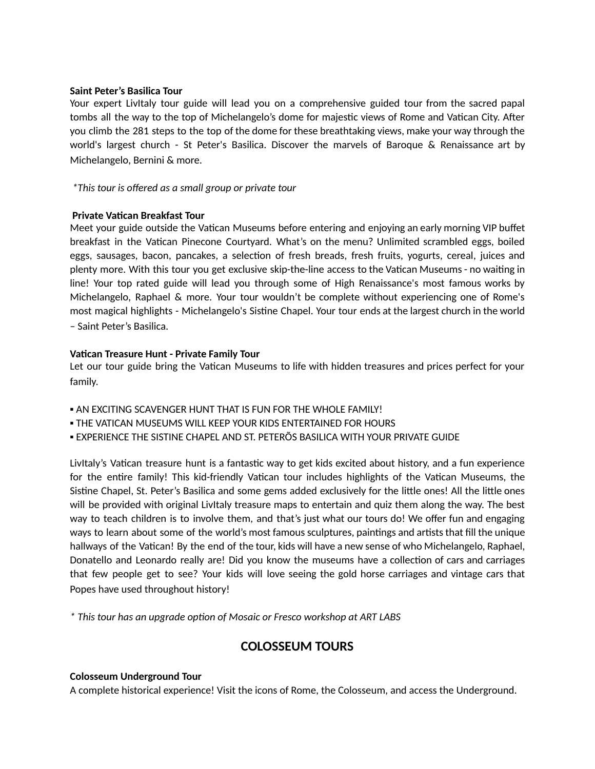#### **Saint Peter's Basilica Tour**

Your expert LivItaly tour guide will lead you on a comprehensive guided tour from the sacred papal tombs all the way to the top of Michelangelo's dome for majestic views of Rome and Vatican City. After you climb the 281 steps to the top of the dome for these breathtaking views, make your way through the world's largest church - St Peter's Basilica. Discover the marvels of Baroque & Renaissance art by Michelangelo, Bernini & more.

*\*This tour is offered as a small group or private tour*

## **Private Vatican Breakfast Tour**

Meet your guide outside the Vatican Museums before entering and enjoying an early morning VIP buffet breakfast in the Vatican Pinecone Courtyard. What's on the menu? Unlimited scrambled eggs, boiled eggs, sausages, bacon, pancakes, a selection of fresh breads, fresh fruits, yogurts, cereal, juices and plenty more. With this tour you get exclusive skip-the-line access to the Vatican Museums - no waiting in line! Your top rated guide will lead you through some of High Renaissance's most famous works by Michelangelo, Raphael & more. Your tour wouldn't be complete without experiencing one of Rome's most magical highlights - Michelangelo's Sistine Chapel. Your tour ends at the largest church in the world – Saint Peter's Basilica.

#### **Vacan Treasure Hunt - Private Family Tour**

Let our tour guide bring the Vatican Museums to life with hidden treasures and prices perfect for your family.

- **. AN EXCITING SCAVENGER HUNT THAT IS FUN FOR THE WHOLE FAMILY!**
- **. THE VATICAN MUSEUMS WILL KEEP YOUR KIDS ENTERTAINED FOR HOURS**
- **EXPERIENCE THE SISTINE CHAPEL AND ST. PETERÖS BASILICA WITH YOUR PRIVATE GUIDE**

LivItaly's Vatican treasure hunt is a fantastic way to get kids excited about history, and a fun experience for the entire family! This kid-friendly Vatican tour includes highlights of the Vatican Museums, the Sistine Chapel, St. Peter's Basilica and some gems added exclusively for the little ones! All the little ones will be provided with original LivItaly treasure maps to entertain and quiz them along the way. The best way to teach children is to involve them, and that's just what our tours do! We offer fun and engaging ways to learn about some of the world's most famous sculptures, paintings and artists that fill the unique hallways of the Vatican! By the end of the tour, kids will have a new sense of who Michelangelo, Raphael, Donatello and Leonardo really are! Did you know the museums have a collection of cars and carriages that few people get to see? Your kids will love seeing the gold horse carriages and vintage cars that Popes have used throughout history!

*\* This tour has an upgrade opon of Mosaic or Fresco workshop at ART LABS*

# **COLOSSEUM TOURS**

#### **Colosseum Underground Tour**

A complete historical experience! Visit the icons of Rome, the Colosseum, and access the Underground.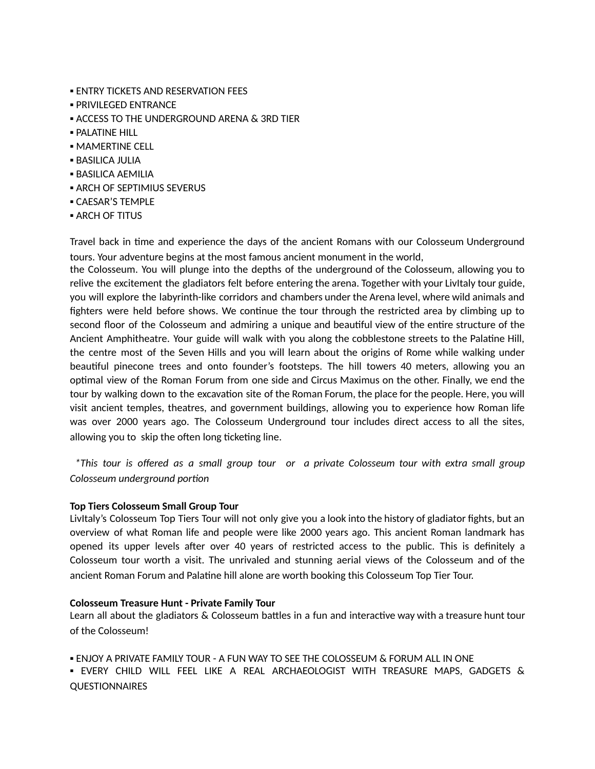- **ENTRY TICKETS AND RESERVATION FEES**
- PRIVILEGED ENTRANCE
- **E ACCESS TO THE UNDERGROUND ARENA & 3RD TIER**
- **PALATINE HILL**
- **MAMERTINE CELL**
- **BASILICA JULIA**
- BASILICA AEMILIA
- **ARCH OF SEPTIMIUS SEVERUS**
- CAESAR'S TEMPLE
- **E ARCH OF TITUS**

Travel back in time and experience the days of the ancient Romans with our Colosseum Underground tours. Your adventure begins at the most famous ancient monument in the world,

the Colosseum. You will plunge into the depths of the underground of the Colosseum, allowing you to relive the excitement the gladiators felt before entering the arena. Together with your LivItaly tour guide, you will explore the labyrinth-like corridors and chambers under the Arena level, where wild animals and fighters were held before shows. We continue the tour through the restricted area by climbing up to second floor of the Colosseum and admiring a unique and beautiful view of the entire structure of the Ancient Amphitheatre. Your guide will walk with you along the cobblestone streets to the Palatine Hill, the centre most of the Seven Hills and you will learn about the origins of Rome while walking under beautiful pinecone trees and onto founder's footsteps. The hill towers 40 meters, allowing you an optimal view of the Roman Forum from one side and Circus Maximus on the other. Finally, we end the tour by walking down to the excavation site of the Roman Forum, the place for the people. Here, you will visit ancient temples, theatres, and government buildings, allowing you to experience how Roman life was over 2000 years ago. The Colosseum Underground tour includes direct access to all the sites, allowing you to skip the often long ticketing line.

*\* This tour is offered as a small group tour or a private Colosseum tour with extra small group Colosseum underground portion* 

#### **Top Tiers Colosseum Small Group Tour**

LivItaly's Colosseum Top Tiers Tour will not only give you a look into the history of gladiator fights, but an overview of what Roman life and people were like 2000 years ago. This ancient Roman landmark has opened its upper levels after over 40 years of restricted access to the public. This is definitely a Colosseum tour worth a visit. The unrivaled and stunning aerial views of the Colosseum and of the ancient Roman Forum and Palatine hill alone are worth booking this Colosseum Top Tier Tour.

#### **Colosseum Treasure Hunt - Private Family Tour**

Learn all about the gladiators & Colosseum battles in a fun and interactive way with a treasure hunt tour of the Colosseum!

▪ ENJOY A PRIVATE FAMILY TOUR - A FUN WAY TO SEE THE COLOSSEUM & FORUM ALL IN ONE

▪ EVERY CHILD WILL FEEL LIKE A REAL ARCHAEOLOGIST WITH TREASURE MAPS, GADGETS & QUESTIONNAIRES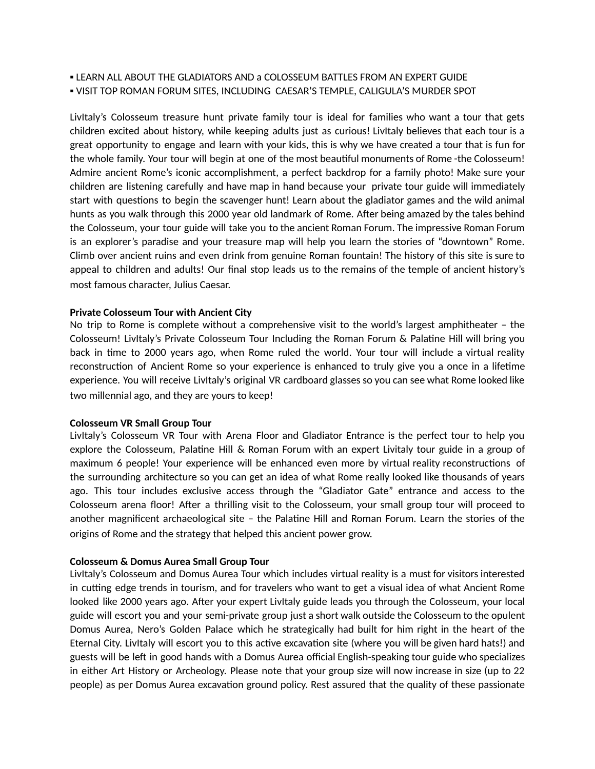**ELEARN ALL ABOUT THE GLADIATORS AND a COLOSSEUM BATTLES FROM AN EXPERT GUIDE** 

▪ VISIT TOP ROMAN FORUM SITES, INCLUDING CAESAR'S TEMPLE, CALIGULA'S MURDER SPOT

LivItaly's Colosseum treasure hunt private family tour is ideal for families who want a tour that gets children excited about history, while keeping adults just as curious! LivItaly believes that each tour is a great opportunity to engage and learn with your kids, this is why we have created a tour that is fun for the whole family. Your tour will begin at one of the most beautiful monuments of Rome -the Colosseum! Admire ancient Rome's iconic accomplishment, a perfect backdrop for a family photo! Make sure your children are listening carefully and have map in hand because your private tour guide will immediately start with questions to begin the scavenger hunt! Learn about the gladiator games and the wild animal hunts as you walk through this 2000 year old landmark of Rome. After being amazed by the tales behind the Colosseum, your tour guide will take you to the ancient Roman Forum. The impressive Roman Forum is an explorer's paradise and your treasure map will help you learn the stories of "downtown" Rome. Climb over ancient ruins and even drink from genuine Roman fountain! The history of this site is sure to appeal to children and adults! Our final stop leads us to the remains of the temple of ancient history's most famous character, Julius Caesar.

#### **Private Colosseum Tour with Ancient City**

No trip to Rome is complete without a comprehensive visit to the world's largest amphitheater – the Colosseum! Livitaly's Private Colosseum Tour Including the Roman Forum  $\&$  Palatine Hill will bring you back in time to 2000 years ago, when Rome ruled the world. Your tour will include a virtual reality reconstruction of Ancient Rome so your experience is enhanced to truly give you a once in a lifetime experience. You will receive LivItaly's original VR cardboard glasses so you can see what Rome looked like two millennial ago, and they are yours to keep!

#### **Colosseum VR Small Group Tour**

LivItaly's Colosseum VR Tour with Arena Floor and Gladiator Entrance is the perfect tour to help you explore the Colosseum, Palatine Hill & Roman Forum with an expert Livitaly tour guide in a group of maximum 6 people! Your experience will be enhanced even more by virtual reality reconstructions of the surrounding architecture so you can get an idea of what Rome really looked like thousands of years ago. This tour includes exclusive access through the "Gladiator Gate" entrance and access to the Colosseum arena floor! After a thrilling visit to the Colosseum, your small group tour will proceed to another magnificent archaeological site - the Palatine Hill and Roman Forum. Learn the stories of the origins of Rome and the strategy that helped this ancient power grow.

#### **Colosseum & Domus Aurea Small Group Tour**

LivItaly's Colosseum and Domus Aurea Tour which includes virtual reality is a must for visitors interested in cutting edge trends in tourism, and for travelers who want to get a visual idea of what Ancient Rome looked like 2000 years ago. After your expert LivItaly guide leads you through the Colosseum, your local guide will escort you and your semi-private group just a short walk outside the Colosseum to the opulent Domus Aurea, Nero's Golden Palace which he strategically had built for him right in the heart of the Eternal City. Livitaly will escort you to this active excavation site (where you will be given hard hats!) and guests will be left in good hands with a Domus Aurea official English-speaking tour guide who specializes in either Art History or Archeology. Please note that your group size will now increase in size (up to 22 people) as per Domus Aurea excavation ground policy. Rest assured that the quality of these passionate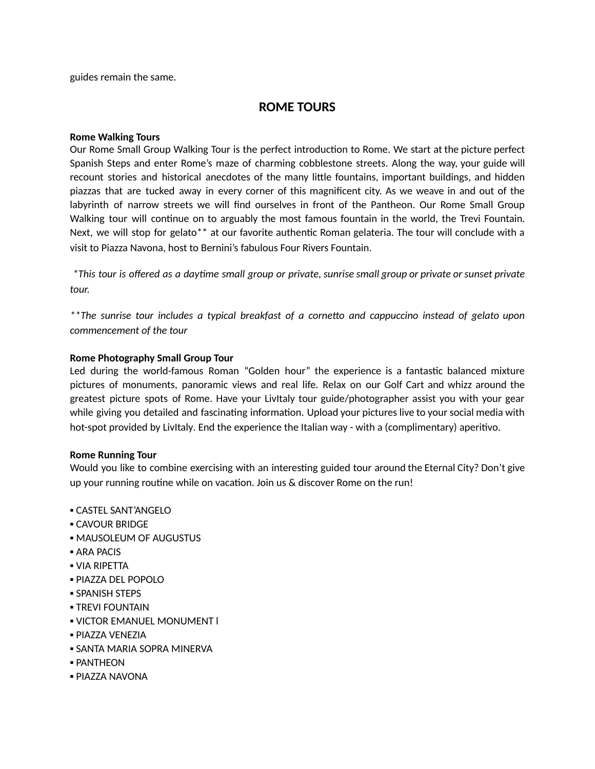guides remain the same.

# **ROME TOURS**

#### **Rome Walking Tours**

Our Rome Small Group Walking Tour is the perfect introduction to Rome. We start at the picture perfect Spanish Steps and enter Rome's maze of charming cobblestone streets. Along the way, your guide will recount stories and historical anecdotes of the many little fountains, important buildings, and hidden piazzas that are tucked away in every corner of this magnificent city. As we weave in and out of the labyrinth of narrow streets we will find ourselves in front of the Pantheon. Our Rome Small Group Walking tour will continue on to arguably the most famous fountain in the world, the Trevi Fountain. Next, we will stop for gelato\*\* at our favorite authentic Roman gelateria. The tour will conclude with a visit to Piazza Navona, host to Bernini's fabulous Four Rivers Fountain.

\*This tour is offered as a daytime small group or private, sunrise small group or private or sunset private *tour.*

*\*\*The sunrise tour includes a typical breakfast of a corneo and cappuccino instead of gelato upon commencement of the tour*

#### **Rome Photography Small Group Tour**

Led during the world-famous Roman "Golden hour" the experience is a fantastic balanced mixture pictures of monuments, panoramic views and real life. Relax on our Golf Cart and whizz around the greatest picture spots of Rome. Have your LivItaly tour guide/photographer assist you with your gear while giving you detailed and fascinating information. Upload your pictures live to your social media with hot-spot provided by LivItaly. End the experience the Italian way - with a (complimentary) aperitivo.

#### **Rome Running Tour**

Would you like to combine exercising with an interesting guided tour around the Eternal City? Don't give up your running routine while on vacation. Join us  $\&$  discover Rome on the run!

- CASTEL SANT'ANGELO
- **CAVOUR BRIDGE**
- **MAUSOLEUM OF AUGUSTUS**
- ARA PACIS
- VIA RIPETTA
- PIAZZA DEL POPOLO
- **SPANISH STEPS**
- **TREVI FOUNTAIN**
- **. VICTOR EMANUEL MONUMENT I**
- PIAZZA VENEZIA
- SANTA MARIA SOPRA MINERVA
- PANTHEON
- PIAZZA NAVONA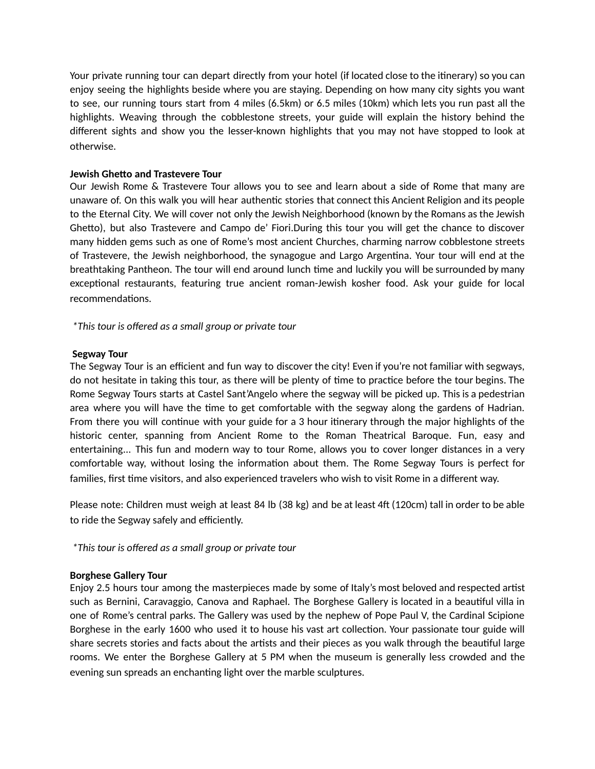Your private running tour can depart directly from your hotel (if located close to the itinerary) so you can enjoy seeing the highlights beside where you are staying. Depending on how many city sights you want to see, our running tours start from 4 miles (6.5km) or 6.5 miles (10km) which lets you run past all the highlights. Weaving through the cobblestone streets, your guide will explain the history behind the different sights and show you the lesser-known highlights that you may not have stopped to look at otherwise.

## **Jewish Gheo and Trastevere Tour**

Our Jewish Rome & Trastevere Tour allows you to see and learn about a side of Rome that many are unaware of. On this walk you will hear authentic stories that connect this Ancient Religion and its people to the Eternal City. We will cover not only the Jewish Neighborhood (known by the Romans as the Jewish Ghetto), but also Trastevere and Campo de' Fiori.During this tour you will get the chance to discover many hidden gems such as one of Rome's most ancient Churches, charming narrow cobblestone streets of Trastevere, the Jewish neighborhood, the synagogue and Largo Argentina. Your tour will end at the breathtaking Pantheon. The tour will end around lunch time and luckily you will be surrounded by many exceptional restaurants, featuring true ancient roman-Jewish kosher food. Ask your guide for local recommendations.

*\*This tour is offered as a small group or private tour*

# **Segway Tour**

The Segway Tour is an efficient and fun way to discover the city! Even if you're not familiar with segways, do not hesitate in taking this tour, as there will be plenty of time to practice before the tour begins. The Rome Segway Tours starts at Castel Sant'Angelo where the segway will be picked up. This is a pedestrian area where you will have the time to get comfortable with the segway along the gardens of Hadrian. From there you will continue with your guide for a 3 hour itinerary through the major highlights of the historic center, spanning from Ancient Rome to the Roman Theatrical Baroque. Fun, easy and entertaining... This fun and modern way to tour Rome, allows you to cover longer distances in a very comfortable way, without losing the information about them. The Rome Segway Tours is perfect for families, first time visitors, and also experienced travelers who wish to visit Rome in a different way.

Please note: Children must weigh at least 84 lb (38 kg) and be at least 4ft (120cm) tall in order to be able to ride the Segway safely and efficiently.

*\*This tour is offered as a small group or private tour*

# **Borghese Gallery Tour**

Enjoy 2.5 hours tour among the masterpieces made by some of Italy's most beloved and respected artist such as Bernini, Caravaggio, Canova and Raphael. The Borghese Gallery is located in a beautiful villa in one of Rome's central parks. The Gallery was used by the nephew of Pope Paul V, the Cardinal Scipione Borghese in the early 1600 who used it to house his vast art collection. Your passionate tour guide will share secrets stories and facts about the artists and their pieces as you walk through the beautiful large rooms. We enter the Borghese Gallery at 5 PM when the museum is generally less crowded and the evening sun spreads an enchanting light over the marble sculptures.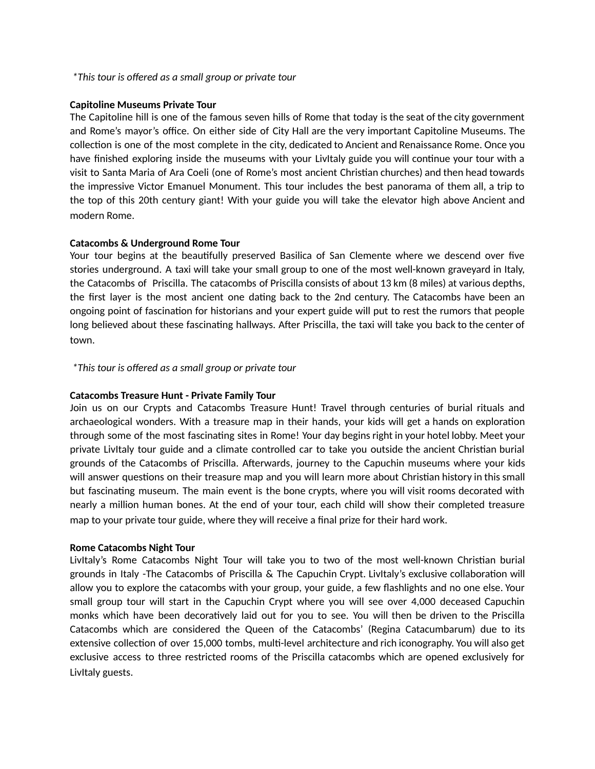#### *\*This tour is offered as a small group or private tour*

#### **Capitoline Museums Private Tour**

The Capitoline hill is one of the famous seven hills of Rome that today is the seat of the city government and Rome's mayor's office. On either side of City Hall are the very important Capitoline Museums. The collection is one of the most complete in the city, dedicated to Ancient and Renaissance Rome. Once you have finished exploring inside the museums with your LivItaly guide you will continue your tour with a visit to Santa Maria of Ara Coeli (one of Rome's most ancient Christian churches) and then head towards the impressive Victor Emanuel Monument. This tour includes the best panorama of them all, a trip to the top of this 20th century giant! With your guide you will take the elevator high above Ancient and modern Rome.

#### **Catacombs & Underground Rome Tour**

Your tour begins at the beautifully preserved Basilica of San Clemente where we descend over five stories underground. A taxi will take your small group to one of the most well-known graveyard in Italy, the Catacombs of Priscilla. The catacombs of Priscilla consists of about 13 km (8 miles) at various depths, the first layer is the most ancient one dating back to the 2nd century. The Catacombs have been an ongoing point of fascination for historians and your expert guide will put to rest the rumors that people long believed about these fascinating hallways. After Priscilla, the taxi will take you back to the center of town.

## *\*This tour is offered as a small group or private tour*

#### **Catacombs Treasure Hunt - Private Family Tour**

Join us on our Crypts and Catacombs Treasure Hunt! Travel through centuries of burial rituals and archaeological wonders. With a treasure map in their hands, your kids will get a hands on exploration through some of the most fascinating sites in Rome! Your day begins right in your hotel lobby. Meet your private LivItaly tour guide and a climate controlled car to take you outside the ancient Christian burial grounds of the Catacombs of Priscilla. Afterwards, journey to the Capuchin museums where your kids will answer questions on their treasure map and you will learn more about Christian history in this small but fascinating museum. The main event is the bone crypts, where you will visit rooms decorated with nearly a million human bones. At the end of your tour, each child will show their completed treasure map to your private tour guide, where they will receive a final prize for their hard work.

#### **Rome Catacombs Night Tour**

LivItaly's Rome Catacombs Night Tour will take you to two of the most well-known Christian burial grounds in Italy -The Catacombs of Priscilla  $\&$  The Capuchin Crypt. Livitaly's exclusive collaboration will allow you to explore the catacombs with your group, your guide, a few flashlights and no one else. Your small group tour will start in the Capuchin Crypt where you will see over 4,000 deceased Capuchin monks which have been decoratively laid out for you to see. You will then be driven to the Priscilla Catacombs which are considered the Queen of the Catacombs' (Regina Catacumbarum) due to its extensive collection of over 15,000 tombs, multi-level architecture and rich iconography. You will also get exclusive access to three restricted rooms of the Priscilla catacombs which are opened exclusively for LivItaly guests.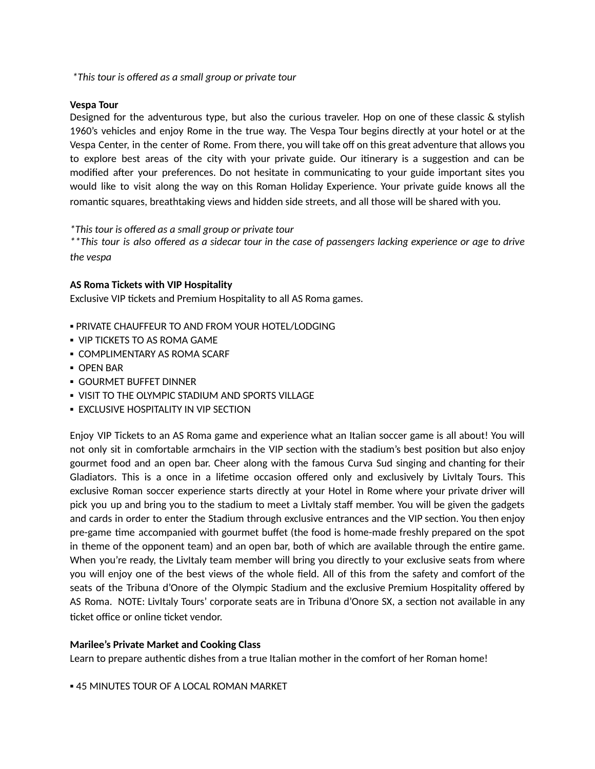*\* This tour is offered as a small group or private tour*

#### **Vespa Tour**

Designed for the adventurous type, but also the curious traveler. Hop on one of these classic & stylish 1960's vehicles and enjoy Rome in the true way. The Vespa Tour begins directly at your hotel or at the Vespa Center, in the center of Rome. From there, you will take off on this great adventure that allows you to explore best areas of the city with your private guide. Our itinerary is a suggestion and can be modified after your preferences. Do not hesitate in communicating to your guide important sites you would like to visit along the way on this Roman Holiday Experience. Your private guide knows all the romantic squares, breathtaking views and hidden side streets, and all those will be shared with you.

#### *\* This tour is offered as a small group or private tour*

*\*\* This tour is also offered as a sidecar tour in the case of passengers lacking experience or age to drive the vespa* 

#### **AS Roma Tickets with VIP Hospitality**

Exclusive VIP tickets and Premium Hospitality to all AS Roma games.

- **. PRIVATE CHAUFFEUR TO AND FROM YOUR HOTEL/LODGING**
- **VIP TICKETS TO AS ROMA GAME**
- **COMPLIMENTARY AS ROMA SCARF**
- OPEN BAR
- **GOURMET BUFFET DINNER**
- **.** VISIT TO THE OLYMPIC STADIUM AND SPORTS VILLAGE
- **EXCLUSIVE HOSPITALITY IN VIP SECTION**

Enjoy VIP Tickets to an AS Roma game and experience what an Italian soccer game is all about! You will not only sit in comfortable armchairs in the VIP section with the stadium's best position but also enjoy gourmet food and an open bar. Cheer along with the famous Curva Sud singing and chanting for their Gladiators. This is a once in a lifetime occasion offered only and exclusively by Livitaly Tours. This exclusive Roman soccer experience starts directly at your Hotel in Rome where your private driver will pick you up and bring you to the stadium to meet a LivItaly staff member. You will be given the gadgets and cards in order to enter the Stadium through exclusive entrances and the VIP section. You then enjoy pre-game time accompanied with gourmet buffet (the food is home-made freshly prepared on the spot in theme of the opponent team) and an open bar, both of which are available through the entire game. When you're ready, the LivItaly team member will bring you directly to your exclusive seats from where you will enjoy one of the best views of the whole field. All of this from the safety and comfort of the seats of the Tribuna d'Onore of the Olympic Stadium and the exclusive Premium Hospitality offered by AS Roma. NOTE: LivItaly Tours' corporate seats are in Tribuna d'Onore SX, a section not available in any ticket office or online ticket vendor.

#### **Marilee's Private Market and Cooking Class**

Learn to prepare authentic dishes from a true Italian mother in the comfort of her Roman home!

**.45 MINUTES TOUR OF A LOCAL ROMAN MARKET**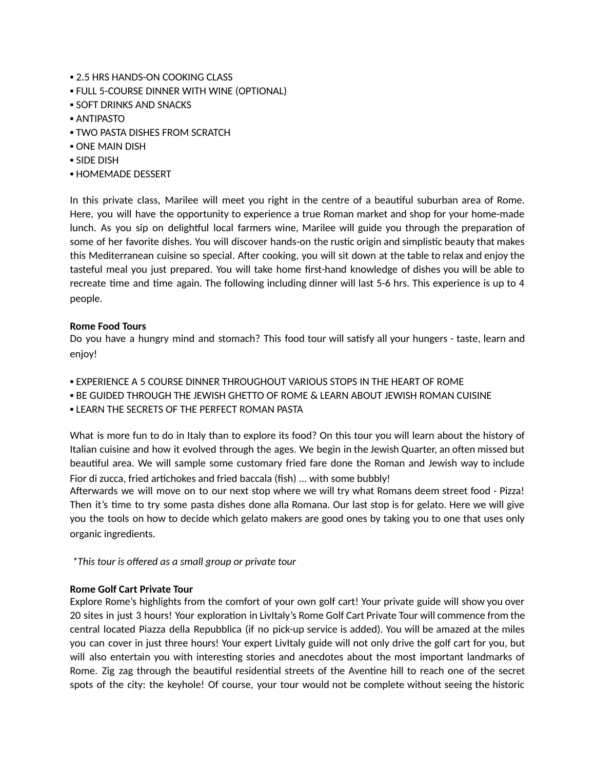- **2.5 HRS HANDS-ON COOKING CLASS**
- **.** FULL 5-COURSE DINNER WITH WINE (OPTIONAL)
- **SOFT DRINKS AND SNACKS**
- ANTIPASTO
- **TWO PASTA DISHES FROM SCRATCH**
- ONE MAIN DISH
- SIDE DISH
- **HOMEMADE DESSERT**

In this private class, Marilee will meet you right in the centre of a beautiful suburban area of Rome. Here, you will have the opportunity to experience a true Roman market and shop for your home-made lunch. As you sip on delightful local farmers wine, Marilee will guide you through the preparation of some of her favorite dishes. You will discover hands-on the rustic origin and simplistic beauty that makes this Mediterranean cuisine so special. After cooking, you will sit down at the table to relax and enjoy the tasteful meal you just prepared. You will take home first-hand knowledge of dishes you will be able to recreate time and time again. The following including dinner will last 5-6 hrs. This experience is up to 4 people.

## **Rome Food Tours**

Do you have a hungry mind and stomach? This food tour will satisfy all your hungers - taste, learn and enjoy!

- **EXPERIENCE A 5 COURSE DINNER THROUGHOUT VARIOUS STOPS IN THE HEART OF ROME**
- **.** BE GUIDED THROUGH THE JEWISH GHETTO OF ROME & LEARN ABOUT JEWISH ROMAN CUISINE
- **. LEARN THE SECRETS OF THE PERFECT ROMAN PASTA**

What is more fun to do in Italy than to explore its food? On this tour you will learn about the history of Italian cuisine and how it evolved through the ages. We begin in the Jewish Quarter, an often missed but beautiful area. We will sample some customary fried fare done the Roman and Jewish way to include Fior di zucca, fried artichokes and fried baccala (fish) ... with some bubbly!

Afterwards we will move on to our next stop where we will try what Romans deem street food - Pizza! Then it's time to try some pasta dishes done alla Romana. Our last stop is for gelato. Here we will give you the tools on how to decide which gelato makers are good ones by taking you to one that uses only organic ingredients.

*\*This tour is offered as a small group or private tour*

## **Rome Golf Cart Private Tour**

Explore Rome's highlights from the comfort of your own golf cart! Your private guide will show you over 20 sites in just 3 hours! Your exploration in LivItaly's Rome Golf Cart Private Tour will commence from the central located Piazza della Repubblica (if no pick-up service is added). You will be amazed at the miles you can cover in just three hours! Your expert LivItaly guide will not only drive the golf cart for you, but will also entertain you with interesting stories and anecdotes about the most important landmarks of Rome. Zig zag through the beautiful residential streets of the Aventine hill to reach one of the secret spots of the city: the keyhole! Of course, your tour would not be complete without seeing the historic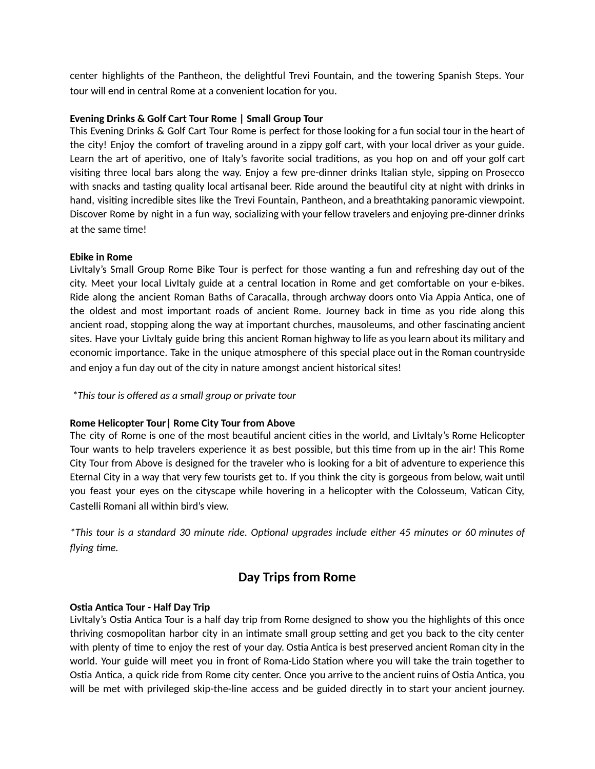center highlights of the Pantheon, the delightful Trevi Fountain, and the towering Spanish Steps. Your tour will end in central Rome at a convenient location for you.

# **Evening Drinks & Golf Cart Tour Rome | Small Group Tour**

This Evening Drinks & Golf Cart Tour Rome is perfect for those looking for a fun social tour in the heart of the city! Enjoy the comfort of traveling around in a zippy golf cart, with your local driver as your guide. Learn the art of aperitivo, one of Italy's favorite social traditions, as you hop on and off your golf cart visiting three local bars along the way. Enjoy a few pre-dinner drinks Italian style, sipping on Prosecco with snacks and tasting quality local artisanal beer. Ride around the beautiful city at night with drinks in hand, visiting incredible sites like the Trevi Fountain, Pantheon, and a breathtaking panoramic viewpoint. Discover Rome by night in a fun way, socializing with your fellow travelers and enjoying pre-dinner drinks at the same time!

## **Ebike in Rome**

Livitaly's Small Group Rome Bike Tour is perfect for those wanting a fun and refreshing day out of the city. Meet your local Livitaly guide at a central location in Rome and get comfortable on your e-bikes. Ride along the ancient Roman Baths of Caracalla, through archway doors onto Via Appia Antica, one of the oldest and most important roads of ancient Rome. Journey back in time as you ride along this ancient road, stopping along the way at important churches, mausoleums, and other fascinating ancient sites. Have your LivItaly guide bring this ancient Roman highway to life as you learn about its military and economic importance. Take in the unique atmosphere of this special place out in the Roman countryside and enjoy a fun day out of the city in nature amongst ancient historical sites!

*\*This tour is offered as a small group or private tour*

## **Rome Helicopter Tour| Rome City Tour from Above**

The city of Rome is one of the most beautiful ancient cities in the world, and LivItaly's Rome Helicopter Tour wants to help travelers experience it as best possible, but this me from up in the air! This Rome City Tour from Above is designed for the traveler who is looking for a bit of adventure to experience this Eternal City in a way that very few tourists get to. If you think the city is gorgeous from below, wait until you feast your eyes on the cityscape while hovering in a helicopter with the Colosseum, Vatican City, Castelli Romani all within bird's view.

\*This tour is a standard 30 minute ride. Optional upgrades include either 45 minutes or 60 minutes of *flying me.*

# **Day Trips from Rome**

## **Osa Anca Tour - Half Day Trip**

LivItaly's Ostia Antica Tour is a half day trip from Rome designed to show you the highlights of this once thriving cosmopolitan harbor city in an intimate small group setting and get you back to the city center with plenty of time to enjoy the rest of your day. Ostia Antica is best preserved ancient Roman city in the world. Your guide will meet you in front of Roma-Lido Station where you will take the train together to Ostia Antica, a quick ride from Rome city center. Once you arrive to the ancient ruins of Ostia Antica, you will be met with privileged skip-the-line access and be guided directly in to start your ancient journey.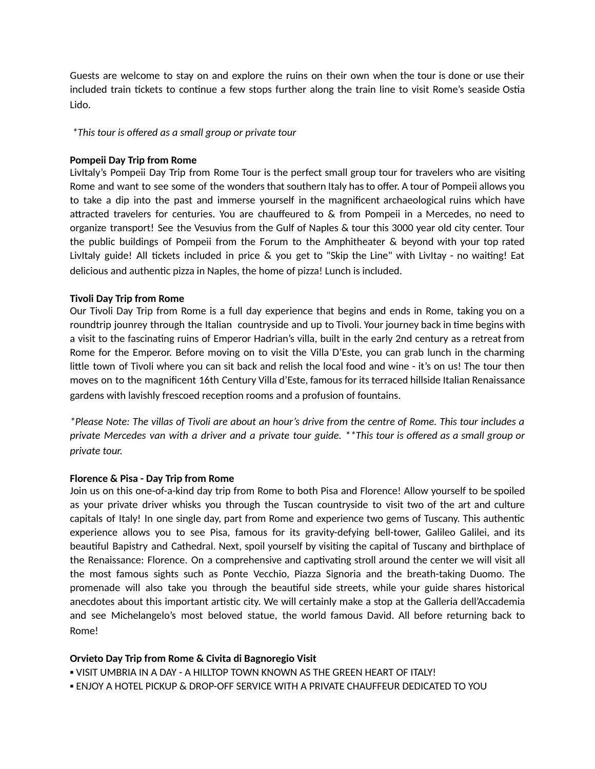Guests are welcome to stay on and explore the ruins on their own when the tour is done or use their included train tickets to continue a few stops further along the train line to visit Rome's seaside Ostia Lido.

*\* This tour is offered as a small group or private tour*

# **Pompeii Day Trip from Rome**

LivItaly's Pompeii Day Trip from Rome Tour is the perfect small group tour for travelers who are visiting Rome and want to see some of the wonders that southern Italy has to offer. A tour of Pompeii allows you to take a dip into the past and immerse yourself in the magnificent archaeological ruins which have attracted travelers for centuries. You are chauffeured to  $\&$  from Pompeii in a Mercedes, no need to organize transport! See the Vesuvius from the Gulf of Naples & tour this 3000 year old city center. Tour the public buildings of Pompeii from the Forum to the Amphitheater & beyond with your top rated LivItaly guide! All tickets included in price & you get to "Skip the Line" with LivItay - no waiting! Eat delicious and authentic pizza in Naples, the home of pizza! Lunch is included.

# **Tivoli Day Trip from Rome**

Our Tivoli Day Trip from Rome is a full day experience that begins and ends in Rome, taking you on a roundtrip jounrey through the Italian countryside and up to Tivoli. Your journey back in time begins with a visit to the fascinating ruins of Emperor Hadrian's villa, built in the early 2nd century as a retreat from Rome for the Emperor. Before moving on to visit the Villa D'Este, you can grab lunch in the charming little town of Tivoli where you can sit back and relish the local food and wine - it's on us! The tour then moves on to the magnificent 16th Century Villa d'Este, famous for its terraced hillside Italian Renaissance gardens with lavishly frescoed reception rooms and a profusion of fountains.

*\*Please Note: The villas of Tivoli are about an hour's drive from the centre of Rome. This tour includes a private Mercedes van with a driver and a private tour guide. \*\*This tour is offered as a small group or private tour.*

## **Florence & Pisa - Day Trip from Rome**

Join us on this one-of-a-kind day trip from Rome to both Pisa and Florence! Allow yourself to be spoiled as your private driver whisks you through the Tuscan countryside to visit two of the art and culture capitals of Italy! In one single day, part from Rome and experience two gems of Tuscany. This authentic experience allows you to see Pisa, famous for its gravity-defying bell-tower, Galileo Galilei, and its beautiful Bapistry and Cathedral. Next, spoil yourself by visiting the capital of Tuscany and birthplace of the Renaissance: Florence. On a comprehensive and captivating stroll around the center we will visit all the most famous sights such as Ponte Vecchio, Piazza Signoria and the breath-taking Duomo. The promenade will also take you through the beautiful side streets, while your guide shares historical anecdotes about this important artistic city. We will certainly make a stop at the Galleria dell'Accademia and see Michelangelo's most beloved statue, the world famous David. All before returning back to Rome!

## **Orvieto Day Trip from Rome & Civita di Bagnoregio Visit**

- VISIT UMBRIA IN A DAY A HILLTOP TOWN KNOWN AS THE GREEN HEART OF ITALY!
- ENJOY A HOTEL PICKUP & DROP-OFF SERVICE WITH A PRIVATE CHAUFFEUR DEDICATED TO YOU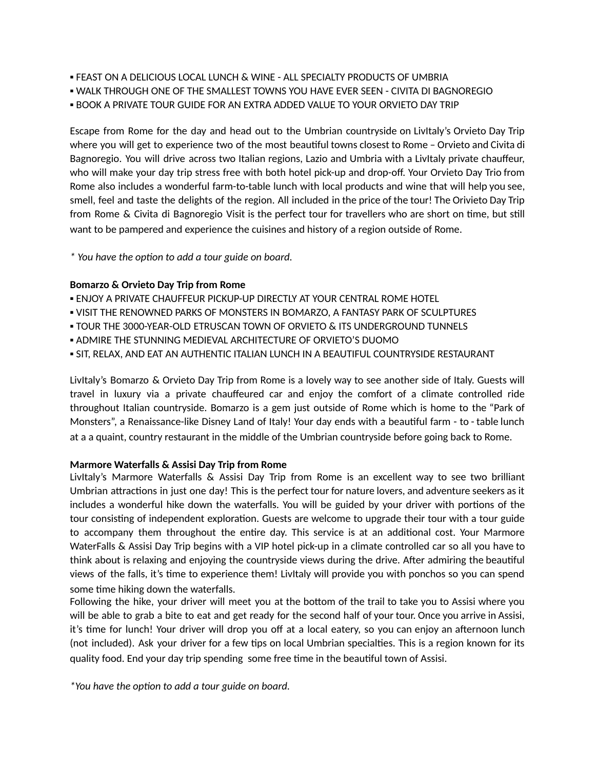- FEAST ON A DELICIOUS LOCAL LUNCH & WINE ALL SPECIALTY PRODUCTS OF UMBRIA
- WALK THROUGH ONE OF THE SMALLEST TOWNS YOU HAVE EVER SEEN CIVITA DI BAGNOREGIO
- BOOK A PRIVATE TOUR GUIDE FOR AN EXTRA ADDED VALUE TO YOUR ORVIETO DAY TRIP

Escape from Rome for the day and head out to the Umbrian countryside on LivItaly's Orvieto Day Trip where you will get to experience two of the most beautiful towns closest to Rome – Orvieto and Civita di Bagnoregio. You will drive across two Italian regions, Lazio and Umbria with a LivItaly private chauffeur, who will make your day trip stress free with both hotel pick-up and drop-off. Your Orvieto Day Trio from Rome also includes a wonderful farm-to-table lunch with local products and wine that will help you see, smell, feel and taste the delights of the region. All included in the price of the tour! The Orivieto Day Trip from Rome & Civita di Bagnoregio Visit is the perfect tour for travellers who are short on time, but still want to be pampered and experience the cuisines and history of a region outside of Rome.

*\* You have the opon to add a tour guide on board.*

## **Bomarzo & Orvieto Day Trip from Rome**

- **. ENJOY A PRIVATE CHAUFFEUR PICKUP-UP DIRECTLY AT YOUR CENTRAL ROME HOTEL**
- VISIT THE RENOWNED PARKS OF MONSTERS IN BOMARZO, A FANTASY PARK OF SCULPTURES
- TOUR THE 3000-YEAR-OLD ETRUSCAN TOWN OF ORVIETO & ITS UNDERGROUND TUNNELS
- **. ADMIRE THE STUNNING MEDIEVAL ARCHITECTURE OF ORVIETO'S DUOMO**
- **. SIT, RELAX, AND EAT AN AUTHENTIC ITALIAN LUNCH IN A BEAUTIFUL COUNTRYSIDE RESTAURANT**

LivItaly's Bomarzo & Orvieto Day Trip from Rome is a lovely way to see another side of Italy. Guests will travel in luxury via a private chauffeured car and enjoy the comfort of a climate controlled ride throughout Italian countryside. Bomarzo is a gem just outside of Rome which is home to the "Park of Monsters", a Renaissance-like Disney Land of Italy! Your day ends with a beautiful farm - to - table lunch at a a quaint, country restaurant in the middle of the Umbrian countryside before going back to Rome.

## **Marmore Waterfalls & Assisi Day Trip from Rome**

LivItaly's Marmore Waterfalls & Assisi Day Trip from Rome is an excellent way to see two brilliant Umbrian attractions in just one day! This is the perfect tour for nature lovers, and adventure seekers as it includes a wonderful hike down the waterfalls. You will be guided by your driver with portions of the tour consisting of independent exploration. Guests are welcome to upgrade their tour with a tour guide to accompany them throughout the entire day. This service is at an additional cost. Your Marmore WaterFalls & Assisi Day Trip begins with a VIP hotel pick-up in a climate controlled car so all you have to think about is relaxing and enjoying the countryside views during the drive. After admiring the beautiful views of the falls, it's me to experience them! LivItaly will provide you with ponchos so you can spend some time hiking down the waterfalls.

Following the hike, your driver will meet you at the bottom of the trail to take you to Assisi where you will be able to grab a bite to eat and get ready for the second half of your tour. Once you arrive in Assisi, it's time for lunch! Your driver will drop you off at a local eatery, so you can enjoy an afternoon lunch (not included). Ask your driver for a few tips on local Umbrian specialties. This is a region known for its quality food. End your day trip spending some free time in the beautiful town of Assisi.

*\*You have the opon to add a tour guide on board.*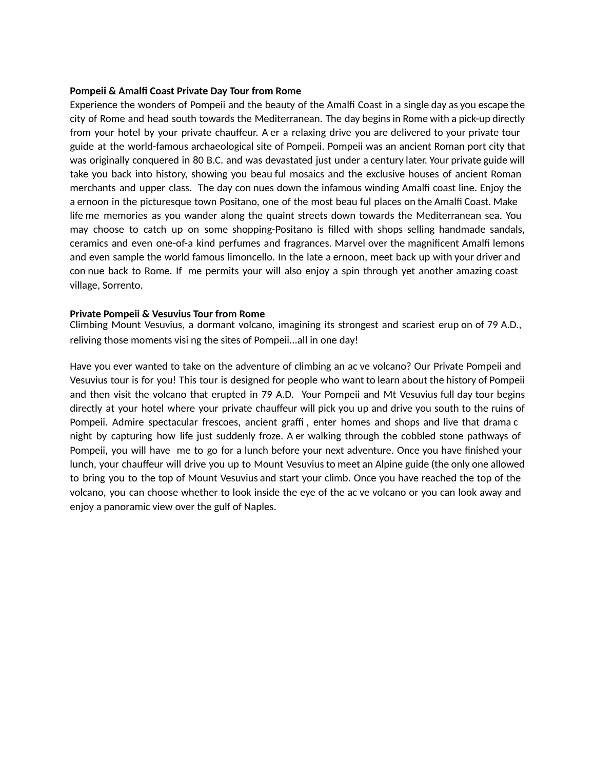#### **Pompeii & Amalfi Coast Private Day Tour from Rome**

Experience the wonders of Pompeii and the beauty of the Amalfi Coast in a single day as you escape the city of Rome and head south towards the Mediterranean. The day begins in Rome with a pick-up directly from your hotel by your private chauffeur. A er a relaxing drive you are delivered to your private tour guide at the world-famous archaeological site of Pompeii. Pompeii was an ancient Roman port city that was originally conquered in 80 B.C. and was devastated just under a century later. Your private guide will take you back into history, showing you beau ful mosaics and the exclusive houses of ancient Roman merchants and upper class. The day con nues down the infamous winding Amalfi coast line. Enjoy the a ernoon in the picturesque town Positano, one of the most beau ful places on the Amalfi Coast. Make life me memories as you wander along the quaint streets down towards the Mediterranean sea. You may choose to catch up on some shopping-Positano is filled with shops selling handmade sandals, ceramics and even one-of-a kind perfumes and fragrances. Marvel over the magnificent Amalfi lemons and even sample the world famous limoncello. In the late a ernoon, meet back up with your driver and con nue back to Rome. If me permits your will also enjoy a spin through yet another amazing coast village, Sorrento.

#### **Private Pompeii & Vesuvius Tour from Rome**

Climbing Mount Vesuvius, a dormant volcano, imagining its strongest and scariest erup on of 79 A.D., reliving those moments visi ng the sites of Pompeii...all in one day!

Have you ever wanted to take on the adventure of climbing an ac ve volcano? Our Private Pompeii and Vesuvius tour is for you! This tour is designed for people who want to learn about the history of Pompeii and then visit the volcano that erupted in 79 A.D. Your Pompeii and Mt Vesuvius full day tour begins directly at your hotel where your private chauffeur will pick you up and drive you south to the ruins of Pompeii. Admire spectacular frescoes, ancient graffi , enter homes and shops and live that drama c night by capturing how life just suddenly froze. A er walking through the cobbled stone pathways of Pompeii, you will have me to go for a lunch before your next adventure. Once you have finished your lunch, your chauffeur will drive you up to Mount Vesuvius to meet an Alpine guide (the only one allowed to bring you to the top of Mount Vesuvius and start your climb. Once you have reached the top of the volcano, you can choose whether to look inside the eye of the ac ve volcano or you can look away and enjoy a panoramic view over the gulf of Naples.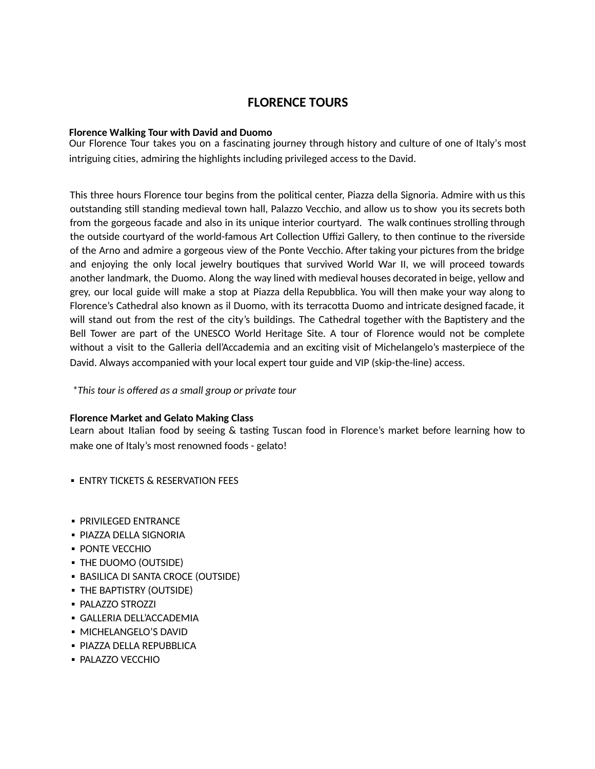# **FLORENCE TOURS**

## **Florence Walking Tour with David and Duomo**

Our Florence Tour takes you on a fascinating journey through history and culture of one of Italy's most intriguing cities, admiring the highlights including privileged access to the David.

This three hours Florence tour begins from the political center, Piazza della Signoria. Admire with us this outstanding still standing medieval town hall, Palazzo Vecchio, and allow us to show you its secrets both from the gorgeous facade and also in its unique interior courtyard. The walk continues strolling through the outside courtyard of the world-famous Art Collection Uffizi Gallery, to then continue to the riverside of the Arno and admire a gorgeous view of the Ponte Vecchio. After taking your pictures from the bridge and enjoying the only local jewelry boutiques that survived World War II, we will proceed towards another landmark, the Duomo. Along the way lined with medieval houses decorated in beige, yellow and grey, our local guide will make a stop at Piazza della Repubblica. You will then make your way along to Florence's Cathedral also known as il Duomo, with its terracotta Duomo and intricate designed facade, it will stand out from the rest of the city's buildings. The Cathedral together with the Baptistery and the Bell Tower are part of the UNESCO World Heritage Site. A tour of Florence would not be complete without a visit to the Galleria dell'Accademia and an exciting visit of Michelangelo's masterpiece of the David. Always accompanied with your local expert tour guide and VIP (skip-the-line) access.

*\* This tour is offered as a small group or private tour*

## **Florence Market and Gelato Making Class**

Learn about Italian food by seeing & tasting Tuscan food in Florence's market before learning how to make one of Italy's most renowned foods - gelato!

**ENTRY TICKETS & RESERVATION FEES** 

- **PRIVILEGED ENTRANCE**
- **PIAZZA DELLA SIGNORIA**
- **PONTE VECCHIO**
- THE DUOMO (OUTSIDE)
- **BASILICA DI SANTA CROCE (OUTSIDE)**
- **THE BAPTISTRY (OUTSIDE)**
- PALAZZO STROZZI
- GALLERIA DELL'ACCADEMIA
- **MICHELANGELO'S DAVID**
- **· PIAZZA DELLA REPUBBLICA**
- **· PALAZZO VECCHIO**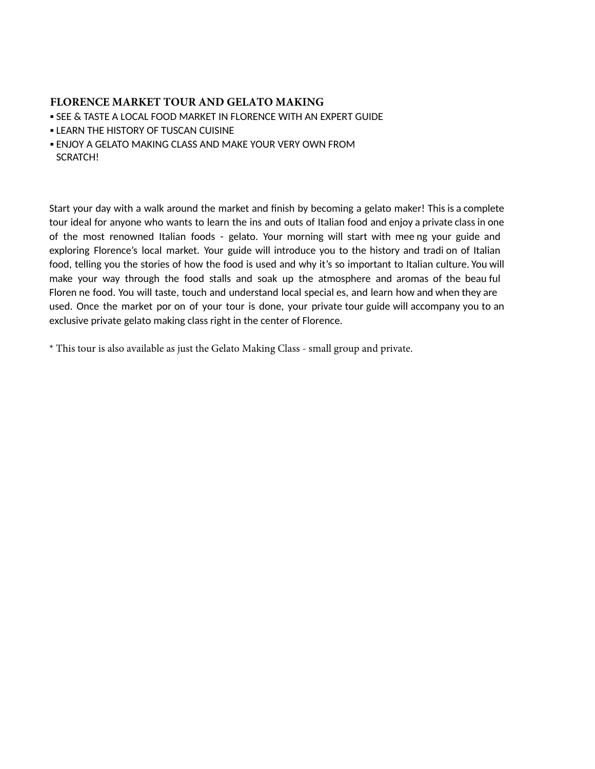# **FLORENCE MARKET TOUR AND GELATO MAKING**

- **. SEE & TASTE A LOCAL FOOD MARKET IN FLORENCE WITH AN EXPERT GUIDE**
- **. LEARN THE HISTORY OF TUSCAN CUISINE**
- **.** ENJOY A GELATO MAKING CLASS AND MAKE YOUR VERY OWN FROM SCRATCH!

Start your day with a walk around the market and finish by becoming a gelato maker! This is a complete tour ideal for anyone who wants to learn the ins and outs of Italian food and enjoy a private class in one of the most renowned Italian foods - gelato. Your morning will start with mee ng your guide and exploring Florence's local market. Your guide will introduce you to the history and tradi on of Italian food, telling you the stories of how the food is used and why it's so important to Italian culture. You will make your way through the food stalls and soak up the atmosphere and aromas of the beau ful Floren ne food. You will taste, touch and understand local special es, and learn how and when they are used. Once the market por on of your tour is done, your private tour guide will accompany you to an exclusive private gelato making class right in the center of Florence.

\* This tour is also available as just the Gelato Making Class - small group and private.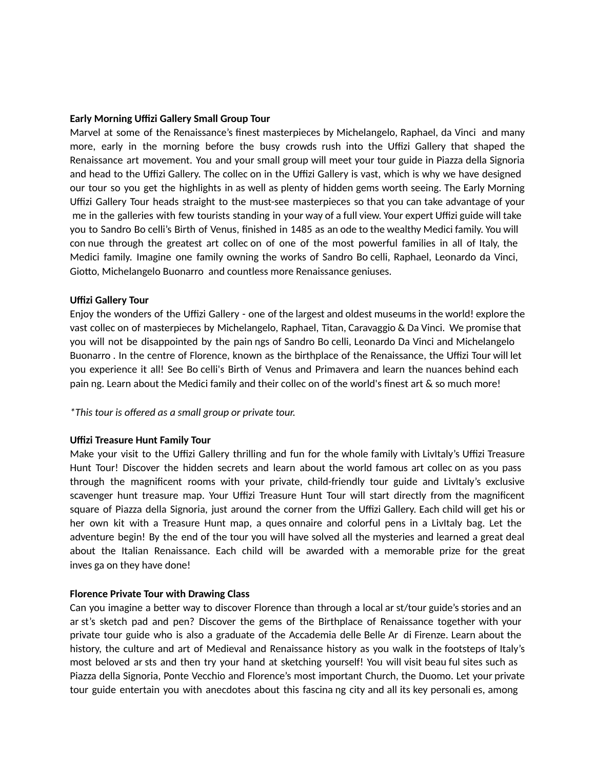#### **Early Morning Uffizi Gallery Small Group Tour**

Marvel at some of the Renaissance's finest masterpieces by Michelangelo, Raphael, da Vinci and many more, early in the morning before the busy crowds rush into the Uffizi Gallery that shaped the Renaissance art movement. You and your small group will meet your tour guide in Piazza della Signoria and head to the Uffizi Gallery. The collec on in the Uffizi Gallery is vast, which is why we have designed our tour so you get the highlights in as well as plenty of hidden gems worth seeing. The Early Morning Uffizi Gallery Tour heads straight to the must-see masterpieces so that you can take advantage of your me in the galleries with few tourists standing in your way of a full view. Your expert Uffizi guide will take you to Sandro Bo celli's Birth of Venus, finished in 1485 as an ode to the wealthy Medici family. You will con nue through the greatest art collec on of one of the most powerful families in all of Italy, the Medici family. Imagine one family owning the works of Sandro Bo celli, Raphael, Leonardo da Vinci, Giotto, Michelangelo Buonarro and countless more Renaissance geniuses.

#### **Uffizi Gallery Tour**

Enjoy the wonders of the Uffizi Gallery - one of the largest and oldest museums in the world! explore the vast collec on of masterpieces by Michelangelo, Raphael, Titan, Caravaggio & Da Vinci. We promise that you will not be disappointed by the pain ngs of Sandro Bo celli, Leonardo Da Vinci and Michelangelo Buonarro . In the centre of Florence, known as the birthplace of the Renaissance, the Uffizi Tour will let you experience it all! See Bo celli's Birth of Venus and Primavera and learn the nuances behind each pain ng. Learn about the Medici family and their collec on of the world's finest art & so much more!

*\*This tour is offered as a small group or private tour.*

## **Uffizi Treasure Hunt Family Tour**

Make your visit to the Uffizi Gallery thrilling and fun for the whole family with LivItaly's Uffizi Treasure Hunt Tour! Discover the hidden secrets and learn about the world famous art collec on as you pass through the magnificent rooms with your private, child-friendly tour guide and LivItaly's exclusive scavenger hunt treasure map. Your Uffizi Treasure Hunt Tour will start directly from the magnificent square of Piazza della Signoria, just around the corner from the Uffizi Gallery. Each child will get his or her own kit with a Treasure Hunt map, a ques onnaire and colorful pens in a LivItaly bag. Let the adventure begin! By the end of the tour you will have solved all the mysteries and learned a great deal about the Italian Renaissance. Each child will be awarded with a memorable prize for the great inves ga on they have done!

#### **Florence Private Tour with Drawing Class**

Can you imagine a better way to discover Florence than through a local ar st/tour guide's stories and an ar st's sketch pad and pen? Discover the gems of the Birthplace of Renaissance together with your private tour guide who is also a graduate of the Accademia delle Belle Ar di Firenze. Learn about the history, the culture and art of Medieval and Renaissance history as you walk in the footsteps of Italy's most beloved ar sts and then try your hand at sketching yourself! You will visit beau ful sites such as Piazza della Signoria, Ponte Vecchio and Florence's most important Church, the Duomo. Let your private tour guide entertain you with anecdotes about this fascina ng city and all its key personali es, among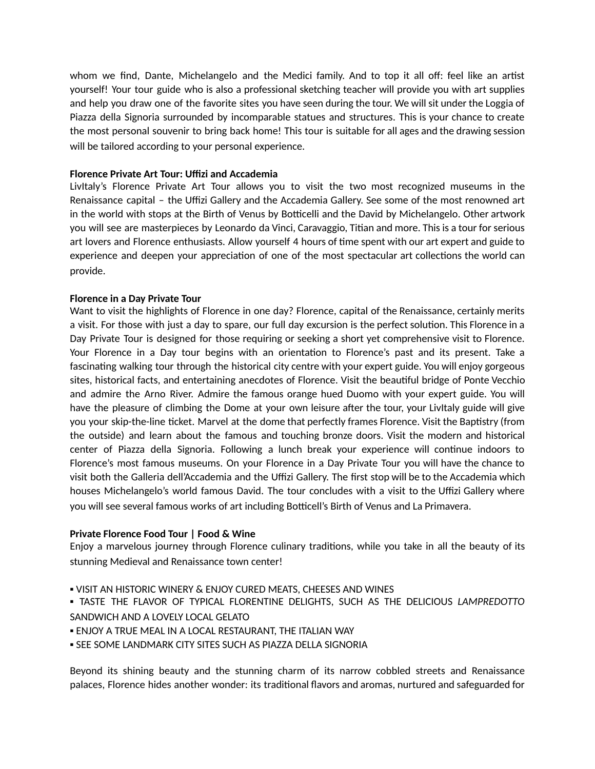whom we find, Dante, Michelangelo and the Medici family. And to top it all off: feel like an artist yourself! Your tour guide who is also a professional sketching teacher will provide you with art supplies and help you draw one of the favorite sites you have seen during the tour. We will sit under the Loggia of Piazza della Signoria surrounded by incomparable statues and structures. This is your chance to create the most personal souvenir to bring back home! This tour is suitable for all ages and the drawing session will be tailored according to your personal experience.

# **Florence Private Art Tour: Uffizi and Accademia**

LivItaly's Florence Private Art Tour allows you to visit the two most recognized museums in the Renaissance capital – the Uffizi Gallery and the Accademia Gallery. See some of the most renowned art in the world with stops at the Birth of Venus by Botticelli and the David by Michelangelo. Other artwork you will see are masterpieces by Leonardo da Vinci, Caravaggio, Titian and more. This is a tour for serious art lovers and Florence enthusiasts. Allow yourself 4 hours of time spent with our art expert and guide to experience and deepen your appreciation of one of the most spectacular art collections the world can provide.

# **Florence in a Day Private Tour**

Want to visit the highlights of Florence in one day? Florence, capital of the Renaissance, certainly merits a visit. For those with just a day to spare, our full day excursion is the perfect solution. This Florence in a Day Private Tour is designed for those requiring or seeking a short yet comprehensive visit to Florence. Your Florence in a Day tour begins with an orientation to Florence's past and its present. Take a fascinating walking tour through the historical city centre with your expert guide. You will enjoy gorgeous sites, historical facts, and entertaining anecdotes of Florence. Visit the beautiful bridge of Ponte Vecchio and admire the Arno River. Admire the famous orange hued Duomo with your expert guide. You will have the pleasure of climbing the Dome at your own leisure after the tour, your Livitaly guide will give you your skip-the-line ticket. Marvel at the dome that perfectly frames Florence. Visit the Baptistry (from the outside) and learn about the famous and touching bronze doors. Visit the modern and historical center of Piazza della Signoria. Following a lunch break your experience will continue indoors to Florence's most famous museums. On your Florence in a Day Private Tour you will have the chance to visit both the Galleria dell'Accademia and the Uffizi Gallery. The first stop will be to the Accademia which houses Michelangelo's world famous David. The tour concludes with a visit to the Uffizi Gallery where you will see several famous works of art including Botticell's Birth of Venus and La Primavera.

## **Private Florence Food Tour | Food & Wine**

Enjoy a marvelous journey through Florence culinary traditions, while you take in all the beauty of its stunning Medieval and Renaissance town center!

- VISIT AN HISTORIC WINERY & ENJOY CURED MEATS, CHEESES AND WINES
- TASTE THE FLAVOR OF TYPICAL FLORENTINE DELIGHTS, SUCH AS THE DELICIOUS *LAMPREDOTTO* SANDWICH AND A LOVELY LOCAL GELATO
- **.** ENJOY A TRUE MEAL IN A LOCAL RESTAURANT, THE ITALIAN WAY
- **.** SEE SOME LANDMARK CITY SITES SUCH AS PIAZZA DELLA SIGNORIA

Beyond its shining beauty and the stunning charm of its narrow cobbled streets and Renaissance palaces, Florence hides another wonder: its traditional flavors and aromas, nurtured and safeguarded for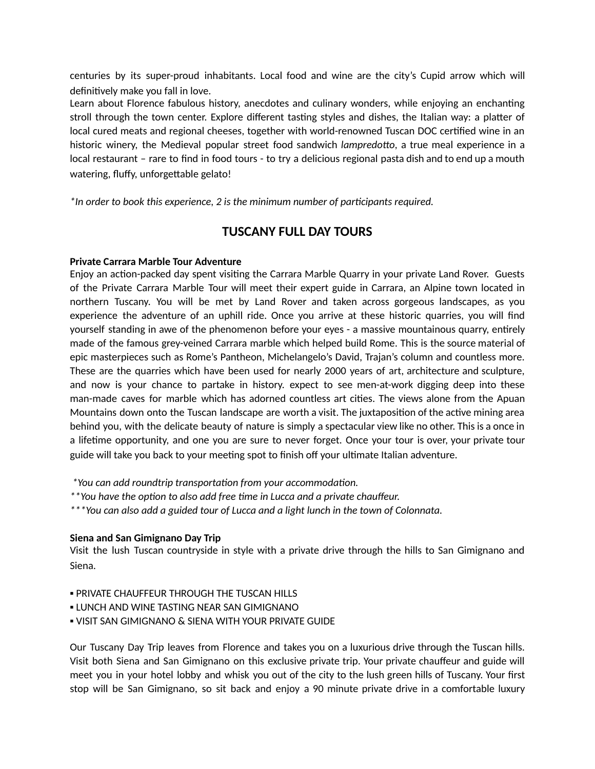centuries by its super-proud inhabitants. Local food and wine are the city's Cupid arrow which will definitively make you fall in love.

Learn about Florence fabulous history, anecdotes and culinary wonders, while enjoying an enchanting stroll through the town center. Explore different tasting styles and dishes, the Italian way: a platter of local cured meats and regional cheeses, together with world-renowned Tuscan DOC certified wine in an historic winery, the Medieval popular street food sandwich *lampredotto*, a true meal experience in a local restaurant – rare to find in food tours - to try a delicious regional pasta dish and to end up a mouth watering, fluffy, unforgettable gelato!

*\*In order to book this experience, 2 is the minimum number of parcipants required.*

# **TUSCANY FULL DAY TOURS**

# **Private Carrara Marble Tour Adventure**

Enjoy an action-packed day spent visiting the Carrara Marble Quarry in your private Land Rover. Guests of the Private Carrara Marble Tour will meet their expert guide in Carrara, an Alpine town located in northern Tuscany. You will be met by Land Rover and taken across gorgeous landscapes, as you experience the adventure of an uphill ride. Once you arrive at these historic quarries, you will find yourself standing in awe of the phenomenon before your eyes - a massive mountainous quarry, entirely made of the famous grey-veined Carrara marble which helped build Rome. This is the source material of epic masterpieces such as Rome's Pantheon, Michelangelo's David, Trajan's column and countless more. These are the quarries which have been used for nearly 2000 years of art, architecture and sculpture, and now is your chance to partake in history. expect to see men-at-work digging deep into these man-made caves for marble which has adorned countless art cities. The views alone from the Apuan Mountains down onto the Tuscan landscape are worth a visit. The juxtaposition of the active mining area behind you, with the delicate beauty of nature is simply a spectacular view like no other. This is a once in a lifetime opportunity, and one you are sure to never forget. Once your tour is over, your private tour guide will take you back to your meeting spot to finish off your ultimate Italian adventure.

*\**You can add roundtrip transportation from your accommodation.

 $*$ <sup>\*</sup>You have the option to also add free time in Lucca and a private chauffeur.

*\*\*\*You can also add a guided tour of Lucca and a light lunch in the town of Colonnata.*

## **Siena and San Gimignano Day Trip**

Visit the lush Tuscan countryside in style with a private drive through the hills to San Gimignano and Siena.

- **. PRIVATE CHAUFFEUR THROUGH THE TUSCAN HILLS**
- **. LUNCH AND WINE TASTING NEAR SAN GIMIGNANO**
- **.** VISIT SAN GIMIGNANO & SIENA WITH YOUR PRIVATE GUIDE

Our Tuscany Day Trip leaves from Florence and takes you on a luxurious drive through the Tuscan hills. Visit both Siena and San Gimignano on this exclusive private trip. Your private chauffeur and guide will meet you in your hotel lobby and whisk you out of the city to the lush green hills of Tuscany. Your first stop will be San Gimignano, so sit back and enjoy a 90 minute private drive in a comfortable luxury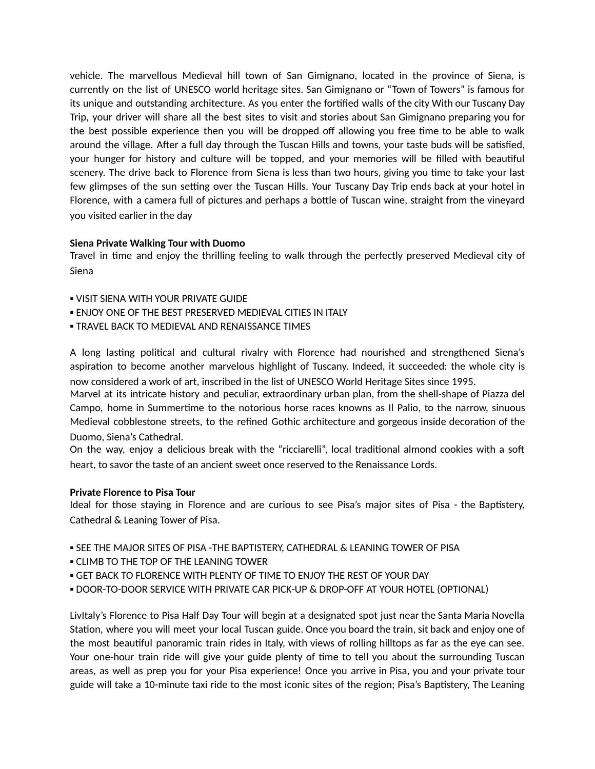vehicle. The marvellous Medieval hill town of San Gimignano, located in the province of Siena, is currently on the list of UNESCO world heritage sites. San Gimignano or "Town of Towers" is famous for its unique and outstanding architecture. As you enter the forfied walls of the city With our Tuscany Day Trip, your driver will share all the best sites to visit and stories about San Gimignano preparing you for the best possible experience then you will be dropped off allowing you free time to be able to walk around the village. After a full day through the Tuscan Hills and towns, your taste buds will be satisfied, your hunger for history and culture will be topped, and your memories will be filled with beautiful scenery. The drive back to Florence from Siena is less than two hours, giving you time to take your last few glimpses of the sun setting over the Tuscan Hills. Your Tuscany Day Trip ends back at your hotel in Florence, with a camera full of pictures and perhaps a bottle of Tuscan wine, straight from the vineyard you visited earlier in the day

# **Siena Private Walking Tour with Duomo**

Travel in time and enjoy the thrilling feeling to walk through the perfectly preserved Medieval city of Siena

- **.** VISIT SIENA WITH YOUR PRIVATE GUIDE
- **ENJOY ONE OF THE BEST PRESERVED MEDIEVAL CITIES IN ITALY**
- **. TRAVEL BACK TO MEDIEVAL AND RENAISSANCE TIMES**

A long lasting political and cultural rivalry with Florence had nourished and strengthened Siena's aspiration to become another marvelous highlight of Tuscany. Indeed, it succeeded: the whole city is now considered a work of art, inscribed in the list of UNESCO World Heritage Sites since 1995.

Marvel at its intricate history and peculiar, extraordinary urban plan, from the shell-shape of Piazza del Campo, home in Summertime to the notorious horse races knowns as Il Palio, to the narrow, sinuous Medieval cobblestone streets, to the refined Gothic architecture and gorgeous inside decoration of the Duomo, Siena's Cathedral.

On the way, enjoy a delicious break with the "ricciarelli", local traditional almond cookies with a soft heart, to savor the taste of an ancient sweet once reserved to the Renaissance Lords.

## **Private Florence to Pisa Tour**

Ideal for those staying in Florence and are curious to see Pisa's major sites of Pisa - the Baptistery, Cathedral & Leaning Tower of Pisa.

- SEE THE MAJOR SITES OF PISA -THE BAPTISTERY, CATHEDRAL & LEANING TOWER OF PISA
- **.** CLIMB TO THE TOP OF THE LEANING TOWER
- **E GET BACK TO FLORENCE WITH PLENTY OF TIME TO ENJOY THE REST OF YOUR DAY**
- DOOR-TO-DOOR SERVICE WITH PRIVATE CAR PICK-UP & DROP-OFF AT YOUR HOTEL (OPTIONAL)

LivItaly's Florence to Pisa Half Day Tour will begin at a designated spot just near the Santa Maria Novella Station, where you will meet your local Tuscan guide. Once you board the train, sit back and enjoy one of the most beauful panoramic train rides in Italy, with views of rolling hilltops as far as the eye can see. Your one-hour train ride will give your guide plenty of time to tell you about the surrounding Tuscan areas, as well as prep you for your Pisa experience! Once you arrive in Pisa, you and your private tour guide will take a 10-minute taxi ride to the most iconic sites of the region; Pisa's Baptistery, The Leaning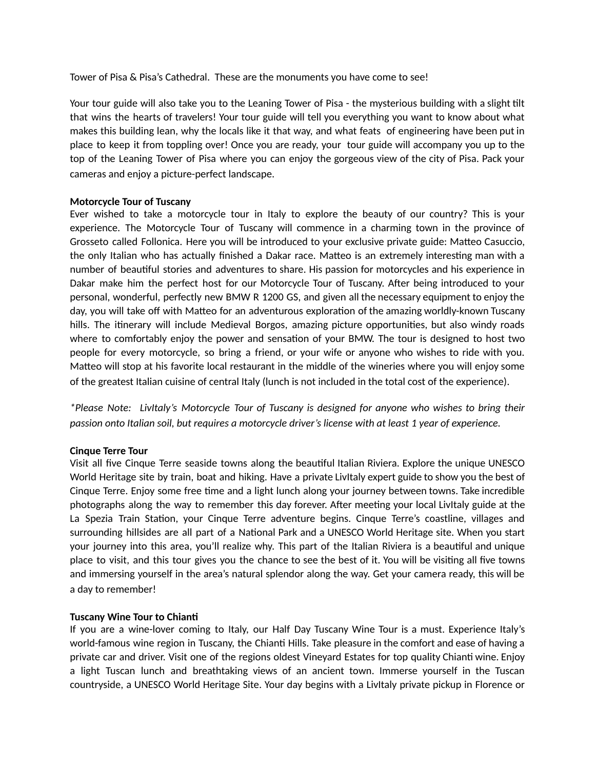Tower of Pisa & Pisa's Cathedral. These are the monuments you have come to see!

Your tour guide will also take you to the Leaning Tower of Pisa - the mysterious building with a slight tilt that wins the hearts of travelers! Your tour guide will tell you everything you want to know about what makes this building lean, why the locals like it that way, and what feats of engineering have been put in place to keep it from toppling over! Once you are ready, your tour guide will accompany you up to the top of the Leaning Tower of Pisa where you can enjoy the gorgeous view of the city of Pisa. Pack your cameras and enjoy a picture-perfect landscape.

#### **Motorcycle Tour of Tuscany**

Ever wished to take a motorcycle tour in Italy to explore the beauty of our country? This is your experience. The Motorcycle Tour of Tuscany will commence in a charming town in the province of Grosseto called Follonica. Here you will be introduced to your exclusive private guide: Matteo Casuccio, the only Italian who has actually finished a Dakar race. Matteo is an extremely interesting man with a number of beautiful stories and adventures to share. His passion for motorcycles and his experience in Dakar make him the perfect host for our Motorcycle Tour of Tuscany. After being introduced to your personal, wonderful, perfectly new BMW R 1200 GS, and given all the necessary equipment to enjoy the day, you will take off with Matteo for an adventurous exploration of the amazing worldly-known Tuscany hills. The itinerary will include Medieval Borgos, amazing picture opportunities, but also windy roads where to comfortably enjoy the power and sensation of your BMW. The tour is designed to host two people for every motorcycle, so bring a friend, or your wife or anyone who wishes to ride with you. Matteo will stop at his favorite local restaurant in the middle of the wineries where you will enjoy some of the greatest Italian cuisine of central Italy (lunch is not included in the total cost of the experience).

*\*Please Note: LivItaly's Motorcycle Tour of Tuscany is designed for anyone who wishes to bring their passion onto Italian soil, but requires a motorcycle driver's license with at least 1 year of experience.*

#### **Cinque Terre Tour**

Visit all five Cinque Terre seaside towns along the beautiful Italian Riviera. Explore the unique UNESCO World Heritage site by train, boat and hiking. Have a private LivItaly expert guide to show you the best of Cinque Terre. Enjoy some free time and a light lunch along your journey between towns. Take incredible photographs along the way to remember this day forever. After meeting your local Livitaly guide at the La Spezia Train Station, your Cinque Terre adventure begins. Cinque Terre's coastline, villages and surrounding hillsides are all part of a National Park and a UNESCO World Heritage site. When you start your journey into this area, you'll realize why. This part of the Italian Riviera is a beautiful and unique place to visit, and this tour gives you the chance to see the best of it. You will be visiting all five towns and immersing yourself in the area's natural splendor along the way. Get your camera ready, this will be a day to remember!

## **Tuscany Wine Tour to Chian**

If you are a wine-lover coming to Italy, our Half Day Tuscany Wine Tour is a must. Experience Italy's world-famous wine region in Tuscany, the Chianti Hills. Take pleasure in the comfort and ease of having a private car and driver. Visit one of the regions oldest Vineyard Estates for top quality Chianti wine. Enjoy a light Tuscan lunch and breathtaking views of an ancient town. Immerse yourself in the Tuscan countryside, a UNESCO World Heritage Site. Your day begins with a LivItaly private pickup in Florence or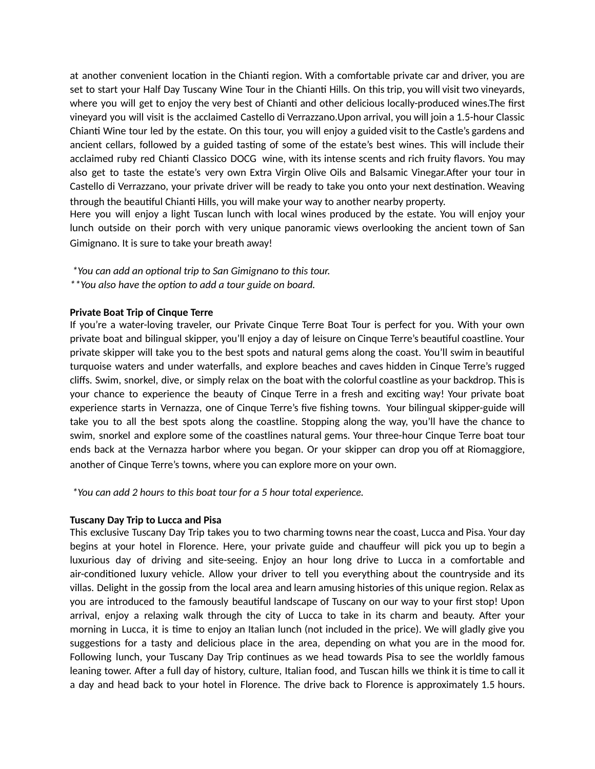at another convenient location in the Chianti region. With a comfortable private car and driver, you are set to start your Half Day Tuscany Wine Tour in the Chianti Hills. On this trip, you will visit two vineyards, where you will get to enjoy the very best of Chianti and other delicious locally-produced wines. The first vineyard you will visit is the acclaimed Castello di Verrazzano.Upon arrival, you will join a 1.5-hour Classic Chianti Wine tour led by the estate. On this tour, you will enjoy a guided visit to the Castle's gardens and ancient cellars, followed by a guided tasting of some of the estate's best wines. This will include their acclaimed ruby red Chianti Classico DOCG wine, with its intense scents and rich fruity flavors. You may also get to taste the estate's very own Extra Virgin Olive Oils and Balsamic Vinegar. After your tour in Castello di Verrazzano, your private driver will be ready to take you onto your next destination. Weaving through the beautiful Chianti Hills, you will make your way to another nearby property.

Here you will enjoy a light Tuscan lunch with local wines produced by the estate. You will enjoy your lunch outside on their porch with very unique panoramic views overlooking the ancient town of San Gimignano. It is sure to take your breath away!

- *\*You can add an oponal trip to San Gimignano to this tour.*
- *\*\*You also have the opon to add a tour guide on board.*

## **Private Boat Trip of Cinque Terre**

If you're a water-loving traveler, our Private Cinque Terre Boat Tour is perfect for you. With your own private boat and bilingual skipper, you'll enjoy a day of leisure on Cinque Terre's beautiful coastline. Your private skipper will take you to the best spots and natural gems along the coast. You'll swim in beautiful turquoise waters and under waterfalls, and explore beaches and caves hidden in Cinque Terre's rugged cliffs. Swim, snorkel, dive, or simply relax on the boat with the colorful coastline as your backdrop. This is your chance to experience the beauty of Cinque Terre in a fresh and exciting way! Your private boat experience starts in Vernazza, one of Cinque Terre's five fishing towns. Your bilingual skipper-guide will take you to all the best spots along the coastline. Stopping along the way, you'll have the chance to swim, snorkel and explore some of the coastlines natural gems. Your three-hour Cinque Terre boat tour ends back at the Vernazza harbor where you began. Or your skipper can drop you off at Riomaggiore, another of Cinque Terre's towns, where you can explore more on your own.

*\*You can add 2 hours to this boat tour for a 5 hour total experience.*

#### **Tuscany Day Trip to Lucca and Pisa**

This exclusive Tuscany Day Trip takes you to two charming towns near the coast, Lucca and Pisa. Your day begins at your hotel in Florence. Here, your private guide and chauffeur will pick you up to begin a luxurious day of driving and site-seeing. Enjoy an hour long drive to Lucca in a comfortable and air-conditioned luxury vehicle. Allow your driver to tell you everything about the countryside and its villas. Delight in the gossip from the local area and learn amusing histories of this unique region. Relax as you are introduced to the famously beautiful landscape of Tuscany on our way to your first stop! Upon arrival, enjoy a relaxing walk through the city of Lucca to take in its charm and beauty. After your morning in Lucca, it is time to enjoy an Italian lunch (not included in the price). We will gladly give you suggestions for a tasty and delicious place in the area, depending on what you are in the mood for. Following lunch, your Tuscany Day Trip continues as we head towards Pisa to see the worldly famous leaning tower. After a full day of history, culture, Italian food, and Tuscan hills we think it is time to call it a day and head back to your hotel in Florence. The drive back to Florence is approximately 1.5 hours.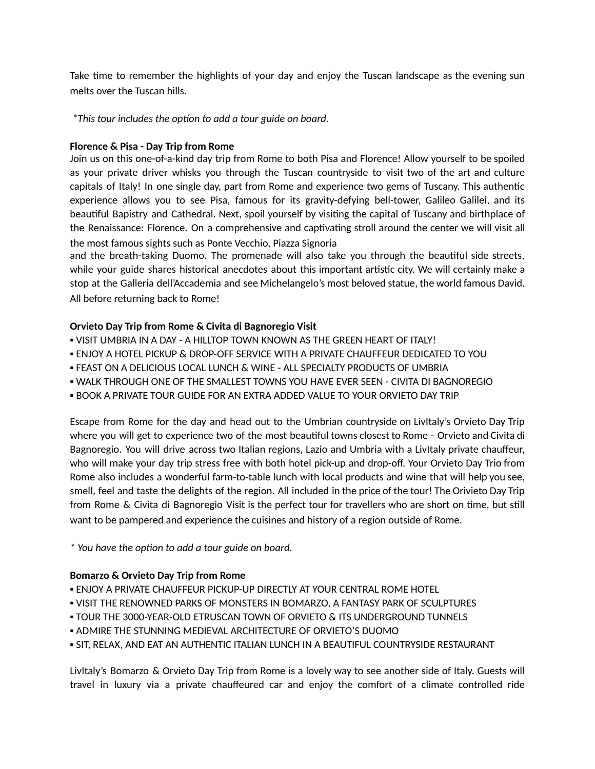Take time to remember the highlights of your day and enjoy the Tuscan landscape as the evening sun melts over the Tuscan hills.

*\*This tour includes the opon to add a tour guide on board.*

## **Florence & Pisa - Day Trip from Rome**

Join us on this one-of-a-kind day trip from Rome to both Pisa and Florence! Allow yourself to be spoiled as your private driver whisks you through the Tuscan countryside to visit two of the art and culture capitals of Italy! In one single day, part from Rome and experience two gems of Tuscany. This authentic experience allows you to see Pisa, famous for its gravity-defying bell-tower, Galileo Galilei, and its beautiful Bapistry and Cathedral. Next, spoil yourself by visiting the capital of Tuscany and birthplace of the Renaissance: Florence. On a comprehensive and captivating stroll around the center we will visit all the most famous sights such as Ponte Vecchio, Piazza Signoria

and the breath-taking Duomo. The promenade will also take you through the beautiful side streets, while your guide shares historical anecdotes about this important artistic city. We will certainly make a stop at the Galleria dell'Accademia and see Michelangelo's most beloved statue, the world famous David. All before returning back to Rome!

# **Orvieto Day Trip from Rome & Civita di Bagnoregio Visit**

- VISIT UMBRIA IN A DAY A HILLTOP TOWN KNOWN AS THE GREEN HEART OF ITALY!
- ENJOY A HOTEL PICKUP & DROP-OFF SERVICE WITH A PRIVATE CHAUFFEUR DEDICATED TO YOU
- **. FEAST ON A DELICIOUS LOCAL LUNCH & WINE ALL SPECIALTY PRODUCTS OF UMBRIA**
- WALK THROUGH ONE OF THE SMALLEST TOWNS YOU HAVE EVER SEEN CIVITA DI BAGNOREGIO
- **.** BOOK A PRIVATE TOUR GUIDE FOR AN EXTRA ADDED VALUE TO YOUR ORVIETO DAY TRIP

Escape from Rome for the day and head out to the Umbrian countryside on LivItaly's Orvieto Day Trip where you will get to experience two of the most beautiful towns closest to Rome – Orvieto and Civita di Bagnoregio. You will drive across two Italian regions, Lazio and Umbria with a LivItaly private chauffeur, who will make your day trip stress free with both hotel pick-up and drop-off. Your Orvieto Day Trio from Rome also includes a wonderful farm-to-table lunch with local products and wine that will help you see, smell, feel and taste the delights of the region. All included in the price of the tour! The Orivieto Day Trip from Rome & Civita di Bagnoregio Visit is the perfect tour for travellers who are short on time, but still want to be pampered and experience the cuisines and history of a region outside of Rome.

*\* You have the opon to add a tour guide on board.*

## **Bomarzo & Orvieto Day Trip from Rome**

- ENJOY A PRIVATE CHAUFFEUR PICKUP-UP DIRECTLY AT YOUR CENTRAL ROME HOTEL
- VISIT THE RENOWNED PARKS OF MONSTERS IN BOMARZO, A FANTASY PARK OF SCULPTURES
- TOUR THE 3000-YEAR-OLD ETRUSCAN TOWN OF ORVIETO & ITS UNDERGROUND TUNNELS
- ADMIRE THE STUNNING MEDIEVAL ARCHITECTURE OF ORVIETO'S DUOMO
- **. SIT, RELAX, AND EAT AN AUTHENTIC ITALIAN LUNCH IN A BEAUTIFUL COUNTRYSIDE RESTAURANT**

LivItaly's Bomarzo & Orvieto Day Trip from Rome is a lovely way to see another side of Italy. Guests will travel in luxury via a private chauffeured car and enjoy the comfort of a climate controlled ride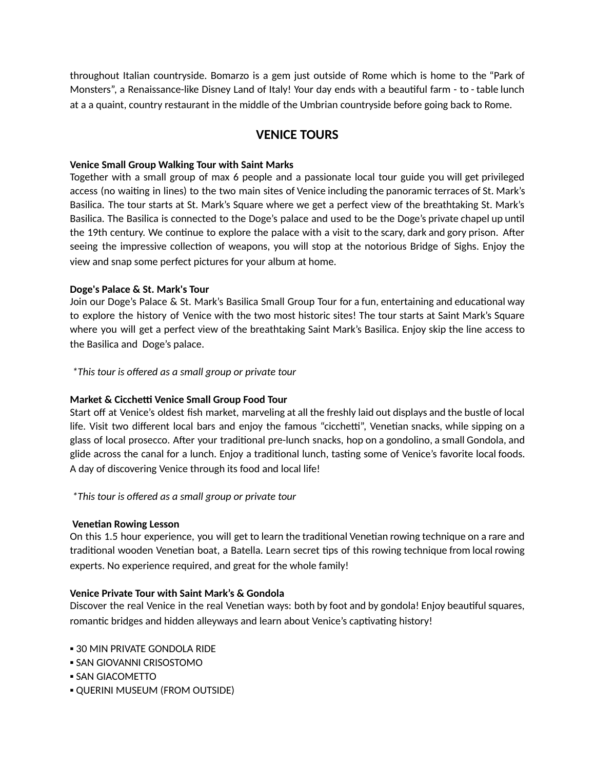throughout Italian countryside. Bomarzo is a gem just outside of Rome which is home to the "Park of Monsters", a Renaissance-like Disney Land of Italy! Your day ends with a beautiful farm - to - table lunch at a a quaint, country restaurant in the middle of the Umbrian countryside before going back to Rome.

# **VENICE TOURS**

## **Venice Small Group Walking Tour with Saint Marks**

Together with a small group of max 6 people and a passionate local tour guide you will get privileged access (no waiting in lines) to the two main sites of Venice including the panoramic terraces of St. Mark's Basilica. The tour starts at St. Mark's Square where we get a perfect view of the breathtaking St. Mark's Basilica. The Basilica is connected to the Doge's palace and used to be the Doge's private chapel up until the 19th century. We continue to explore the palace with a visit to the scary, dark and gory prison. After seeing the impressive collection of weapons, you will stop at the notorious Bridge of Sighs. Enjoy the view and snap some perfect pictures for your album at home.

# **Doge's Palace & St. Mark's Tour**

Join our Doge's Palace & St. Mark's Basilica Small Group Tour for a fun, entertaining and educational way to explore the history of Venice with the two most historic sites! The tour starts at Saint Mark's Square where you will get a perfect view of the breathtaking Saint Mark's Basilica. Enjoy skip the line access to the Basilica and Doge's palace.

*\*This tour is offered as a small group or private tour*

# **Market & Cicche Venice Small Group Food Tour**

Start off at Venice's oldest fish market, marveling at all the freshly laid out displays and the bustle of local life. Visit two different local bars and enjoy the famous "cicchetti", Venetian snacks, while sipping on a glass of local prosecco. After your traditional pre-lunch snacks, hop on a gondolino, a small Gondola, and glide across the canal for a lunch. Enjoy a traditional lunch, tasting some of Venice's favorite local foods. A day of discovering Venice through its food and local life!

*\*This tour is offered as a small group or private tour*

# **Venetian Rowing Lesson**

On this 1.5 hour experience, you will get to learn the traditional Venetian rowing technique on a rare and traditional wooden Venetian boat, a Batella. Learn secret tips of this rowing technique from local rowing experts. No experience required, and great for the whole family!

# **Venice Private Tour with Saint Mark's & Gondola**

Discover the real Venice in the real Venetian ways: both by foot and by gondola! Enjoy beautiful squares, romantic bridges and hidden alleyways and learn about Venice's captivating history!

- **.30 MIN PRIVATE GONDOLA RIDE**
- **.** SAN GIOVANNI CRISOSTOMO
- **SAN GIACOMETTO**
- QUERINI MUSEUM (FROM OUTSIDE)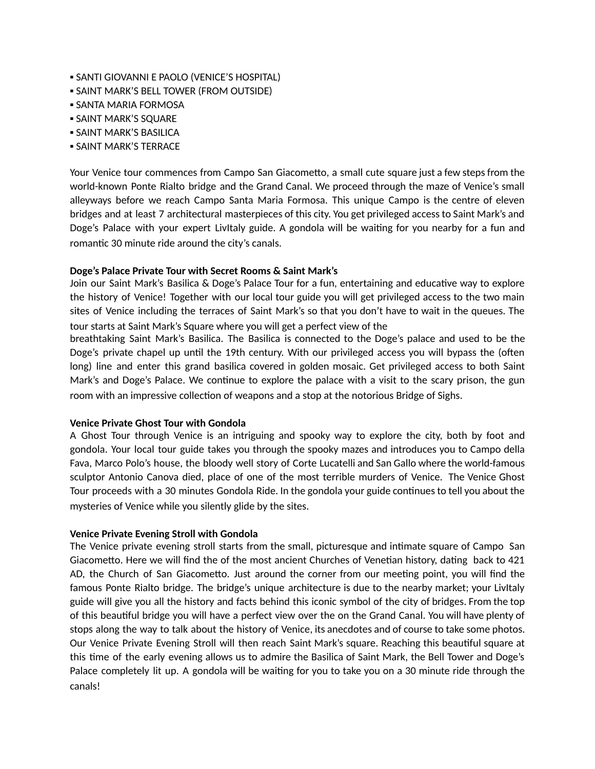- SANTI GIOVANNI E PAOLO (VENICE'S HOSPITAL)
- **. SAINT MARK'S BELL TOWER (FROM OUTSIDE)**
- **SANTA MARIA FORMOSA**
- **. SAINT MARK'S SQUARE**
- **. SAINT MARK'S BASILICA**
- **. SAINT MARK'S TERRACE**

Your Venice tour commences from Campo San Giacometto, a small cute square just a few steps from the world-known Ponte Rialto bridge and the Grand Canal. We proceed through the maze of Venice's small alleyways before we reach Campo Santa Maria Formosa. This unique Campo is the centre of eleven bridges and at least 7 architectural masterpieces of this city. You get privileged access to Saint Mark's and Doge's Palace with your expert LivItaly guide. A gondola will be waiting for you nearby for a fun and romantic 30 minute ride around the city's canals.

#### **Doge's Palace Private Tour with Secret Rooms & Saint Mark's**

Join our Saint Mark's Basilica & Doge's Palace Tour for a fun, entertaining and educative way to explore the history of Venice! Together with our local tour guide you will get privileged access to the two main sites of Venice including the terraces of Saint Mark's so that you don't have to wait in the queues. The tour starts at Saint Mark's Square where you will get a perfect view of the

breathtaking Saint Mark's Basilica. The Basilica is connected to the Doge's palace and used to be the Doge's private chapel up until the 19th century. With our privileged access you will bypass the (often long) line and enter this grand basilica covered in golden mosaic. Get privileged access to both Saint Mark's and Doge's Palace. We continue to explore the palace with a visit to the scary prison, the gun room with an impressive collection of weapons and a stop at the notorious Bridge of Sighs.

## **Venice Private Ghost Tour with Gondola**

A Ghost Tour through Venice is an intriguing and spooky way to explore the city, both by foot and gondola. Your local tour guide takes you through the spooky mazes and introduces you to Campo della Fava, Marco Polo's house, the bloody well story of Corte Lucatelli and San Gallo where the world-famous sculptor Antonio Canova died, place of one of the most terrible murders of Venice. The Venice Ghost Tour proceeds with a 30 minutes Gondola Ride. In the gondola your guide continues to tell you about the mysteries of Venice while you silently glide by the sites.

## **Venice Private Evening Stroll with Gondola**

The Venice private evening stroll starts from the small, picturesque and intimate square of Campo San Giacometto. Here we will find the of the most ancient Churches of Venetian history, dating back to 421 AD, the Church of San Giacometto. Just around the corner from our meeting point, you will find the famous Ponte Rialto bridge. The bridge's unique architecture is due to the nearby market; your LivItaly guide will give you all the history and facts behind this iconic symbol of the city of bridges. From the top of this beautiful bridge you will have a perfect view over the on the Grand Canal. You will have plenty of stops along the way to talk about the history of Venice, its anecdotes and of course to take some photos. Our Venice Private Evening Stroll will then reach Saint Mark's square. Reaching this beautiful square at this me of the early evening allows us to admire the Basilica of Saint Mark, the Bell Tower and Doge's Palace completely lit up. A gondola will be waiting for you to take you on a 30 minute ride through the canals!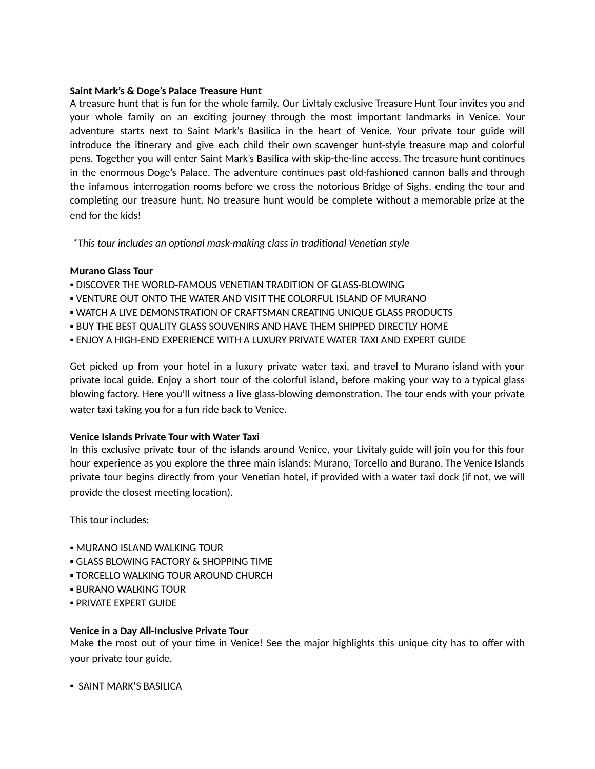### **Saint Mark's & Doge's Palace Treasure Hunt**

A treasure hunt that is fun for the whole family. Our LivItaly exclusive Treasure Hunt Tour invites you and your whole family on an exciting journey through the most important landmarks in Venice. Your adventure starts next to Saint Mark's Basilica in the heart of Venice. Your private tour guide will introduce the itinerary and give each child their own scavenger hunt-style treasure map and colorful pens. Together you will enter Saint Mark's Basilica with skip-the-line access. The treasure hunt continues in the enormous Doge's Palace. The adventure continues past old-fashioned cannon balls and through the infamous interrogation rooms before we cross the notorious Bridge of Sighs, ending the tour and completing our treasure hunt. No treasure hunt would be complete without a memorable prize at the end for the kids!

*\*This tour includes an oponal mask-making class in tradional Venean style*

#### **Murano Glass Tour**

- **.** DISCOVER THE WORLD-FAMOUS VENETIAN TRADITION OF GLASS-BLOWING
- . VENTURE OUT ONTO THE WATER AND VISIT THE COLORFUL ISLAND OF MURANO
- WATCH A LIVE DEMONSTRATION OF CRAFTSMAN CREATING UNIQUE GLASS PRODUCTS
- **. BUY THE BEST QUALITY GLASS SOUVENIRS AND HAVE THEM SHIPPED DIRECTLY HOME**
- **.** ENJOY A HIGH-END EXPERIENCE WITH A LUXURY PRIVATE WATER TAXI AND EXPERT GUIDE

Get picked up from your hotel in a luxury private water taxi, and travel to Murano island with your private local guide. Enjoy a short tour of the colorful island, before making your way to a typical glass blowing factory. Here you'll witness a live glass-blowing demonstration. The tour ends with your private water taxi taking you for a fun ride back to Venice.

## **Venice Islands Private Tour with Water Taxi**

In this exclusive private tour of the islands around Venice, your Livitaly guide will join you for this four hour experience as you explore the three main islands: Murano, Torcello and Burano. The Venice Islands private tour begins directly from your Venetian hotel, if provided with a water taxi dock (if not, we will provide the closest meeting location).

This tour includes:

- **. MURANO ISLAND WALKING TOUR**
- **GLASS BLOWING FACTORY & SHOPPING TIME**
- **. TORCELLO WALKING TOUR AROUND CHURCH**
- **. BURANO WALKING TOUR**
- **· PRIVATE EXPERT GUIDE**

## **Venice in a Day All-Inclusive Private Tour**

Make the most out of your time in Venice! See the major highlights this unique city has to offer with your private tour guide.

**• SAINT MARK'S BASILICA**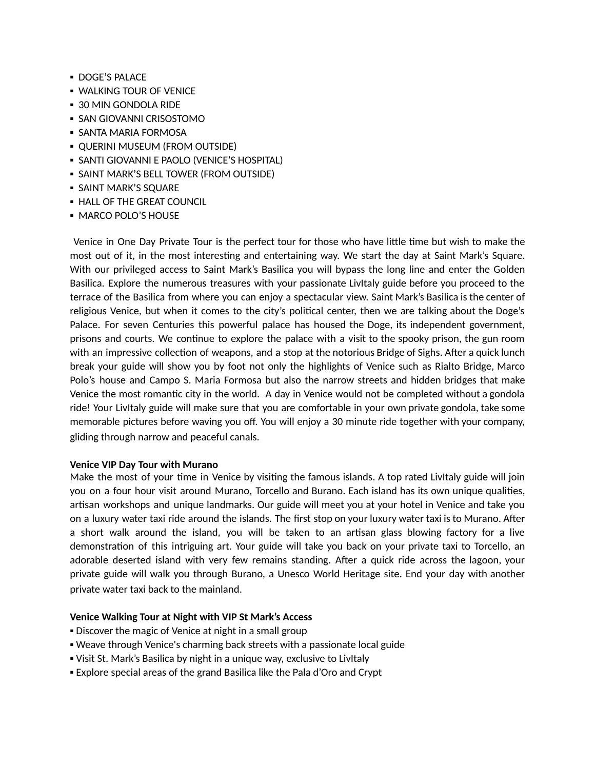- **DOGE'S PALACE**
- **. WALKING TOUR OF VENICE**
- 30 MIN GONDOLA RIDE
- **SAN GIOVANNI CRISOSTOMO**
- **. SANTA MARIA FORMOSA**
- QUERINI MUSEUM (FROM OUTSIDE)
- **.** SANTI GIOVANNI E PAOLO (VENICE'S HOSPITAL)
- **SAINT MARK'S BELL TOWER (FROM OUTSIDE)**
- **. SAINT MARK'S SQUARE**
- **. HALL OF THE GREAT COUNCIL**
- MARCO POLO'S HOUSE

Venice in One Day Private Tour is the perfect tour for those who have little time but wish to make the most out of it, in the most interesting and entertaining way. We start the day at Saint Mark's Square. With our privileged access to Saint Mark's Basilica you will bypass the long line and enter the Golden Basilica. Explore the numerous treasures with your passionate LivItaly guide before you proceed to the terrace of the Basilica from where you can enjoy a spectacular view. Saint Mark's Basilica is the center of religious Venice, but when it comes to the city's political center, then we are talking about the Doge's Palace. For seven Centuries this powerful palace has housed the Doge, its independent government, prisons and courts. We continue to explore the palace with a visit to the spooky prison, the gun room with an impressive collection of weapons, and a stop at the notorious Bridge of Sighs. After a quick lunch break your guide will show you by foot not only the highlights of Venice such as Rialto Bridge, Marco Polo's house and Campo S. Maria Formosa but also the narrow streets and hidden bridges that make Venice the most romantic city in the world. A day in Venice would not be completed without a gondola ride! Your LivItaly guide will make sure that you are comfortable in your own private gondola, take some memorable pictures before waving you off. You will enjoy a 30 minute ride together with your company, gliding through narrow and peaceful canals.

## **Venice VIP Day Tour with Murano**

Make the most of your time in Venice by visiting the famous islands. A top rated Livitaly guide will join you on a four hour visit around Murano, Torcello and Burano. Each island has its own unique qualities, artisan workshops and unique landmarks. Our guide will meet you at your hotel in Venice and take you on a luxury water taxi ride around the islands. The first stop on your luxury water taxi is to Murano. After a short walk around the island, you will be taken to an artisan glass blowing factory for a live demonstration of this intriguing art. Your guide will take you back on your private taxi to Torcello, an adorable deserted island with very few remains standing. After a quick ride across the lagoon, your private guide will walk you through Burano, a Unesco World Heritage site. End your day with another private water taxi back to the mainland.

## **Venice Walking Tour at Night with VIP St Mark's Access**

- Discover the magic of Venice at night in a small group
- . Weave through Venice's charming back streets with a passionate local guide
- Visit St. Mark's Basilica by night in a unique way, exclusive to LivItaly
- **Explore special areas of the grand Basilica like the Pala d'Oro and Crypt**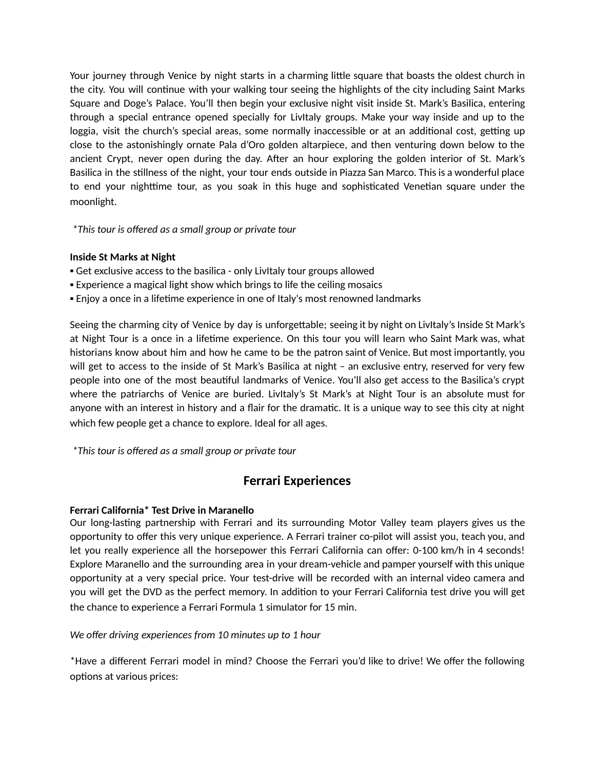Your journey through Venice by night starts in a charming little square that boasts the oldest church in the city. You will continue with your walking tour seeing the highlights of the city including Saint Marks Square and Doge's Palace. You'll then begin your exclusive night visit inside St. Mark's Basilica, entering through a special entrance opened specially for LivItaly groups. Make your way inside and up to the loggia, visit the church's special areas, some normally inaccessible or at an additional cost, getting up close to the astonishingly ornate Pala d'Oro golden altarpiece, and then venturing down below to the ancient Crypt, never open during the day. After an hour exploring the golden interior of St. Mark's Basilica in the stillness of the night, your tour ends outside in Piazza San Marco. This is a wonderful place to end your nighttime tour, as you soak in this huge and sophisticated Venetian square under the moonlight.

*\*This tour is offered as a small group or private tour*

# **Inside St Marks at Night**

- Get exclusive access to the basilica only LivItaly tour groups allowed
- Experience a magical light show which brings to life the ceiling mosaics
- Enjoy a once in a lifetime experience in one of Italy's most renowned landmarks

Seeing the charming city of Venice by day is unforgettable; seeing it by night on LivItaly's Inside St Mark's at Night Tour is a once in a lifetime experience. On this tour you will learn who Saint Mark was, what historians know about him and how he came to be the patron saint of Venice. But most importantly, you will get to access to the inside of St Mark's Basilica at night – an exclusive entry, reserved for very few people into one of the most beautiful landmarks of Venice. You'll also get access to the Basilica's crypt where the patriarchs of Venice are buried. LivItaly's St Mark's at Night Tour is an absolute must for anyone with an interest in history and a flair for the dramatic. It is a unique way to see this city at night which few people get a chance to explore. Ideal for all ages.

*\*This tour is offered as a small group or private tour*

# **Ferrari Experiences**

## **Ferrari California\* Test Drive in Maranello**

Our long-lasting partnership with Ferrari and its surrounding Motor Valley team players gives us the opportunity to offer this very unique experience. A Ferrari trainer co-pilot will assist you, teach you, and let you really experience all the horsepower this Ferrari California can offer: 0-100 km/h in 4 seconds! Explore Maranello and the surrounding area in your dream-vehicle and pamper yourself with this unique opportunity at a very special price. Your test-drive will be recorded with an internal video camera and you will get the DVD as the perfect memory. In addition to your Ferrari California test drive you will get the chance to experience a Ferrari Formula 1 simulator for 15 min.

*We offer driving experiences from 10 minutes up to 1 hour*

\*Have a different Ferrari model in mind? Choose the Ferrari you'd like to drive! We offer the following options at various prices: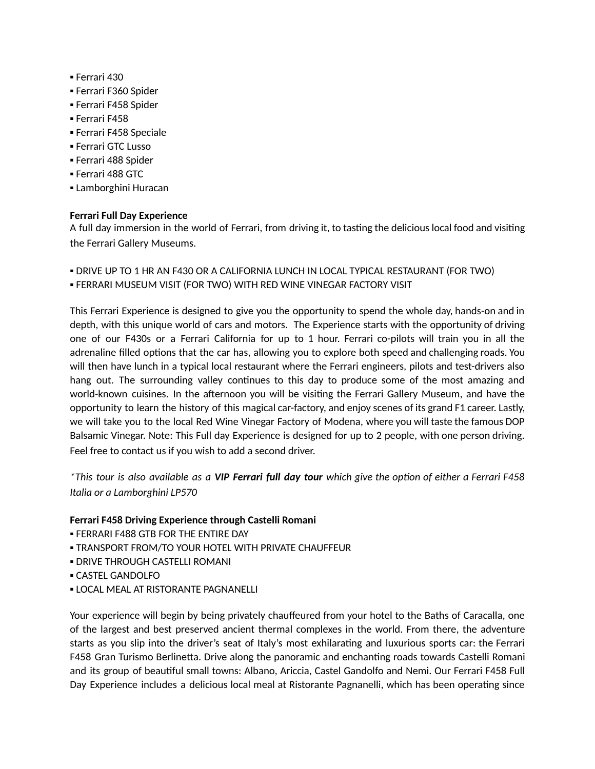- Ferrari 430
- Ferrari F360 Spider
- Ferrari F458 Spider
- Ferrari F458
- Ferrari F458 Speciale
- Ferrari GTC Lusso
- Ferrari 488 Spider
- Ferrari 488 GTC
- **Lamborghini Huracan**

# **Ferrari Full Day Experience**

A full day immersion in the world of Ferrari, from driving it, to tasting the delicious local food and visiting the Ferrari Gallery Museums.

- **. DRIVE UP TO 1 HR AN F430 OR A CALIFORNIA LUNCH IN LOCAL TYPICAL RESTAURANT (FOR TWO)**
- **. FERRARI MUSEUM VISIT (FOR TWO) WITH RED WINE VINEGAR FACTORY VISIT**

This Ferrari Experience is designed to give you the opportunity to spend the whole day, hands-on and in depth, with this unique world of cars and motors. The Experience starts with the opportunity of driving one of our F430s or a Ferrari California for up to 1 hour. Ferrari co-pilots will train you in all the adrenaline filled options that the car has, allowing you to explore both speed and challenging roads. You will then have lunch in a typical local restaurant where the Ferrari engineers, pilots and test-drivers also hang out. The surrounding valley continues to this day to produce some of the most amazing and world-known cuisines. In the afternoon you will be visiting the Ferrari Gallery Museum, and have the opportunity to learn the history of this magical car-factory, and enjoy scenes of its grand F1 career. Lastly, we will take you to the local Red Wine Vinegar Factory of Modena, where you will taste the famous DOP Balsamic Vinegar. Note: This Full day Experience is designed for up to 2 people, with one person driving. Feel free to contact us if you wish to add a second driver.

\*This tour is also available as a VIP Ferrari full day tour which give the option of either a Ferrari F458 *Italia or a Lamborghini LP570*

## **Ferrari F458 Driving Experience through Castelli Romani**

- **. FERRARI F488 GTB FOR THE ENTIRE DAY**
- **. TRANSPORT FROM/TO YOUR HOTEL WITH PRIVATE CHAUFFEUR**
- **. DRIVE THROUGH CASTELLI ROMANI**
- **CASTEL GANDOLFO**
- **. LOCAL MEAL AT RISTORANTE PAGNANELLI**

Your experience will begin by being privately chauffeured from your hotel to the Baths of Caracalla, one of the largest and best preserved ancient thermal complexes in the world. From there, the adventure starts as you slip into the driver's seat of Italy's most exhilarating and luxurious sports car: the Ferrari F458 Gran Turismo Berlinetta. Drive along the panoramic and enchanting roads towards Castelli Romani and its group of beautiful small towns: Albano, Ariccia, Castel Gandolfo and Nemi. Our Ferrari F458 Full Day Experience includes a delicious local meal at Ristorante Pagnanelli, which has been operating since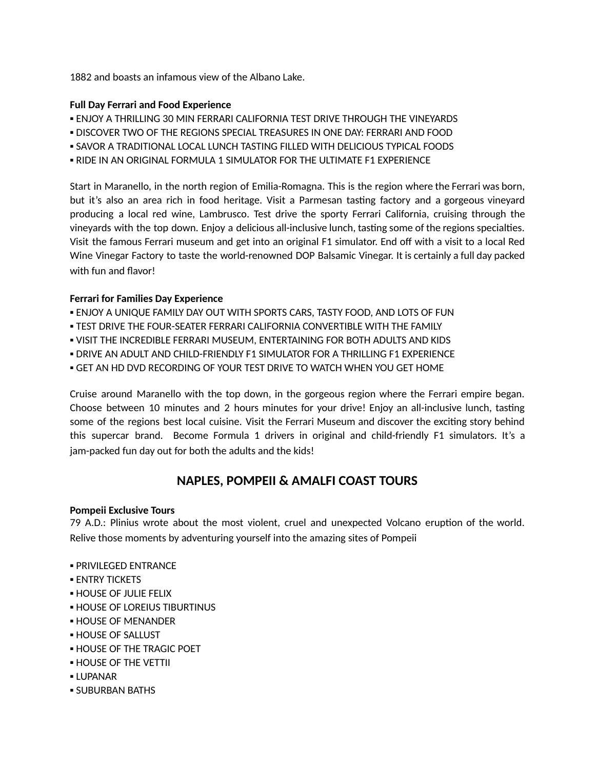1882 and boasts an infamous view of the Albano Lake.

# **Full Day Ferrari and Food Experience**

- ENJOY A THRILLING 30 MIN FERRARI CALIFORNIA TEST DRIVE THROUGH THE VINEYARDS
- **.** DISCOVER TWO OF THE REGIONS SPECIAL TREASURES IN ONE DAY: FERRARI AND FOOD
- SAVOR A TRADITIONAL LOCAL LUNCH TASTING FILLED WITH DELICIOUS TYPICAL FOODS
- **. RIDE IN AN ORIGINAL FORMULA 1 SIMULATOR FOR THE ULTIMATE F1 EXPERIENCE**

Start in Maranello, in the north region of Emilia-Romagna. This is the region where the Ferrari was born, but it's also an area rich in food heritage. Visit a Parmesan tasting factory and a gorgeous vineyard producing a local red wine, Lambrusco. Test drive the sporty Ferrari California, cruising through the vineyards with the top down. Enjoy a delicious all-inclusive lunch, tasting some of the regions specialties. Visit the famous Ferrari museum and get into an original F1 simulator. End off with a visit to a local Red Wine Vinegar Factory to taste the world-renowned DOP Balsamic Vinegar. It is certainly a full day packed with fun and flavor!

# **Ferrari for Families Day Experience**

- **.** ENJOY A UNIQUE FAMILY DAY OUT WITH SPORTS CARS, TASTY FOOD, AND LOTS OF FUN
- **. TEST DRIVE THE FOUR-SEATER FERRARI CALIFORNIA CONVERTIBLE WITH THE FAMILY**
- VISIT THE INCREDIBLE FERRARI MUSEUM, ENTERTAINING FOR BOTH ADULTS AND KIDS
- DRIVE AN ADULT AND CHILD-FRIENDLY F1 SIMULATOR FOR A THRILLING F1 EXPERIENCE
- **.** GET AN HD DVD RECORDING OF YOUR TEST DRIVE TO WATCH WHEN YOU GET HOME

Cruise around Maranello with the top down, in the gorgeous region where the Ferrari empire began. Choose between 10 minutes and 2 hours minutes for your drive! Enjoy an all-inclusive lunch, tasting some of the regions best local cuisine. Visit the Ferrari Museum and discover the exciting story behind this supercar brand. Become Formula 1 drivers in original and child-friendly F1 simulators. It's a jam-packed fun day out for both the adults and the kids!

# **NAPLES, POMPEII & AMALFI COAST TOURS**

## **Pompeii Exclusive Tours**

79 A.D.: Plinius wrote about the most violent, cruel and unexpected Volcano eruption of the world. Relive those moments by adventuring yourself into the amazing sites of Pompeii

- PRIVILEGED ENTRANCE
- **ENTRY TICKETS**
- **. HOUSE OF JULIE FELIX**
- **. HOUSE OF LOREIUS TIBURTINUS**
- **. HOUSE OF MENANDER**
- **HOUSE OF SALLUST**
- **. HOUSE OF THE TRAGIC POFT**
- **. HOUSE OF THE VETTII**
- LUPANAR
- **. SUBURBAN BATHS**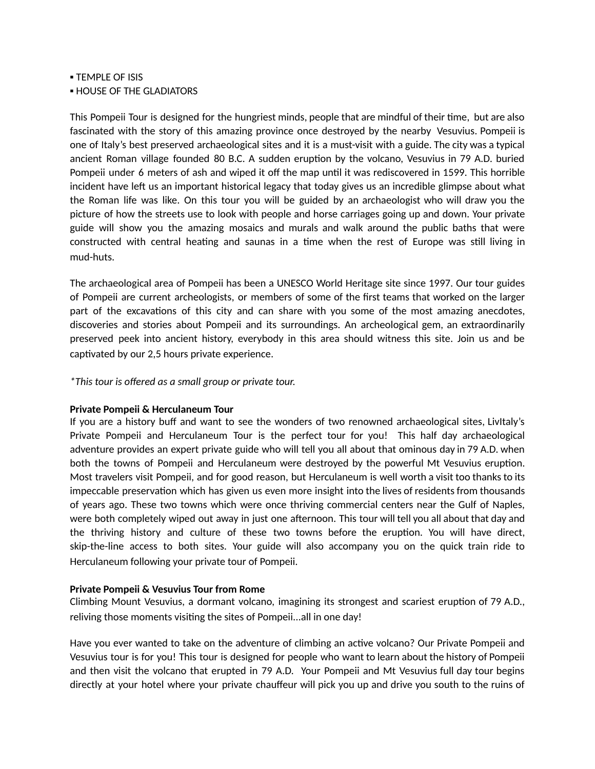**• TEMPLE OF ISIS** 

**. HOUSE OF THE GLADIATORS** 

This Pompeii Tour is designed for the hungriest minds, people that are mindful of their time, but are also fascinated with the story of this amazing province once destroyed by the nearby Vesuvius. Pompeii is one of Italy's best preserved archaeological sites and it is a must-visit with a guide. The city was a typical ancient Roman village founded 80 B.C. A sudden eruption by the volcano, Vesuvius in 79 A.D. buried Pompeii under 6 meters of ash and wiped it off the map until it was rediscovered in 1599. This horrible incident have left us an important historical legacy that today gives us an incredible glimpse about what the Roman life was like. On this tour you will be guided by an archaeologist who will draw you the picture of how the streets use to look with people and horse carriages going up and down. Your private guide will show you the amazing mosaics and murals and walk around the public baths that were constructed with central heating and saunas in a time when the rest of Europe was still living in mud-huts.

The archaeological area of Pompeii has been a UNESCO World Heritage site since 1997. Our tour guides of Pompeii are current archeologists, or members of some of the first teams that worked on the larger part of the excavations of this city and can share with you some of the most amazing anecdotes, discoveries and stories about Pompeii and its surroundings. An archeological gem, an extraordinarily preserved peek into ancient history, everybody in this area should witness this site. Join us and be captivated by our 2,5 hours private experience.

*\*This tour is offered as a small group or private tour.*

#### **Private Pompeii & Herculaneum Tour**

If you are a history buff and want to see the wonders of two renowned archaeological sites, LivItaly's Private Pompeii and Herculaneum Tour is the perfect tour for you! This half day archaeological adventure provides an expert private guide who will tell you all about that ominous day in 79 A.D. when both the towns of Pompeii and Herculaneum were destroyed by the powerful Mt Vesuvius eruption. Most travelers visit Pompeii, and for good reason, but Herculaneum is well worth a visit too thanks to its impeccable preservation which has given us even more insight into the lives of residents from thousands of years ago. These two towns which were once thriving commercial centers near the Gulf of Naples, were both completely wiped out away in just one afternoon. This tour will tell you all about that day and the thriving history and culture of these two towns before the eruption. You will have direct, skip-the-line access to both sites. Your guide will also accompany you on the quick train ride to Herculaneum following your private tour of Pompeii.

## **Private Pompeii & Vesuvius Tour from Rome**

Climbing Mount Vesuvius, a dormant volcano, imagining its strongest and scariest eruption of 79 A.D., reliving those moments visiting the sites of Pompeii...all in one day!

Have you ever wanted to take on the adventure of climbing an active volcano? Our Private Pompeii and Vesuvius tour is for you! This tour is designed for people who want to learn about the history of Pompeii and then visit the volcano that erupted in 79 A.D. Your Pompeii and Mt Vesuvius full day tour begins directly at your hotel where your private chauffeur will pick you up and drive you south to the ruins of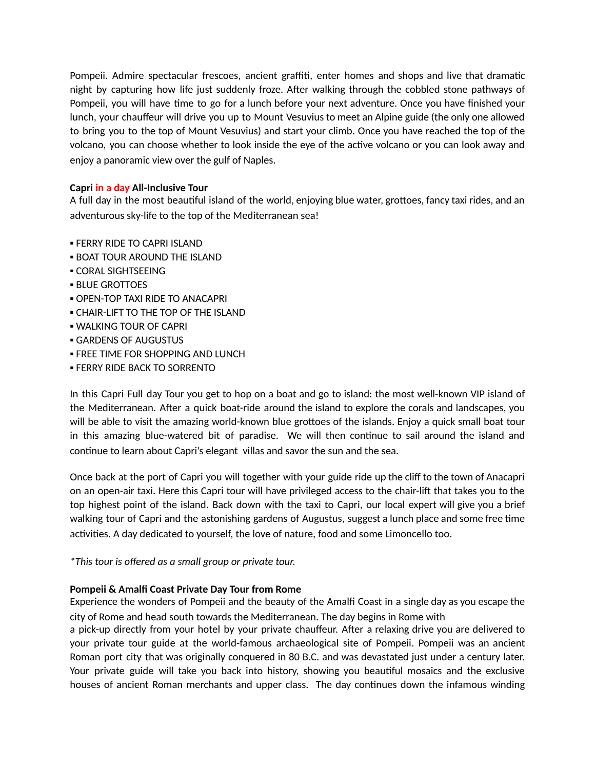Pompeii. Admire spectacular frescoes, ancient graffiti, enter homes and shops and live that dramatic night by capturing how life just suddenly froze. After walking through the cobbled stone pathways of Pompeii, you will have time to go for a lunch before your next adventure. Once you have finished your lunch, your chauffeur will drive you up to Mount Vesuvius to meet an Alpine guide (the only one allowed to bring you to the top of Mount Vesuvius) and start your climb. Once you have reached the top of the volcano, you can choose whether to look inside the eye of the active volcano or you can look away and enjoy a panoramic view over the gulf of Naples.

## **Capri in a day All-Inclusive Tour**

A full day in the most beautiful island of the world, enjoying blue water, grottoes, fancy taxi rides, and an adventurous sky-life to the top of the Mediterranean sea!

- **FERRY RIDE TO CAPRI ISLAND**
- **. BOAT TOUR AROUND THE ISLAND**
- **CORAL SIGHTSEEING**
- **BLUE GROTTOES**
- **OPEN-TOP TAXI RIDE TO ANACAPRI**
- **CHAIR-LIFT TO THE TOP OF THE ISLAND**
- **. WALKING TOUR OF CAPRI**
- GARDENS OF AUGUSTUS
- **. FREE TIME FOR SHOPPING AND LUNCH**
- **. FERRY RIDE BACK TO SORRENTO**

In this Capri Full day Tour you get to hop on a boat and go to island: the most well-known VIP island of the Mediterranean. After a quick boat-ride around the island to explore the corals and landscapes, you will be able to visit the amazing world-known blue grottoes of the islands. Enjoy a quick small boat tour in this amazing blue-watered bit of paradise. We will then continue to sail around the island and continue to learn about Capri's elegant villas and savor the sun and the sea.

Once back at the port of Capri you will together with your guide ride up the cliff to the town of Anacapri on an open-air taxi. Here this Capri tour will have privileged access to the chair-lift that takes you to the top highest point of the island. Back down with the taxi to Capri, our local expert will give you a brief walking tour of Capri and the astonishing gardens of Augustus, suggest a lunch place and some free time activities. A day dedicated to yourself, the love of nature, food and some Limoncello too.

*\*This tour is offered as a small group or private tour.*

## **Pompeii & Amalfi Coast Private Day Tour from Rome**

Experience the wonders of Pompeii and the beauty of the Amalfi Coast in a single day as you escape the city of Rome and head south towards the Mediterranean. The day begins in Rome with

a pick-up directly from your hotel by your private chauffeur. After a relaxing drive you are delivered to your private tour guide at the world-famous archaeological site of Pompeii. Pompeii was an ancient Roman port city that was originally conquered in 80 B.C. and was devastated just under a century later. Your private guide will take you back into history, showing you beautiful mosaics and the exclusive houses of ancient Roman merchants and upper class. The day continues down the infamous winding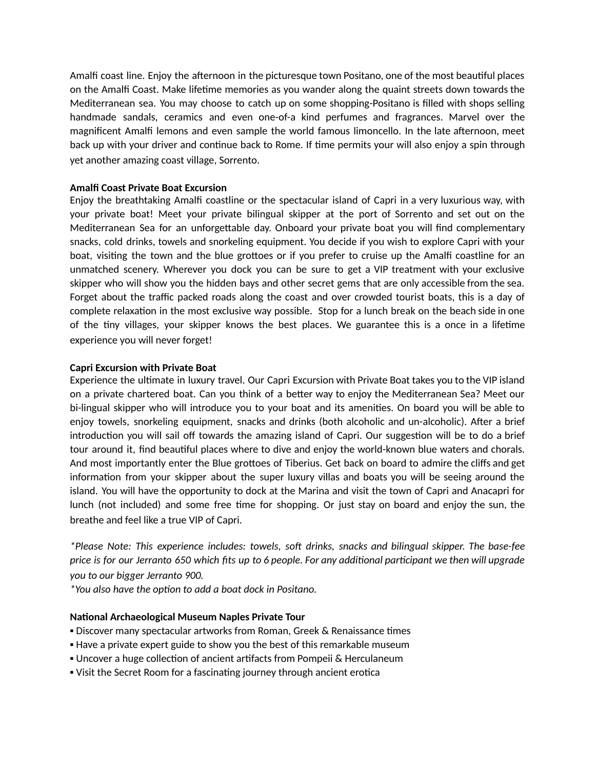Amalfi coast line. Enjoy the afternoon in the picturesque town Positano, one of the most beautiful places on the Amalfi Coast. Make lifetime memories as you wander along the quaint streets down towards the Mediterranean sea. You may choose to catch up on some shopping-Positano is filled with shops selling handmade sandals, ceramics and even one-of-a kind perfumes and fragrances. Marvel over the magnificent Amalfi lemons and even sample the world famous limoncello. In the late afternoon, meet back up with your driver and continue back to Rome. If time permits your will also enjoy a spin through yet another amazing coast village, Sorrento.

#### **Amalfi Coast Private Boat Excursion**

Enjoy the breathtaking Amalfi coastline or the spectacular island of Capri in a very luxurious way, with your private boat! Meet your private bilingual skipper at the port of Sorrento and set out on the Mediterranean Sea for an unforgettable day. Onboard your private boat you will find complementary snacks, cold drinks, towels and snorkeling equipment. You decide if you wish to explore Capri with your boat, visiting the town and the blue grottoes or if you prefer to cruise up the Amalfi coastline for an unmatched scenery. Wherever you dock you can be sure to get a VIP treatment with your exclusive skipper who will show you the hidden bays and other secret gems that are only accessible from the sea. Forget about the traffic packed roads along the coast and over crowded tourist boats, this is a day of complete relaxation in the most exclusive way possible. Stop for a lunch break on the beach side in one of the tiny villages, your skipper knows the best places. We guarantee this is a once in a lifetime experience you will never forget!

#### **Capri Excursion with Private Boat**

Experience the ultimate in luxury travel. Our Capri Excursion with Private Boat takes you to the VIP island on a private chartered boat. Can you think of a better way to enjoy the Mediterranean Sea? Meet our bi-lingual skipper who will introduce you to your boat and its amenities. On board you will be able to enjoy towels, snorkeling equipment, snacks and drinks (both alcoholic and un-alcoholic). After a brief introduction you will sail off towards the amazing island of Capri. Our suggestion will be to do a brief tour around it, find beautiful places where to dive and enjoy the world-known blue waters and chorals. And most importantly enter the Blue grottoes of Tiberius. Get back on board to admire the cliffs and get information from your skipper about the super luxury villas and boats you will be seeing around the island. You will have the opportunity to dock at the Marina and visit the town of Capri and Anacapri for lunch (not included) and some free time for shopping. Or just stay on board and enjoy the sun, the breathe and feel like a true VIP of Capri.

*\*Please Note: This experience includes: towels, so drinks, snacks and bilingual skipper. The base-fee* price is for our Jerranto 650 which fits up to 6 people. For any additional participant we then will upgrade *you to our bigger Jerranto 900.*

*\*You also have the opon to add a boat dock in Positano.*

#### **National Archaeological Museum Naples Private Tour**

- **.** Discover many spectacular artworks from Roman, Greek & Renaissance times
- **.** Have a private expert guide to show you the best of this remarkable museum
- Uncover a huge collection of ancient artifacts from Pompeii & Herculaneum
- . Visit the Secret Room for a fascinating journey through ancient erotica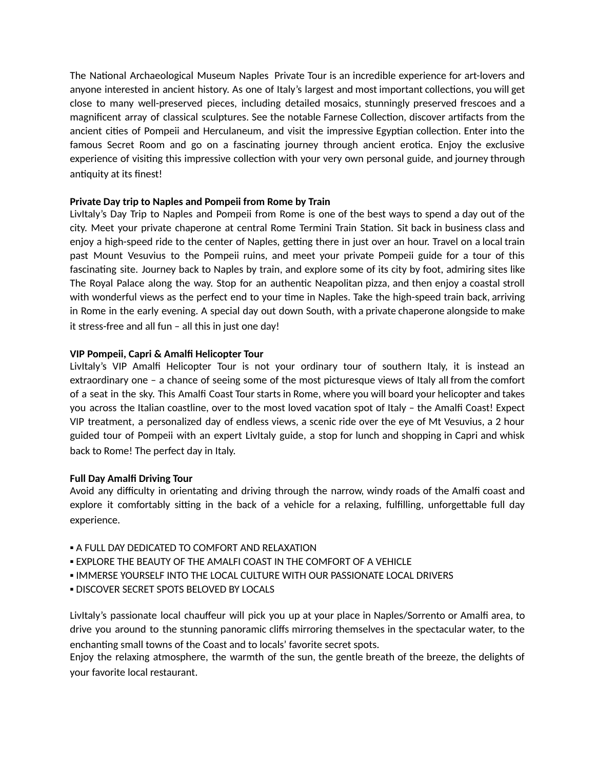The National Archaeological Museum Naples Private Tour is an incredible experience for art-lovers and anyone interested in ancient history. As one of Italy's largest and most important collections, you will get close to many well-preserved pieces, including detailed mosaics, stunningly preserved frescoes and a magnificent array of classical sculptures. See the notable Farnese Collection, discover artifacts from the ancient cities of Pompeii and Herculaneum, and visit the impressive Egyptian collection. Enter into the famous Secret Room and go on a fascinating journey through ancient erotica. Enjoy the exclusive experience of visiting this impressive collection with your very own personal guide, and journey through antiquity at its finest!

## **Private Day trip to Naples and Pompeii from Rome by Train**

LivItaly's Day Trip to Naples and Pompeii from Rome is one of the best ways to spend a day out of the city. Meet your private chaperone at central Rome Termini Train Station. Sit back in business class and enjoy a high-speed ride to the center of Naples, getting there in just over an hour. Travel on a local train past Mount Vesuvius to the Pompeii ruins, and meet your private Pompeii guide for a tour of this fascinating site. Journey back to Naples by train, and explore some of its city by foot, admiring sites like The Royal Palace along the way. Stop for an authentic Neapolitan pizza, and then enjoy a coastal stroll with wonderful views as the perfect end to your time in Naples. Take the high-speed train back, arriving in Rome in the early evening. A special day out down South, with a private chaperone alongside to make it stress-free and all fun – all this in just one day!

## **VIP Pompeii, Capri & Amalfi Helicopter Tour**

LivItaly's VIP Amalfi Helicopter Tour is not your ordinary tour of southern Italy, it is instead an extraordinary one – a chance of seeing some of the most picturesque views of Italy all from the comfort of a seat in the sky. This Amalfi Coast Tour starts in Rome, where you will board your helicopter and takes you across the Italian coastline, over to the most loved vacation spot of Italy - the Amalfi Coast! Expect VIP treatment, a personalized day of endless views, a scenic ride over the eye of Mt Vesuvius, a 2 hour guided tour of Pompeii with an expert LivItaly guide, a stop for lunch and shopping in Capri and whisk back to Rome! The perfect day in Italy.

## **Full Day Amalfi Driving Tour**

Avoid any difficulty in orientating and driving through the narrow, windy roads of the Amalfi coast and explore it comfortably sitting in the back of a vehicle for a relaxing, fulfilling, unforgettable full day experience.

- **A FULL DAY DEDICATED TO COMFORT AND RELAXATION**
- **. EXPLORE THE BEAUTY OF THE AMALFI COAST IN THE COMFORT OF A VEHICLE**
- IMMERSE YOURSELF INTO THE LOCAL CULTURE WITH OUR PASSIONATE LOCAL DRIVERS
- **. DISCOVER SECRET SPOTS BELOVED BY LOCALS**

LivItaly's passionate local chauffeur will pick you up at your place in Naples/Sorrento or Amalfi area, to drive you around to the stunning panoramic cliffs mirroring themselves in the spectacular water, to the enchanting small towns of the Coast and to locals' favorite secret spots.

Enjoy the relaxing atmosphere, the warmth of the sun, the gentle breath of the breeze, the delights of your favorite local restaurant.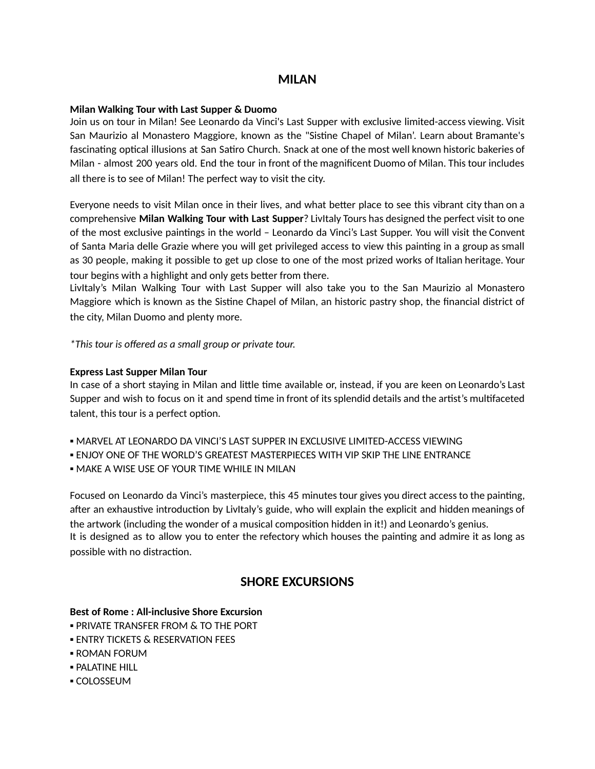# **MILAN**

## **Milan Walking Tour with Last Supper & Duomo**

Join us on tour in Milan! See Leonardo da Vinci's Last Supper with exclusive limited-access viewing. Visit San Maurizio al Monastero Maggiore, known as the "Sistine Chapel of Milan'. Learn about Bramante's fascinating optical illusions at San Satiro Church. Snack at one of the most well known historic bakeries of Milan - almost 200 years old. End the tour in front of the magnificent Duomo of Milan. This tour includes all there is to see of Milan! The perfect way to visit the city.

Everyone needs to visit Milan once in their lives, and what better place to see this vibrant city than on a comprehensive **Milan Walking Tour with Last Supper**? LivItaly Tours has designed the perfect visit to one of the most exclusive paintings in the world – Leonardo da Vinci's Last Supper. You will visit the Convent of Santa Maria delle Grazie where you will get privileged access to view this painting in a group as small as 30 people, making it possible to get up close to one of the most prized works of Italian heritage. Your tour begins with a highlight and only gets better from there.

LivItaly's Milan Walking Tour with Last Supper will also take you to the San Maurizio al Monastero Maggiore which is known as the Sistine Chapel of Milan, an historic pastry shop, the financial district of the city, Milan Duomo and plenty more.

*\*This tour is offered as a small group or private tour.*

## **Express Last Supper Milan Tour**

In case of a short staying in Milan and little time available or, instead, if you are keen on Leonardo's Last Supper and wish to focus on it and spend time in front of its splendid details and the artist's multifaceted talent, this tour is a perfect option.

- MARVEL AT LEONARDO DA VINCI'S LAST SUPPER IN EXCLUSIVE LIMITED-ACCESS VIEWING
- ENJOY ONE OF THE WORLD'S GREATEST MASTERPIECES WITH VIP SKIP THE LINE ENTRANCE
- **. MAKE A WISE USE OF YOUR TIME WHILE IN MILAN**

Focused on Leonardo da Vinci's masterpiece, this 45 minutes tour gives you direct access to the painting, after an exhaustive introduction by LivItaly's guide, who will explain the explicit and hidden meanings of the artwork (including the wonder of a musical composition hidden in it!) and Leonardo's genius. It is designed as to allow you to enter the refectory which houses the painting and admire it as long as possible with no distraction.

# **SHORE EXCURSIONS**

# **Best of Rome : All-inclusive Shore Excursion**

- **. PRIVATE TRANSFER FROM & TO THE PORT**
- **ENTRY TICKETS & RESERVATION FEES**
- ROMAN FORUM
- **PALATINE HILL**
- COLOSSEUM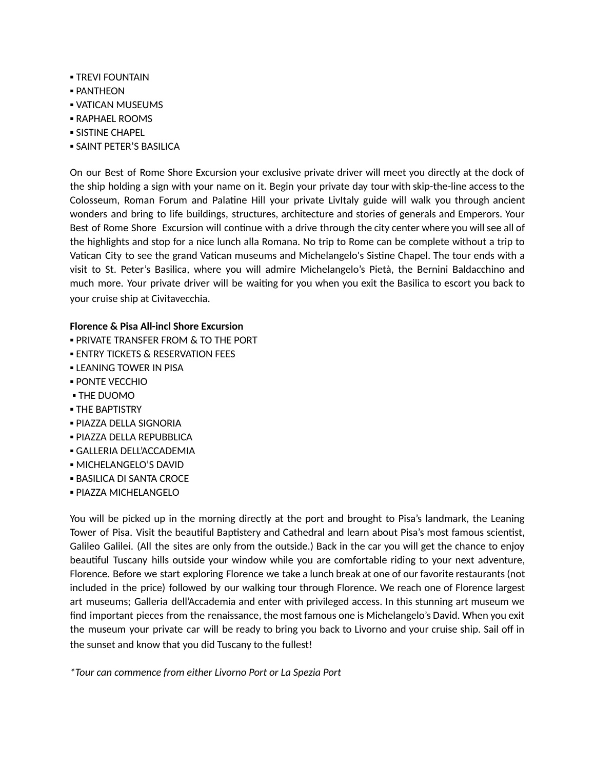- **TREVI FOUNTAIN**
- PANTHEON
- VATICAN MUSEUMS
- **RAPHAEL ROOMS**
- **SISTINE CHAPEL**
- **. SAINT PETER'S BASILICA**

On our Best of Rome Shore Excursion your exclusive private driver will meet you directly at the dock of the ship holding a sign with your name on it. Begin your private day tour with skip-the-line access to the Colosseum, Roman Forum and Palatine Hill your private Livitaly guide will walk you through ancient wonders and bring to life buildings, structures, architecture and stories of generals and Emperors. Your Best of Rome Shore Excursion will continue with a drive through the city center where you will see all of the highlights and stop for a nice lunch alla Romana. No trip to Rome can be complete without a trip to Vatican City to see the grand Vatican museums and Michelangelo's Sistine Chapel. The tour ends with a visit to St. Peter's Basilica, where you will admire Michelangelo's Pietà, the Bernini Baldacchino and much more. Your private driver will be waiting for you when you exit the Basilica to escort you back to your cruise ship at Civitavecchia.

# **Florence & Pisa All-incl Shore Excursion**

- **. PRIVATE TRANSFER FROM & TO THE PORT**
- **ENTRY TICKETS & RESERVATION FEES**
- **.** LEANING TOWER IN PISA
- PONTE VECCHIO
- **THE DUOMO**
- **THE BAPTISTRY**
- PIAZZA DELLA SIGNORIA
- PIAZZA DELLA REPUBBLICA
- GALLERIA DELL'ACCADEMIA
- **MICHELANGELO'S DAVID**
- **BASILICA DI SANTA CROCE**
- PIAZZA MICHELANGELO

You will be picked up in the morning directly at the port and brought to Pisa's landmark, the Leaning Tower of Pisa. Visit the beautiful Baptistery and Cathedral and learn about Pisa's most famous scientist, Galileo Galilei. (All the sites are only from the outside.) Back in the car you will get the chance to enjoy beautiful Tuscany hills outside your window while you are comfortable riding to your next adventure, Florence. Before we start exploring Florence we take a lunch break at one of our favorite restaurants (not included in the price) followed by our walking tour through Florence. We reach one of Florence largest art museums; Galleria dell'Accademia and enter with privileged access. In this stunning art museum we find important pieces from the renaissance, the most famous one is Michelangelo's David. When you exit the museum your private car will be ready to bring you back to Livorno and your cruise ship. Sail off in the sunset and know that you did Tuscany to the fullest!

*\*Tour can commence from either Livorno Port or La Spezia Port*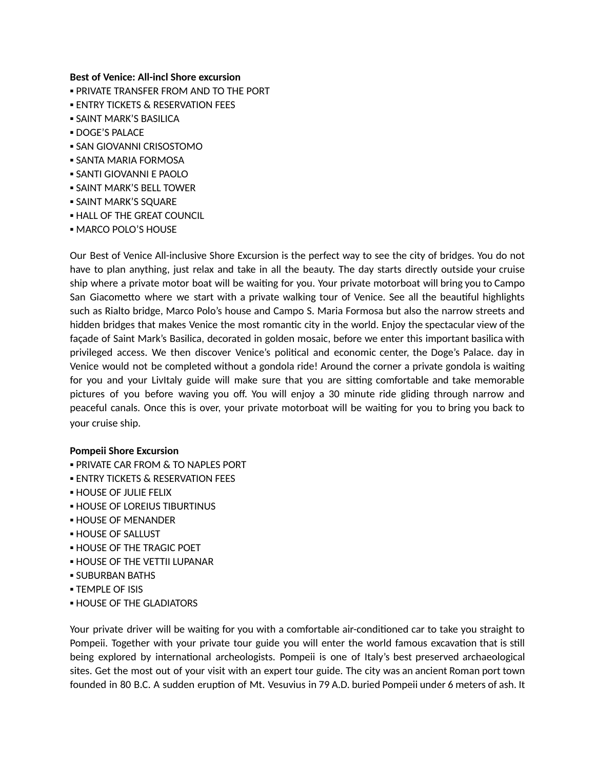#### **Best of Venice: All-incl Shore excursion**

- **. PRIVATE TRANSFER FROM AND TO THE PORT**
- **ENTRY TICKETS & RESERVATION FEES**
- **SAINT MARK'S BASILICA**
- DOGE'S PALACE
- SAN GIOVANNI CRISOSTOMO
- **. SANTA MARIA FORMOSA**
- SANTI GIOVANNI E PAOLO
- **.** SAINT MARK'S BELL TOWER
- **. SAINT MARK'S SQUARE**
- **. HALL OF THE GREAT COUNCIL**
- MARCO POLO'S HOUSE

Our Best of Venice All-inclusive Shore Excursion is the perfect way to see the city of bridges. You do not have to plan anything, just relax and take in all the beauty. The day starts directly outside your cruise ship where a private motor boat will be waiting for you. Your private motorboat will bring you to Campo San Giacometto where we start with a private walking tour of Venice. See all the beautiful highlights such as Rialto bridge, Marco Polo's house and Campo S. Maria Formosa but also the narrow streets and hidden bridges that makes Venice the most romantic city in the world. Enjoy the spectacular view of the façade of Saint Mark's Basilica, decorated in golden mosaic, before we enter this important basilica with privileged access. We then discover Venice's political and economic center, the Doge's Palace. day in Venice would not be completed without a gondola ride! Around the corner a private gondola is waiting for you and your LivItaly guide will make sure that you are sitting comfortable and take memorable pictures of you before waving you off. You will enjoy a 30 minute ride gliding through narrow and peaceful canals. Once this is over, your private motorboat will be waiting for you to bring you back to your cruise ship.

#### **Pompeii Shore Excursion**

- **. PRIVATE CAR FROM & TO NAPLES PORT**
- **ENTRY TICKETS & RESERVATION FEES**
- **. HOUSE OF JULIE FELIX**
- **. HOUSE OF LOREIUS TIBURTINUS**
- **HOUSE OF MENANDER**
- **HOUSE OF SALLUST**
- **. HOUSE OF THE TRAGIC POET**
- **. HOUSE OF THE VETTII LUPANAR**
- **.** SUBURBAN BATHS
- **TEMPLE OF ISIS**
- **. HOUSE OF THE GLADIATORS**

Your private driver will be waiting for you with a comfortable air-conditioned car to take you straight to Pompeii. Together with your private tour guide you will enter the world famous excavation that is still being explored by international archeologists. Pompeii is one of Italy's best preserved archaeological sites. Get the most out of your visit with an expert tour guide. The city was an ancient Roman port town founded in 80 B.C. A sudden eruption of Mt. Vesuvius in 79 A.D. buried Pompeii under 6 meters of ash. It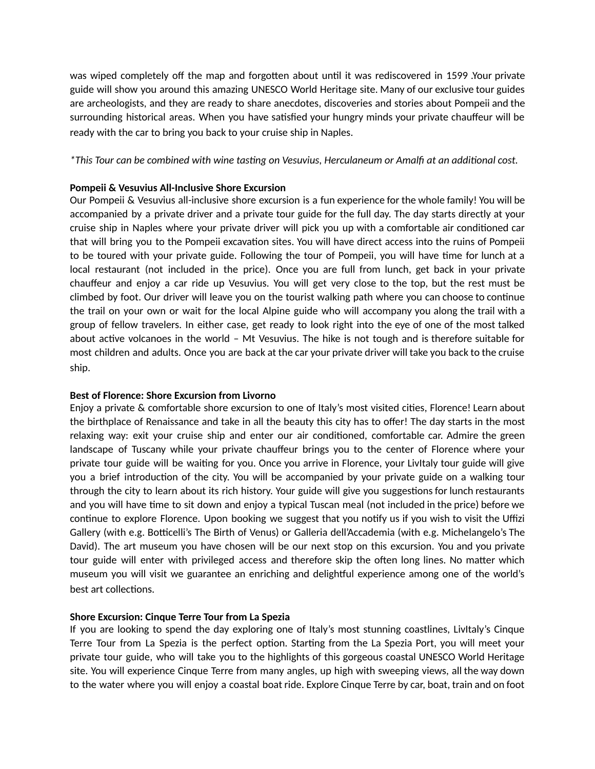was wiped completely off the map and forgotten about until it was rediscovered in 1599 .Your private guide will show you around this amazing UNESCO World Heritage site. Many of our exclusive tour guides are archeologists, and they are ready to share anecdotes, discoveries and stories about Pompeii and the surrounding historical areas. When you have satisfied your hungry minds your private chauffeur will be ready with the car to bring you back to your cruise ship in Naples.

## *\*This Tour can be combined with wine tasng on Vesuvius, Herculaneum or Amalfi at an addional cost.*

## **Pompeii & Vesuvius All-Inclusive Shore Excursion**

Our Pompeii & Vesuvius all-inclusive shore excursion is a fun experience for the whole family! You will be accompanied by a private driver and a private tour guide for the full day. The day starts directly at your cruise ship in Naples where your private driver will pick you up with a comfortable air conditioned car that will bring you to the Pompeii excavation sites. You will have direct access into the ruins of Pompeii to be toured with your private guide. Following the tour of Pompeii, you will have time for lunch at a local restaurant (not included in the price). Once you are full from lunch, get back in your private chauffeur and enjoy a car ride up Vesuvius. You will get very close to the top, but the rest must be climbed by foot. Our driver will leave you on the tourist walking path where you can choose to continue the trail on your own or wait for the local Alpine guide who will accompany you along the trail with a group of fellow travelers. In either case, get ready to look right into the eye of one of the most talked about active volcanoes in the world  $-$  Mt Vesuvius. The hike is not tough and is therefore suitable for most children and adults. Once you are back at the car your private driver will take you back to the cruise ship.

# **Best of Florence: Shore Excursion from Livorno**

Enjoy a private & comfortable shore excursion to one of Italy's most visited cities, Florence! Learn about the birthplace of Renaissance and take in all the beauty this city has to offer! The day starts in the most relaxing way: exit your cruise ship and enter our air conditioned, comfortable car. Admire the green landscape of Tuscany while your private chauffeur brings you to the center of Florence where your private tour guide will be waiting for you. Once you arrive in Florence, your Livitaly tour guide will give you a brief introduction of the city. You will be accompanied by your private guide on a walking tour through the city to learn about its rich history. Your guide will give you suggestions for lunch restaurants and you will have time to sit down and enjoy a typical Tuscan meal (not included in the price) before we continue to explore Florence. Upon booking we suggest that you notify us if you wish to visit the Uffizi Gallery (with e.g. Botticelli's The Birth of Venus) or Galleria dell'Accademia (with e.g. Michelangelo's The David). The art museum you have chosen will be our next stop on this excursion. You and you private tour guide will enter with privileged access and therefore skip the often long lines. No matter which museum you will visit we guarantee an enriching and delightful experience among one of the world's best art collections.

## **Shore Excursion: Cinque Terre Tour from La Spezia**

If you are looking to spend the day exploring one of Italy's most stunning coastlines, LivItaly's Cinque Terre Tour from La Spezia is the perfect option. Starting from the La Spezia Port, you will meet your private tour guide, who will take you to the highlights of this gorgeous coastal UNESCO World Heritage site. You will experience Cinque Terre from many angles, up high with sweeping views, all the way down to the water where you will enjoy a coastal boat ride. Explore Cinque Terre by car, boat, train and on foot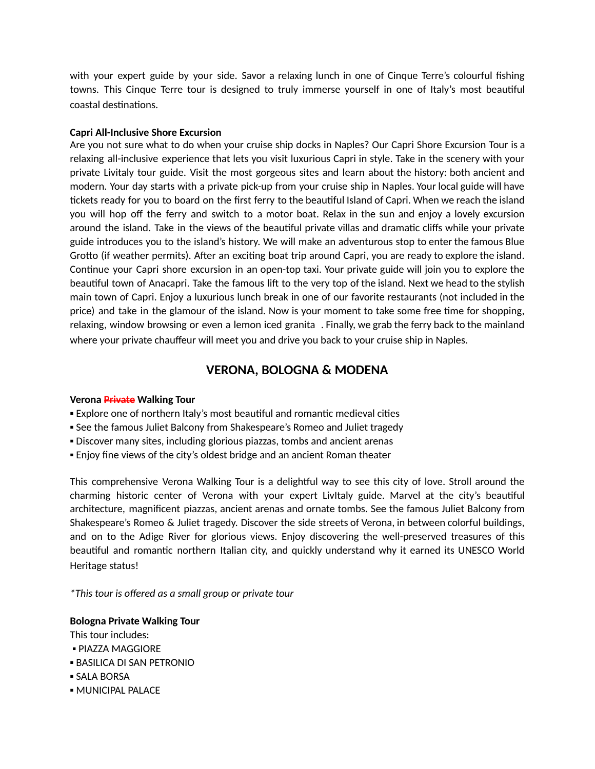with your expert guide by your side. Savor a relaxing lunch in one of Cinque Terre's colourful fishing towns. This Cinque Terre tour is designed to truly immerse yourself in one of Italy's most beautiful coastal destinations.

#### **Capri All-Inclusive Shore Excursion**

Are you not sure what to do when your cruise ship docks in Naples? Our Capri Shore Excursion Tour is a relaxing all-inclusive experience that lets you visit luxurious Capri in style. Take in the scenery with your private Livitaly tour guide. Visit the most gorgeous sites and learn about the history: both ancient and modern. Your day starts with a private pick-up from your cruise ship in Naples. Your local guide will have tickets ready for you to board on the first ferry to the beautiful Island of Capri. When we reach the island you will hop off the ferry and switch to a motor boat. Relax in the sun and enjoy a lovely excursion around the island. Take in the views of the beautiful private villas and dramatic cliffs while your private guide introduces you to the island's history. We will make an adventurous stop to enter the famous Blue Grotto (if weather permits). After an exciting boat trip around Capri, you are ready to explore the island. Continue your Capri shore excursion in an open-top taxi. Your private guide will join you to explore the beautiful town of Anacapri. Take the famous lift to the very top of the island. Next we head to the stylish main town of Capri. Enjoy a luxurious lunch break in one of our favorite restaurants (not included in the price) and take in the glamour of the island. Now is your moment to take some free time for shopping, relaxing, window browsing or even a lemon iced granita . Finally, we grab the ferry back to the mainland where your private chauffeur will meet you and drive you back to your cruise ship in Naples.

# **VERONA, BOLOGNA & MODENA**

## **Verona Private Walking Tour**

- Explore one of northern Italy's most beautiful and romantic medieval cities
- See the famous Juliet Balcony from Shakespeare's Romeo and Juliet tragedy
- **Discover many sites, including glorious piazzas, tombs and ancient arenas**
- Enjoy fine views of the city's oldest bridge and an ancient Roman theater

This comprehensive Verona Walking Tour is a delightful way to see this city of love. Stroll around the charming historic center of Verona with your expert LivItaly guide. Marvel at the city's beautiful architecture, magnificent piazzas, ancient arenas and ornate tombs. See the famous Juliet Balcony from Shakespeare's Romeo & Juliet tragedy. Discover the side streets of Verona, in between colorful buildings, and on to the Adige River for glorious views. Enjoy discovering the well-preserved treasures of this beautiful and romantic northern Italian city, and quickly understand why it earned its UNESCO World Heritage status!

*\*This tour is offered as a small group or private tour*

## **Bologna Private Walking Tour**

This tour includes:

- PIAZZA MAGGIORE
- **.** BASILICA DI SAN PETRONIO
- SALA BORSA
- **MUNICIPAL PALACE**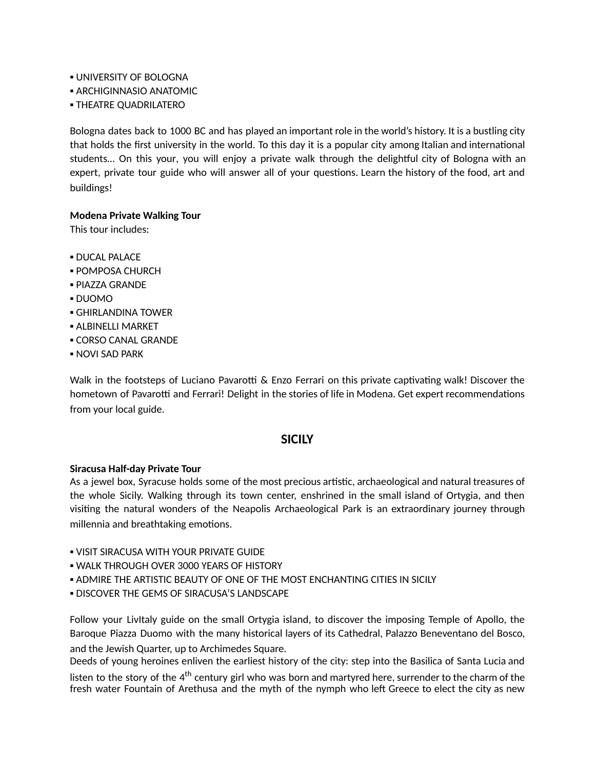- **. UNIVERSITY OF BOLOGNA**
- **. ARCHIGINNASIO ANATOMIC**
- **THEATRE QUADRILATERO**

Bologna dates back to 1000 BC and has played an important role in the world's history. It is a bustling city that holds the first university in the world. To this day it is a popular city among Italian and international students... On this your, you will enjoy a private walk through the delightful city of Bologna with an expert, private tour guide who will answer all of your questions. Learn the history of the food, art and buildings!

## **Modena Private Walking Tour**

This tour includes:

- **DUCAL PALACE**
- **POMPOSA CHURCH**
- PIAZZA GRANDE
- DUOMO
- **GHIRLANDINA TOWER**
- **E ALBINELLI MARKET**
- CORSO CANAL GRANDE
- **NOVI SAD PARK**

Walk in the footsteps of Luciano Pavarotti  $\&$  Enzo Ferrari on this private captivating walk! Discover the hometown of Pavarotti and Ferrari! Delight in the stories of life in Modena. Get expert recommendations from your local guide.

## **SICILY**

#### **Siracusa Half-day Private Tour**

As a jewel box, Syracuse holds some of the most precious artistic, archaeological and natural treasures of the whole Sicily. Walking through its town center, enshrined in the small island of Ortygia, and then vising the natural wonders of the Neapolis Archaeological Park is an extraordinary journey through millennia and breathtaking emotions.

- **. VISIT SIRACUSA WITH YOUR PRIVATE GUIDE**
- **. WALK THROUGH OVER 3000 YEARS OF HISTORY**
- **. ADMIRE THE ARTISTIC BEAUTY OF ONE OF THE MOST ENCHANTING CITIES IN SICILY**
- **. DISCOVER THE GEMS OF SIRACUSA'S LANDSCAPE**

Follow your LivItaly guide on the small Ortygia island, to discover the imposing Temple of Apollo, the Baroque Piazza Duomo with the many historical layers of its Cathedral, Palazzo Beneventano del Bosco, and the Jewish Quarter, up to Archimedes Square.

Deeds of young heroines enliven the earliest history of the city: step into the Basilica of Santa Lucia and listen to the story of the 4<sup>th</sup> century girl who was born and martyred here, surrender to the charm of the fresh water Fountain of Arethusa and the myth of the nymph who left Greece to elect the city as new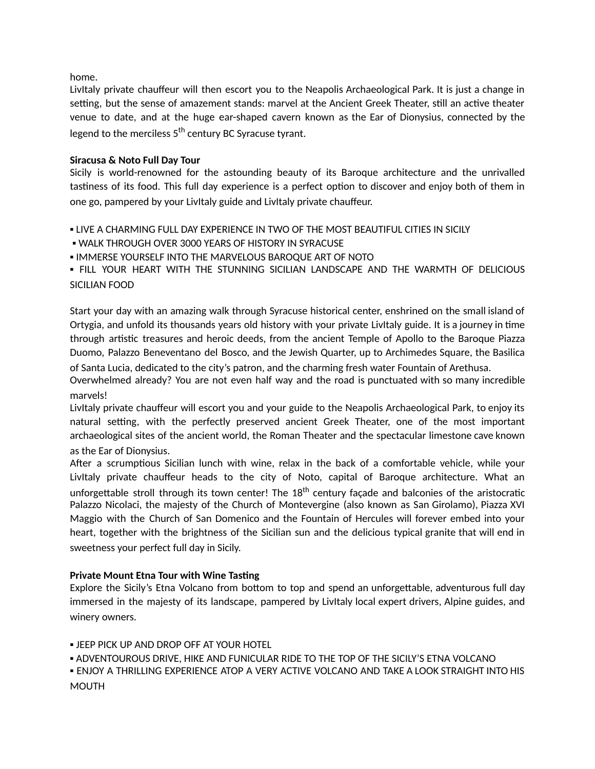home.

LivItaly private chauffeur will then escort you to the Neapolis Archaeological Park. It is just a change in setting, but the sense of amazement stands: marvel at the Ancient Greek Theater, still an active theater venue to date, and at the huge ear-shaped cavern known as the Ear of Dionysius, connected by the legend to the merciless 5<sup>th</sup> century BC Syracuse tyrant.

# **Siracusa & Noto Full Day Tour**

Sicily is world-renowned for the astounding beauty of its Baroque architecture and the unrivalled tastiness of its food. This full day experience is a perfect option to discover and enjoy both of them in one go, pampered by your LivItaly guide and LivItaly private chauffeur.

**. LIVE A CHARMING FULL DAY EXPERIENCE IN TWO OF THE MOST BEAUTIFUL CITIES IN SICILY** 

**. WALK THROUGH OVER 3000 YEARS OF HISTORY IN SYRACUSE** 

**. IMMERSE YOURSELF INTO THE MARVELOUS BAROQUE ART OF NOTO** 

▪ FILL YOUR HEART WITH THE STUNNING SICILIAN LANDSCAPE AND THE WARMTH OF DELICIOUS SICILIAN FOOD

Start your day with an amazing walk through Syracuse historical center, enshrined on the small island of Ortygia, and unfold its thousands years old history with your private LivItaly guide. It is a journey in time through artistic treasures and heroic deeds, from the ancient Temple of Apollo to the Baroque Piazza Duomo, Palazzo Beneventano del Bosco, and the Jewish Quarter, up to Archimedes Square, the Basilica

of Santa Lucia, dedicated to the city's patron, and the charming fresh water Fountain of Arethusa.

Overwhelmed already? You are not even half way and the road is punctuated with so many incredible marvels!

LivItaly private chauffeur will escort you and your guide to the Neapolis Archaeological Park, to enjoy its natural setting, with the perfectly preserved ancient Greek Theater, one of the most important archaeological sites of the ancient world, the Roman Theater and the spectacular limestone cave known as the Ear of Dionysius.

After a scrumptious Sicilian lunch with wine, relax in the back of a comfortable vehicle, while your LivItaly private chauffeur heads to the city of Noto, capital of Baroque architecture. What an unforgettable stroll through its town center! The 18<sup>th</sup> century façade and balconies of the aristocratic Palazzo Nicolaci, the majesty of the Church of Montevergine (also known as San Girolamo), Piazza XVI Maggio with the Church of San Domenico and the Fountain of Hercules will forever embed into your heart, together with the brightness of the Sicilian sun and the delicious typical granite that will end in sweetness your perfect full day in Sicily.

## **Private Mount Etna Tour with Wine Tasting**

Explore the Sicily's Etna Volcano from bottom to top and spend an unforgettable, adventurous full day immersed in the majesty of its landscape, pampered by LivItaly local expert drivers, Alpine guides, and winery owners.

**.** JEEP PICK UP AND DROP OFF AT YOUR HOTEL

▪ ADVENTOUROUS DRIVE, HIKE AND FUNICULAR RIDE TO THE TOP OF THE SICILY'S ETNA VOLCANO

**.** ENJOY A THRILLING EXPERIENCE ATOP A VERY ACTIVE VOLCANO AND TAKE A LOOK STRAIGHT INTO HIS **MOUTH**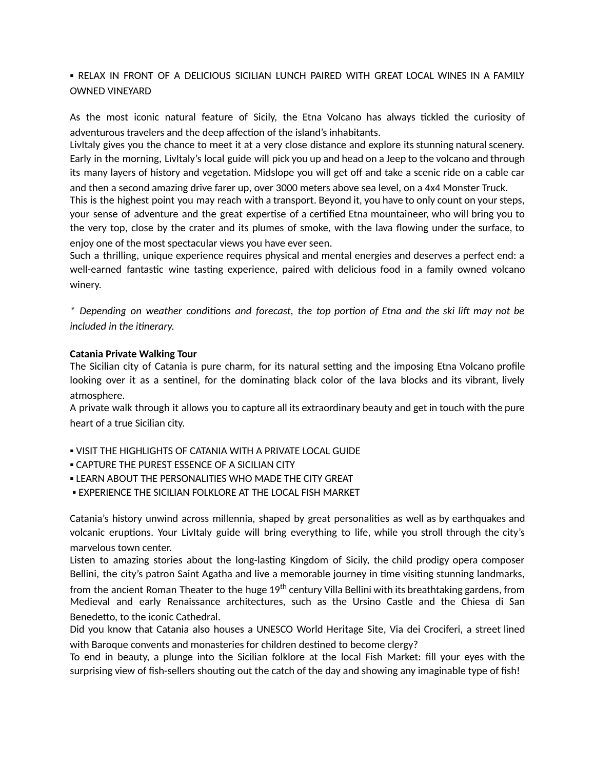# . RELAX IN FRONT OF A DELICIOUS SICILIAN LUNCH PAIRED WITH GREAT LOCAL WINES IN A FAMILY OWNED VINEYARD

As the most iconic natural feature of Sicily, the Etna Volcano has always tickled the curiosity of adventurous travelers and the deep affection of the island's inhabitants.

LivItaly gives you the chance to meet it at a very close distance and explore its stunning natural scenery. Early in the morning, LivItaly's local guide will pick you up and head on a Jeep to the volcano and through its many layers of history and vegetation. Midslope you will get off and take a scenic ride on a cable car and then a second amazing drive farer up, over 3000 meters above sea level, on a 4x4 Monster Truck.

This is the highest point you may reach with a transport. Beyond it, you have to only count on your steps, your sense of adventure and the great expertise of a certified Etna mountaineer, who will bring you to the very top, close by the crater and its plumes of smoke, with the lava flowing under the surface, to enjoy one of the most spectacular views you have ever seen.

Such a thrilling, unique experience requires physical and mental energies and deserves a perfect end: a well-earned fantastic wine tasting experience, paired with delicious food in a family owned volcano winery.

\* Depending on weather conditions and forecast, the top portion of Etna and the ski lift may not be *included in the inerary.*

## **Catania Private Walking Tour**

The Sicilian city of Catania is pure charm, for its natural setting and the imposing Etna Volcano profile looking over it as a sentinel, for the dominating black color of the lava blocks and its vibrant, lively atmosphere.

A private walk through it allows you to capture all its extraordinary beauty and get in touch with the pure heart of a true Sicilian city.

- **.** VISIT THE HIGHLIGHTS OF CATANIA WITH A PRIVATE LOCAL GUIDE
- **. CAPTURE THE PUREST ESSENCE OF A SICILIAN CITY**
- **. LEARN ABOUT THE PERSONALITIES WHO MADE THE CITY GREAT**
- **EXPERIENCE THE SICILIAN FOLKLORE AT THE LOCAL FISH MARKET**

Catania's history unwind across millennia, shaped by great personalities as well as by earthquakes and volcanic eruptions. Your Livitaly guide will bring everything to life, while you stroll through the city's marvelous town center.

Listen to amazing stories about the long-lasting Kingdom of Sicily, the child prodigy opera composer Bellini, the city's patron Saint Agatha and live a memorable journey in time visiting stunning landmarks,

from the ancient Roman Theater to the huge 19<sup>th</sup> century Villa Bellini with its breathtaking gardens, from Medieval and early Renaissance architectures, such as the Ursino Castle and the Chiesa di San Benedetto, to the iconic Cathedral.

Did you know that Catania also houses a UNESCO World Heritage Site, Via dei Crociferi, a street lined with Baroque convents and monasteries for children destined to become clergy?

To end in beauty, a plunge into the Sicilian folklore at the local Fish Market: fill your eyes with the surprising view of fish-sellers shouting out the catch of the day and showing any imaginable type of fish!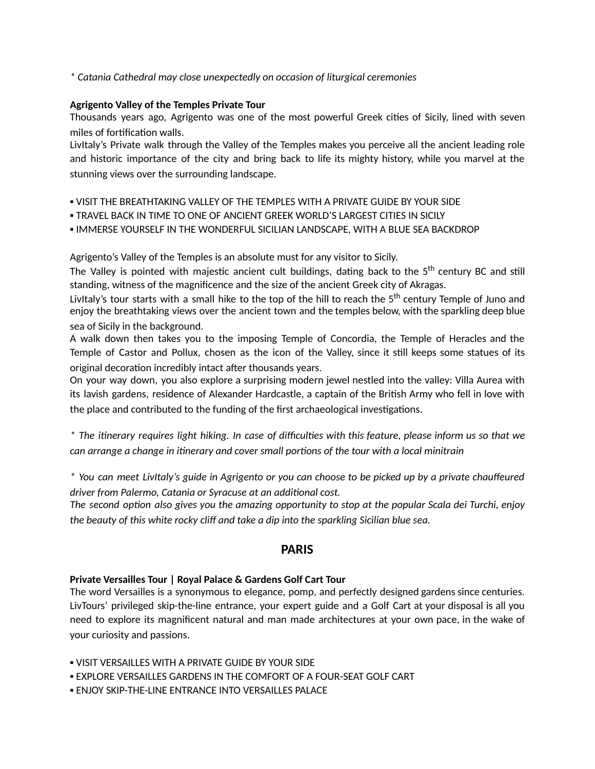*\* Catania Cathedral may close unexpectedly on occasion of liturgical ceremonies*

## **Agrigento Valley of the Temples Private Tour**

Thousands years ago, Agrigento was one of the most powerful Greek cities of Sicily, lined with seven miles of fortification walls.

LivItaly's Private walk through the Valley of the Temples makes you perceive all the ancient leading role and historic importance of the city and bring back to life its mighty history, while you marvel at the stunning views over the surrounding landscape.

▪ VISIT THE BREATHTAKING VALLEY OF THE TEMPLES WITH A PRIVATE GUIDE BY YOUR SIDE

- TRAVEL BACK IN TIME TO ONE OF ANCIENT GREEK WORLD'S LARGEST CITIES IN SICILY
- IMMERSE YOURSELF IN THE WONDERFUL SICILIAN LANDSCAPE, WITH A BLUE SEA BACKDROP

Agrigento's Valley of the Temples is an absolute must for any visitor to Sicily.

The Valley is pointed with majestic ancient cult buildings, dating back to the 5<sup>th</sup> century BC and still standing, witness of the magnificence and the size of the ancient Greek city of Akragas.

LivItaly's tour starts with a small hike to the top of the hill to reach the 5<sup>th</sup> century Temple of Juno and enjoy the breathtaking views over the ancient town and the temples below, with the sparkling deep blue sea of Sicily in the background.

A walk down then takes you to the imposing Temple of Concordia, the Temple of Heracles and the Temple of Castor and Pollux, chosen as the icon of the Valley, since it still keeps some statues of its original decoration incredibly intact after thousands years.

On your way down, you also explore a surprising modern jewel nestled into the valley: Villa Aurea with its lavish gardens, residence of Alexander Hardcastle, a captain of the British Army who fell in love with the place and contributed to the funding of the first archaeological investigations.

\* The itinerary requires light hiking. In case of difficulties with this feature, please inform us so that we *can arrange a change in inerary and cover small porons of the tour with a local minitrain*

\* You can meet LivItaly's guide in Agrigento or you can choose to be picked up by a private chauffeured *driver from Palermo, Catania or Syracuse at an addional cost.*

The second option also gives you the amazing opportunity to stop at the popular Scala dei Turchi, enjoy *the beauty of this white rocky cliff and take a dip into the sparkling Sicilian blue sea.*

# **PARIS**

# **Private Versailles Tour | Royal Palace & Gardens Golf Cart Tour**

The word Versailles is a synonymous to elegance, pomp, and perfectly designed gardens since centuries. LivTours' privileged skip-the-line entrance, your expert guide and a Golf Cart at your disposal is all you need to explore its magnificent natural and man made architectures at your own pace, in the wake of your curiosity and passions.

- **.** VISIT VERSAILLES WITH A PRIVATE GUIDE BY YOUR SIDE
- EXPLORE VERSAILLES GARDENS IN THE COMFORT OF A FOUR-SEAT GOLF CART
- **. ENJOY SKIP-THE-LINE ENTRANCE INTO VERSAILLES PALACE**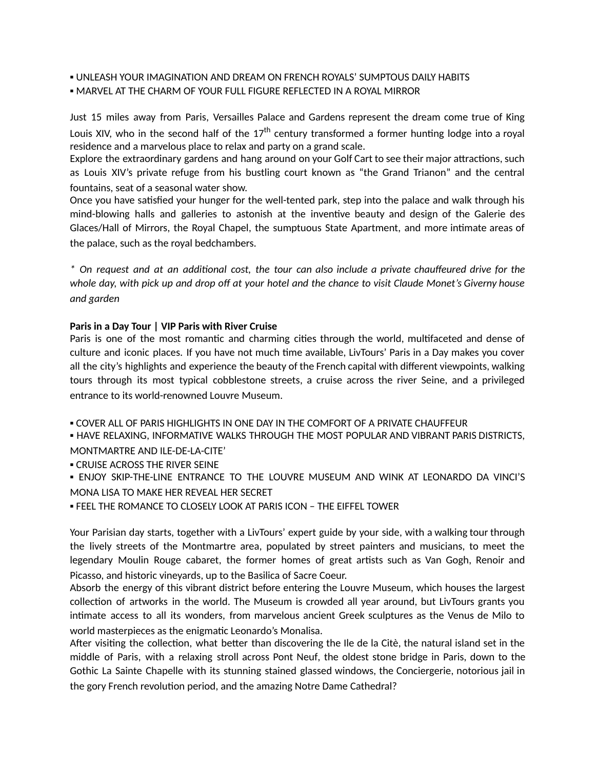- UNLEASH YOUR IMAGINATION AND DREAM ON FRENCH ROYALS' SUMPTOUS DAILY HABITS
- **. MARVEL AT THE CHARM OF YOUR FULL FIGURE REFLECTED IN A ROYAL MIRROR**

Just 15 miles away from Paris, Versailles Palace and Gardens represent the dream come true of King Louis XIV, who in the second half of the 17<sup>th</sup> century transformed a former hunting lodge into a royal residence and a marvelous place to relax and party on a grand scale.

Explore the extraordinary gardens and hang around on your Golf Cart to see their major attractions, such as Louis XIV's private refuge from his bustling court known as "the Grand Trianon" and the central fountains, seat of a seasonal water show.

Once you have satisfied your hunger for the well-tented park, step into the palace and walk through his mind-blowing halls and galleries to astonish at the inventive beauty and design of the Galerie des Glaces/Hall of Mirrors, the Royal Chapel, the sumptuous State Apartment, and more intimate areas of the palace, such as the royal bedchambers.

\* On request and at an additional cost, the tour can also include a private chauffeured drive for the whole day, with pick up and drop off at your hotel and the chance to visit Claude Monet's Giverny house *and garden*

# **Paris in a Day Tour | VIP Paris with River Cruise**

Paris is one of the most romantic and charming cities through the world, multifaceted and dense of culture and iconic places. If you have not much time available, LivTours' Paris in a Day makes you cover all the city's highlights and experience the beauty of the French capital with different viewpoints, walking tours through its most typical cobblestone streets, a cruise across the river Seine, and a privileged entrance to its world-renowned Louvre Museum.

▪ COVER ALL OF PARIS HIGHLIGHTS IN ONE DAY IN THE COMFORT OF A PRIVATE CHAUFFEUR

▪ HAVE RELAXING, INFORMATIVE WALKS THROUGH THE MOST POPULAR AND VIBRANT PARIS DISTRICTS, MONTMARTRE AND ILE-DE-LA-CITE'

**• CRUISE ACROSS THE RIVER SEINE** 

▪ ENJOY SKIP-THE-LINE ENTRANCE TO THE LOUVRE MUSEUM AND WINK AT LEONARDO DA VINCI'S MONA LISA TO MAKE HER REVEAL HER SECRET

**.** FEEL THE ROMANCE TO CLOSELY LOOK AT PARIS ICON - THE EIFFEL TOWER

Your Parisian day starts, together with a LivTours' expert guide by your side, with a walking tour through the lively streets of the Montmartre area, populated by street painters and musicians, to meet the legendary Moulin Rouge cabaret, the former homes of great artists such as Van Gogh, Renoir and Picasso, and historic vineyards, up to the Basilica of Sacre Coeur.

Absorb the energy of this vibrant district before entering the Louvre Museum, which houses the largest collection of artworks in the world. The Museum is crowded all year around, but LivTours grants you inmate access to all its wonders, from marvelous ancient Greek sculptures as the Venus de Milo to world masterpieces as the enigmatic Leonardo's Monalisa.

After visiting the collection, what better than discovering the Ile de la Citè, the natural island set in the middle of Paris, with a relaxing stroll across Pont Neuf, the oldest stone bridge in Paris, down to the Gothic La Sainte Chapelle with its stunning stained glassed windows, the Conciergerie, notorious jail in the gory French revolution period, and the amazing Notre Dame Cathedral?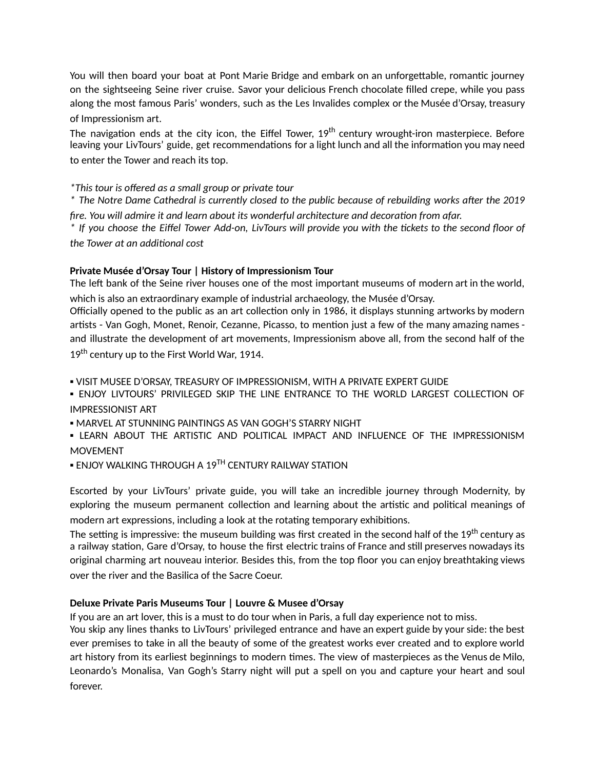You will then board your boat at Pont Marie Bridge and embark on an unforgettable, romantic journey on the sightseeing Seine river cruise. Savor your delicious French chocolate filled crepe, while you pass along the most famous Paris' wonders, such as the Les Invalides complex or the Musée d'Orsay, treasury of Impressionism art.

The navigation ends at the city icon, the Eiffel Tower, 19<sup>th</sup> century wrought-iron masterpiece. Before leaving your LivTours' guide, get recommendations for a light lunch and all the information you may need to enter the Tower and reach its top.

# *\*This tour is offered as a small group or private tour*

\* The Notre Dame Cathedral is currently closed to the public because of rebuilding works after the 2019 *fire. You will admire it and learn about its wonderful architecture and decoraon from afar.*

f If you choose the Eiffel Tower Add-on, LivTours will provide you with the tickets to the second floor of \* *the Tower at an addional cost*

# **Private Musée d'Orsay Tour | History of Impressionism Tour**

The left bank of the Seine river houses one of the most important museums of modern art in the world, which is also an extraordinary example of industrial archaeology, the Musée d'Orsay.

Officially opened to the public as an art collection only in 1986, it displays stunning artworks by modern artists - Van Gogh, Monet, Renoir, Cezanne, Picasso, to mention just a few of the many amazing names and illustrate the development of art movements, Impressionism above all, from the second half of the 19<sup>th</sup> century up to the First World War, 1914.

▪ VISIT MUSEE D'ORSAY, TREASURY OF IMPRESSIONISM, WITH A PRIVATE EXPERT GUIDE

. ENJOY LIVTOURS' PRIVILEGED SKIP THE LINE ENTRANCE TO THE WORLD LARGEST COLLECTION OF IMPRESSIONIST ART

**• MARVEL AT STUNNING PAINTINGS AS VAN GOGH'S STARRY NIGHT** 

**.** LEARN ABOUT THE ARTISTIC AND POLITICAL IMPACT AND INFLUENCE OF THE IMPRESSIONISM MOVEMENT

 $\blacksquare$  ENJOY WALKING THROUGH A 19 $^{\textsf{TH}}$  CENTURY RAILWAY STATION

Escorted by your LivTours' private guide, you will take an incredible journey through Modernity, by exploring the museum permanent collection and learning about the artistic and political meanings of modern art expressions, including a look at the rotating temporary exhibitions.

The setting is impressive: the museum building was first created in the second half of the 19<sup>th</sup> century as a railway station, Gare d'Orsay, to house the first electric trains of France and still preserves nowadays its original charming art nouveau interior. Besides this, from the top floor you can enjoy breathtaking views over the river and the Basilica of the Sacre Coeur.

# **Deluxe Private Paris Museums Tour | Louvre & Musee d'Orsay**

If you are an art lover, this is a must to do tour when in Paris, a full day experience not to miss.

You skip any lines thanks to LivTours' privileged entrance and have an expert guide by your side: the best ever premises to take in all the beauty of some of the greatest works ever created and to explore world art history from its earliest beginnings to modern times. The view of masterpieces as the Venus de Milo, Leonardo's Monalisa, Van Gogh's Starry night will put a spell on you and capture your heart and soul forever.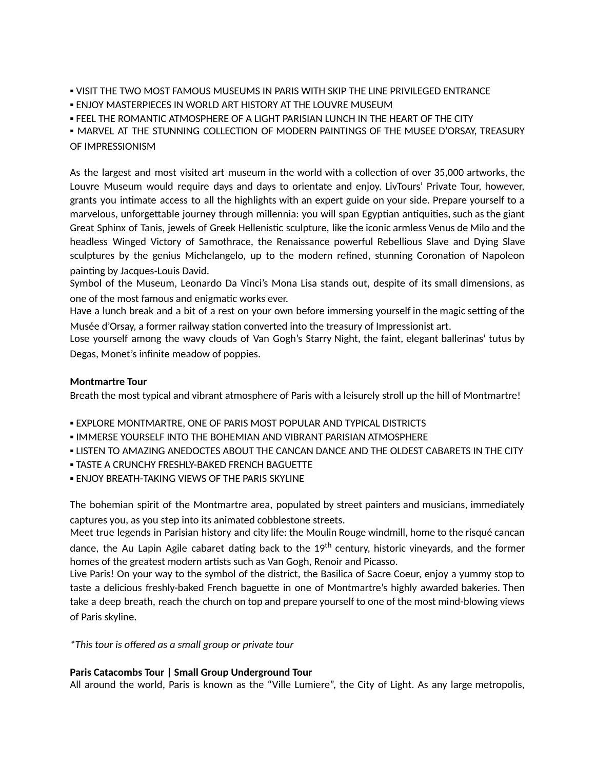**. VISIT THE TWO MOST FAMOUS MUSEUMS IN PARIS WITH SKIP THE LINE PRIVILEGED ENTRANCE** 

**.** ENJOY MASTERPIECES IN WORLD ART HISTORY AT THE LOUVRE MUSEUM

**• FEEL THE ROMANTIC ATMOSPHERE OF A LIGHT PARISIAN LUNCH IN THE HEART OF THE CITY** 

▪ MARVEL AT THE STUNNING COLLECTION OF MODERN PAINTINGS OF THE MUSEE D'ORSAY, TREASURY OF IMPRESSIONISM

As the largest and most visited art museum in the world with a collection of over 35,000 artworks, the Louvre Museum would require days and days to orientate and enjoy. LivTours' Private Tour, however, grants you intimate access to all the highlights with an expert guide on your side. Prepare yourself to a marvelous, unforgettable journey through millennia: you will span Egyptian antiquities, such as the giant Great Sphinx of Tanis, jewels of Greek Hellenistic sculpture, like the iconic armless Venus de Milo and the headless Winged Victory of Samothrace, the Renaissance powerful Rebellious Slave and Dying Slave sculptures by the genius Michelangelo, up to the modern refined, stunning Coronation of Napoleon painting by Jacques-Louis David.

Symbol of the Museum, Leonardo Da Vinci's Mona Lisa stands out, despite of its small dimensions, as one of the most famous and enigmatic works ever.

Have a lunch break and a bit of a rest on your own before immersing yourself in the magic setting of the Musée d'Orsay, a former railway station converted into the treasury of Impressionist art.

Lose yourself among the wavy clouds of Van Gogh's Starry Night, the faint, elegant ballerinas' tutus by Degas, Monet's infinite meadow of poppies.

## **Montmartre Tour**

Breath the most typical and vibrant atmosphere of Paris with a leisurely stroll up the hill of Montmartre!

- EXPLORE MONTMARTRE, ONE OF PARIS MOST POPULAR AND TYPICAL DISTRICTS
- **. IMMERSE YOURSELF INTO THE BOHEMIAN AND VIBRANT PARISIAN ATMOSPHERE**
- **.** LISTEN TO AMAZING ANEDOCTES ABOUT THE CANCAN DANCE AND THE OLDEST CABARETS IN THE CITY
- **TASTE A CRUNCHY FRESHLY-BAKED FRENCH BAGUETTE**
- **. ENJOY BREATH-TAKING VIEWS OF THE PARIS SKYLINE**

The bohemian spirit of the Montmartre area, populated by street painters and musicians, immediately captures you, as you step into its animated cobblestone streets.

Meet true legends in Parisian history and city life: the Moulin Rouge windmill, home to the risqué cancan dance, the Au Lapin Agile cabaret dating back to the 19<sup>th</sup> century, historic vineyards, and the former homes of the greatest modern artists such as Van Gogh, Renoir and Picasso.

Live Paris! On your way to the symbol of the district, the Basilica of Sacre Coeur, enjoy a yummy stop to taste a delicious freshly-baked French baguette in one of Montmartre's highly awarded bakeries. Then take a deep breath, reach the church on top and prepare yourself to one of the most mind-blowing views of Paris skyline.

*\*This tour is offered as a small group or private tour*

## **Paris Catacombs Tour | Small Group Underground Tour**

All around the world, Paris is known as the "Ville Lumiere", the City of Light. As any large metropolis,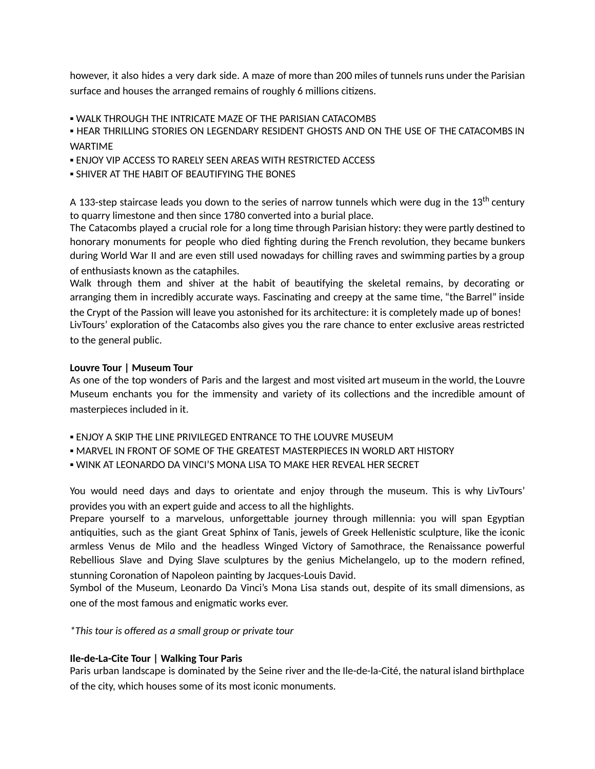however, it also hides a very dark side. A maze of more than 200 miles of tunnels runs under the Parisian surface and houses the arranged remains of roughly 6 millions citizens.

**. WALK THROUGH THE INTRICATE MAZE OF THE PARISIAN CATACOMBS** 

**. HEAR THRILLING STORIES ON LEGENDARY RESIDENT GHOSTS AND ON THE USE OF THE CATACOMBS IN** WARTIME

**. ENJOY VIP ACCESS TO RARELY SEEN AREAS WITH RESTRICTED ACCESS** 

**. SHIVER AT THE HABIT OF BEAUTIFYING THE BONES** 

A 133-step staircase leads you down to the series of narrow tunnels which were dug in the 13<sup>th</sup> century to quarry limestone and then since 1780 converted into a burial place.

The Catacombs played a crucial role for a long time through Parisian history: they were partly destined to honorary monuments for people who died fighting during the French revolution, they became bunkers during World War II and are even still used nowadays for chilling raves and swimming parties by a group of enthusiasts known as the cataphiles.

Walk through them and shiver at the habit of beautifying the skeletal remains, by decorating or arranging them in incredibly accurate ways. Fascinating and creepy at the same time, "the Barrel" inside the Crypt of the Passion will leave you astonished for its architecture: it is completely made up of bones! LivTours' exploration of the Catacombs also gives you the rare chance to enter exclusive areas restricted to the general public.

## **Louvre Tour | Museum Tour**

As one of the top wonders of Paris and the largest and most visited art museum in the world, the Louvre Museum enchants you for the immensity and variety of its collections and the incredible amount of masterpieces included in it.

- **.** ENJOY A SKIP THE LINE PRIVILEGED ENTRANCE TO THE LOUVRE MUSEUM
- **MARVEL IN FRONT OF SOME OF THE GREATEST MASTERPIECES IN WORLD ART HISTORY**
- WINK AT LEONARDO DA VINCI'S MONA LISA TO MAKE HER REVEAL HER SECRET

You would need days and days to orientate and enjoy through the museum. This is why LivTours' provides you with an expert guide and access to all the highlights.

Prepare yourself to a marvelous, unforgettable journey through millennia: you will span Egyptian antiquities, such as the giant Great Sphinx of Tanis, jewels of Greek Hellenistic sculpture, like the iconic armless Venus de Milo and the headless Winged Victory of Samothrace, the Renaissance powerful Rebellious Slave and Dying Slave sculptures by the genius Michelangelo, up to the modern refined, stunning Coronation of Napoleon painting by Jacques-Louis David.

Symbol of the Museum, Leonardo Da Vinci's Mona Lisa stands out, despite of its small dimensions, as one of the most famous and enigmatic works ever.

*\*This tour is offered as a small group or private tour*

# **Ile-de-La-Cite Tour | Walking Tour Paris**

Paris urban landscape is dominated by the Seine river and the Ile-de-la-Cité, the natural island birthplace of the city, which houses some of its most iconic monuments.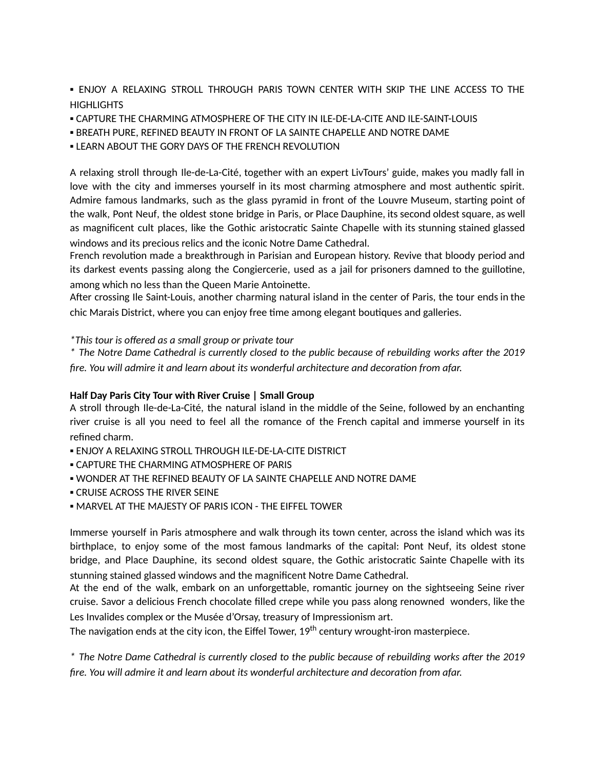. ENJOY A RELAXING STROLL THROUGH PARIS TOWN CENTER WITH SKIP THE LINE ACCESS TO THE **HIGHLIGHTS** 

- CAPTURE THE CHARMING ATMOSPHERE OF THE CITY IN ILE-DE-LA-CITE AND ILE-SAINT-LOUIS
- **.** BREATH PURE, REFINED BEAUTY IN FRONT OF LA SAINTE CHAPELLE AND NOTRE DAME
- **. LEARN ABOUT THE GORY DAYS OF THE FRENCH REVOLUTION**

A relaxing stroll through Ile-de-La-Cité, together with an expert LivTours' guide, makes you madly fall in love with the city and immerses yourself in its most charming atmosphere and most authentic spirit. Admire famous landmarks, such as the glass pyramid in front of the Louvre Museum, starting point of the walk, Pont Neuf, the oldest stone bridge in Paris, or Place Dauphine, its second oldest square, as well as magnificent cult places, like the Gothic aristocratic Sainte Chapelle with its stunning stained glassed windows and its precious relics and the iconic Notre Dame Cathedral.

French revolution made a breakthrough in Parisian and European history. Revive that bloody period and its darkest events passing along the Congiercerie, used as a jail for prisoners damned to the guillotine, among which no less than the Queen Marie Antoinette.

After crossing Ile Saint-Louis, another charming natural island in the center of Paris, the tour ends in the chic Marais District, where you can enjoy free time among elegant boutiques and galleries.

*\*This tour is offered as a small group or private tour*

\* The Notre Dame Cathedral is currently closed to the public because of rebuilding works after the 2019 *fire. You will admire it and learn about its wonderful architecture and decoraon from afar.*

## **Half Day Paris City Tour with River Cruise | Small Group**

A stroll through Ile-de-La-Cité, the natural island in the middle of the Seine, followed by an enchanting river cruise is all you need to feel all the romance of the French capital and immerse yourself in its refined charm.

- ENJOY A RELAXING STROLL THROUGH ILE-DE-LA-CITE DISTRICT
- **. CAPTURE THE CHARMING ATMOSPHERE OF PARIS**
- WONDER AT THE REFINED BEAUTY OF LA SAINTE CHAPELLE AND NOTRE DAME
- **CRUISE ACROSS THE RIVER SEINE**
- **. MARVEL AT THE MAJESTY OF PARIS ICON THE EIFFEL TOWER**

Immerse yourself in Paris atmosphere and walk through its town center, across the island which was its birthplace, to enjoy some of the most famous landmarks of the capital: Pont Neuf, its oldest stone bridge, and Place Dauphine, its second oldest square, the Gothic aristocratic Sainte Chapelle with its stunning stained glassed windows and the magnificent Notre Dame Cathedral.

At the end of the walk, embark on an unforgettable, romantic journey on the sightseeing Seine river cruise. Savor a delicious French chocolate filled crepe while you pass along renowned wonders, like the Les Invalides complex or the Musée d'Orsay, treasury of Impressionism art.

The navigation ends at the city icon, the Eiffel Tower, 19<sup>th</sup> century wrought-iron masterpiece.

\* The Notre Dame Cathedral is currently closed to the public because of rebuilding works after the 2019 *fire. You will admire it and learn about its wonderful architecture and decoraon from afar.*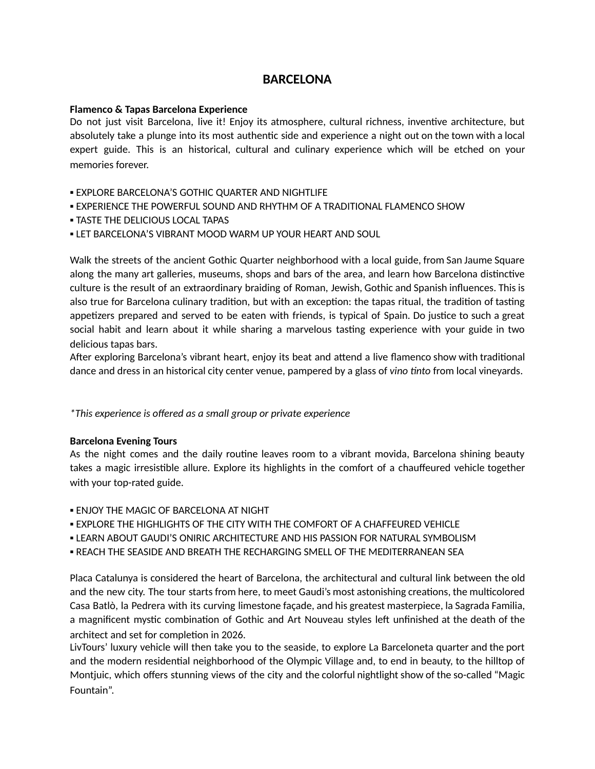# **BARCELONA**

## **Flamenco & Tapas Barcelona Experience**

Do not just visit Barcelona, live it! Enjoy its atmosphere, cultural richness, inventive architecture, but absolutely take a plunge into its most authentic side and experience a night out on the town with a local expert guide. This is an historical, cultural and culinary experience which will be etched on your memories forever.

- **EXPLORE BARCELONA'S GOTHIC QUARTER AND NIGHTLIFE**
- **.** EXPERIENCE THE POWERFUL SOUND AND RHYTHM OF A TRADITIONAL FLAMENCO SHOW
- **. TASTE THE DELICIOUS LOCAL TAPAS**
- **. LET BARCELONA'S VIBRANT MOOD WARM UP YOUR HEART AND SOUL**

Walk the streets of the ancient Gothic Quarter neighborhood with a local guide, from San Jaume Square along the many art galleries, museums, shops and bars of the area, and learn how Barcelona distinctive culture is the result of an extraordinary braiding of Roman, Jewish, Gothic and Spanish influences. This is also true for Barcelona culinary tradition, but with an exception: the tapas ritual, the tradition of tasting appetizers prepared and served to be eaten with friends, is typical of Spain. Do justice to such a great social habit and learn about it while sharing a marvelous tasting experience with your guide in two delicious tapas bars.

After exploring Barcelona's vibrant heart, enjoy its beat and attend a live flamenco show with traditional dance and dress in an historical city center venue, pampered by a glass of *vino nto* from local vineyards.

*\*This experience is offered as a small group or private experience*

## **Barcelona Evening Tours**

As the night comes and the daily routine leaves room to a vibrant movida, Barcelona shining beauty takes a magic irresistible allure. Explore its highlights in the comfort of a chauffeured vehicle together with your top-rated guide.

- **. FNJOY THE MAGIC OF BARCELONA AT NIGHT**
- **EXPLORE THE HIGHLIGHTS OF THE CITY WITH THE COMFORT OF A CHAFFEURED VEHICLE**
- **. LEARN ABOUT GAUDI'S ONIRIC ARCHITECTURE AND HIS PASSION FOR NATURAL SYMBOLISM**
- REACH THE SEASIDE AND BREATH THE RECHARGING SMELL OF THE MEDITERRANEAN SEA

Placa Catalunya is considered the heart of Barcelona, the architectural and cultural link between the old and the new city. The tour starts from here, to meet Gaudi's most astonishing creations, the multicolored Casa Batlò, la Pedrera with its curving limestone façade, and his greatest masterpiece, la Sagrada Familia, a magnificent mystic combination of Gothic and Art Nouveau styles left unfinished at the death of the architect and set for completion in 2026.

LivTours' luxury vehicle will then take you to the seaside, to explore La Barceloneta quarter and the port and the modern residential neighborhood of the Olympic Village and, to end in beauty, to the hilltop of Montjuic, which offers stunning views of the city and the colorful nightlight show of the so-called "Magic Fountain".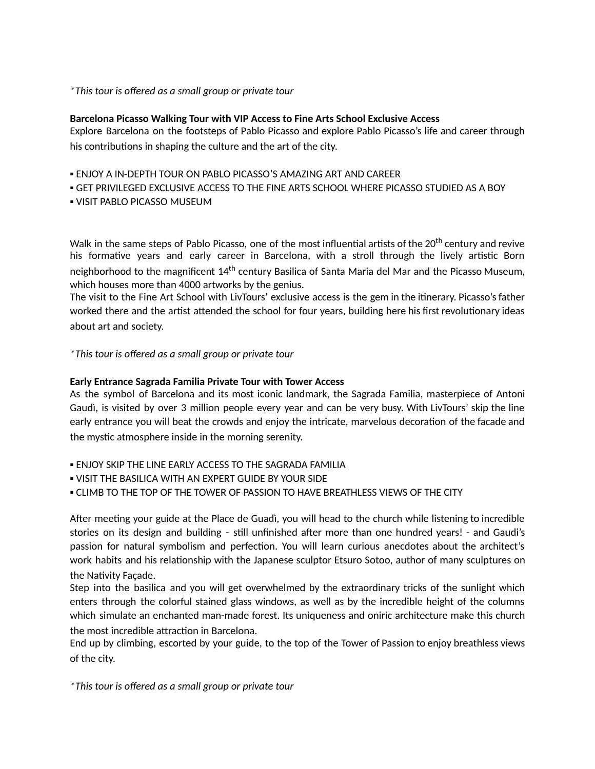## *\*This tour is offered as a small group or private tour*

## **Barcelona Picasso Walking Tour with VIP Access to Fine Arts School Exclusive Access**

Explore Barcelona on the footsteps of Pablo Picasso and explore Pablo Picasso's life and career through his contributions in shaping the culture and the art of the city.

- ENJOY A IN-DEPTH TOUR ON PABLO PICASSO'S AMAZING ART AND CAREER
- GET PRIVILEGED EXCLUSIVE ACCESS TO THE FINE ARTS SCHOOL WHERE PICASSO STUDIED AS A BOY
- **.** VISIT PABLO PICASSO MUSEUM

Walk in the same steps of Pablo Picasso, one of the most influential artists of the 20<sup>th</sup> century and revive his formative years and early career in Barcelona, with a stroll through the lively artistic Born neighborhood to the magnificent 14<sup>th</sup> century Basilica of Santa Maria del Mar and the Picasso Museum, which houses more than 4000 artworks by the genius.

The visit to the Fine Art School with LivTours' exclusive access is the gem in the itinerary. Picasso's father worked there and the artist attended the school for four years, building here his first revolutionary ideas about art and society.

*\*This tour is offered as a small group or private tour*

## **Early Entrance Sagrada Familia Private Tour with Tower Access**

As the symbol of Barcelona and its most iconic landmark, the Sagrada Familia, masterpiece of Antoni Gaudì, is visited by over 3 million people every year and can be very busy. With LivTours' skip the line early entrance you will beat the crowds and enjoy the intricate, marvelous decoration of the facade and the mystic atmosphere inside in the morning serenity.

- **. ENJOY SKIP THE LINE EARLY ACCESS TO THE SAGRADA FAMILIA**
- **.** VISIT THE BASILICA WITH AN EXPERT GUIDE BY YOUR SIDE
- **.** CLIMB TO THE TOP OF THE TOWER OF PASSION TO HAVE BREATHLESS VIEWS OF THE CITY

After meeting your guide at the Place de Guadì, you will head to the church while listening to incredible stories on its design and building - still unfinished after more than one hundred years! - and Gaudi's passion for natural symbolism and perfection. You will learn curious anecdotes about the architect's work habits and his relationship with the Japanese sculptor Etsuro Sotoo, author of many sculptures on the Nativity Façade.

Step into the basilica and you will get overwhelmed by the extraordinary tricks of the sunlight which enters through the colorful stained glass windows, as well as by the incredible height of the columns which simulate an enchanted man-made forest. Its uniqueness and oniric architecture make this church the most incredible attraction in Barcelona.

End up by climbing, escorted by your guide, to the top of the Tower of Passion to enjoy breathless views of the city.

*\*This tour is offered as a small group or private tour*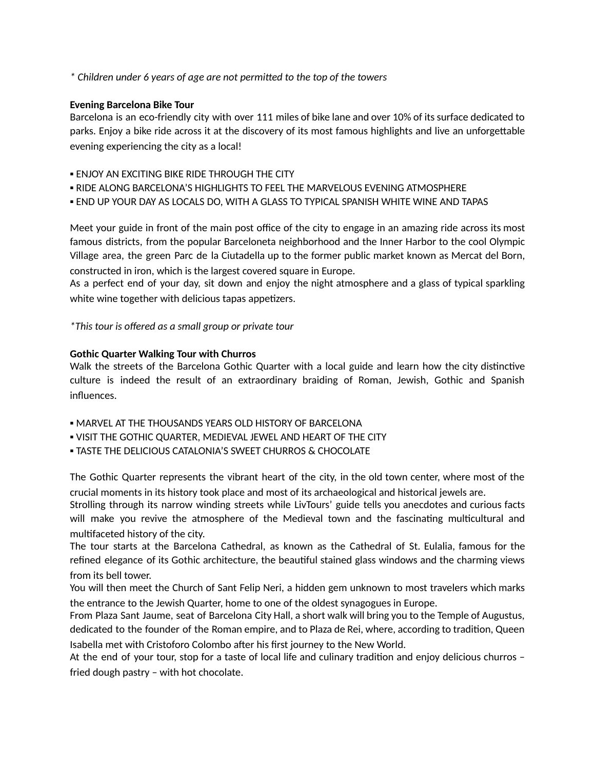*\* Children under 6 years of age are not permied to the top of the towers*

# **Evening Barcelona Bike Tour**

Barcelona is an eco-friendly city with over 111 miles of bike lane and over 10% of its surface dedicated to parks. Enjoy a bike ride across it at the discovery of its most famous highlights and live an unforgettable evening experiencing the city as a local!

- **. ENJOY AN EXCITING BIKE RIDE THROUGH THE CITY**
- RIDE ALONG BARCELONA'S HIGHLIGHTS TO FEEL THE MARVELOUS EVENING ATMOSPHERE
- **. END UP YOUR DAY AS LOCALS DO, WITH A GLASS TO TYPICAL SPANISH WHITE WINE AND TAPAS**

Meet your guide in front of the main post office of the city to engage in an amazing ride across its most famous districts, from the popular Barceloneta neighborhood and the Inner Harbor to the cool Olympic Village area, the green Parc de la Ciutadella up to the former public market known as Mercat del Born, constructed in iron, which is the largest covered square in Europe.

As a perfect end of your day, sit down and enjoy the night atmosphere and a glass of typical sparkling white wine together with delicious tapas appetizers.

*\*This tour is offered as a small group or private tour*

# **Gothic Quarter Walking Tour with Churros**

Walk the streets of the Barcelona Gothic Quarter with a local guide and learn how the city distinctive culture is indeed the result of an extraordinary braiding of Roman, Jewish, Gothic and Spanish influences.

- **MARVEL AT THE THOUSANDS YEARS OLD HISTORY OF BARCELONA**
- . VISIT THE GOTHIC QUARTER, MEDIEVAL JEWEL AND HEART OF THE CITY
- **. TASTE THE DELICIOUS CATALONIA'S SWEET CHURROS & CHOCOLATE**

The Gothic Quarter represents the vibrant heart of the city, in the old town center, where most of the crucial moments in its history took place and most of its archaeological and historical jewels are.

Strolling through its narrow winding streets while LivTours' guide tells you anecdotes and curious facts will make you revive the atmosphere of the Medieval town and the fascinating multicultural and mulfaceted history of the city.

The tour starts at the Barcelona Cathedral, as known as the Cathedral of St. Eulalia, famous for the refined elegance of its Gothic architecture, the beautiful stained glass windows and the charming views from its bell tower.

You will then meet the Church of Sant Felip Neri, a hidden gem unknown to most travelers which marks the entrance to the Jewish Quarter, home to one of the oldest synagogues in Europe.

From Plaza Sant Jaume, seat of Barcelona City Hall, a short walk will bring you to the Temple of Augustus, dedicated to the founder of the Roman empire, and to Plaza de Rei, where, according to tradition, Queen Isabella met with Cristoforo Colombo after his first journey to the New World.

At the end of your tour, stop for a taste of local life and culinary tradition and enjoy delicious churros fried dough pastry – with hot chocolate.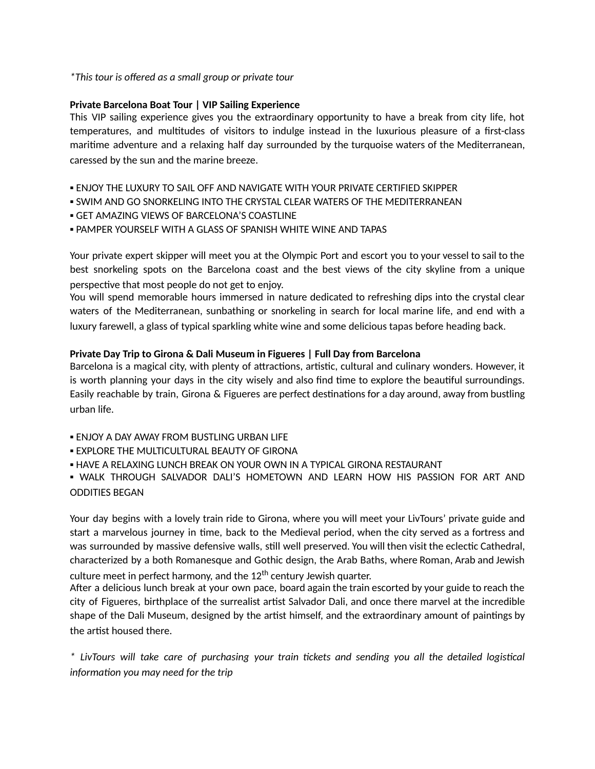*\*This tour is offered as a small group or private tour*

# **Private Barcelona Boat Tour | VIP Sailing Experience**

This VIP sailing experience gives you the extraordinary opportunity to have a break from city life, hot temperatures, and multitudes of visitors to indulge instead in the luxurious pleasure of a first-class maritime adventure and a relaxing half day surrounded by the turquoise waters of the Mediterranean, caressed by the sun and the marine breeze.

- ENJOY THE LUXURY TO SAIL OFF AND NAVIGATE WITH YOUR PRIVATE CERTIFIED SKIPPER
- **. SWIM AND GO SNORKELING INTO THE CRYSTAL CLEAR WATERS OF THE MEDITERRANEAN**
- **GET AMAZING VIEWS OF BARCELONA'S COASTLINE**
- **. PAMPER YOURSELF WITH A GLASS OF SPANISH WHITE WINE AND TAPAS**

Your private expert skipper will meet you at the Olympic Port and escort you to your vessel to sail to the best snorkeling spots on the Barcelona coast and the best views of the city skyline from a unique perspective that most people do not get to enjoy.

You will spend memorable hours immersed in nature dedicated to refreshing dips into the crystal clear waters of the Mediterranean, sunbathing or snorkeling in search for local marine life, and end with a luxury farewell, a glass of typical sparkling white wine and some delicious tapas before heading back.

# **Private Day Trip to Girona & Dali Museum in Figueres | Full Day from Barcelona**

Barcelona is a magical city, with plenty of attractions, artistic, cultural and culinary wonders. However, it is worth planning your days in the city wisely and also find time to explore the beautiful surroundings. Easily reachable by train, Girona & Figueres are perfect destinations for a day around, away from bustling urban life.

- **. ENJOY A DAY AWAY FROM BUSTLING URBAN LIFE**
- **. EXPLORE THE MULTICULTURAL BEAUTY OF GIRONA**
- **. HAVE A RELAXING LUNCH BREAK ON YOUR OWN IN A TYPICAL GIRONA RESTAURANT**

. WALK THROUGH SALVADOR DALI'S HOMETOWN AND LEARN HOW HIS PASSION FOR ART AND ODDITIES BEGAN

Your day begins with a lovely train ride to Girona, where you will meet your LivTours' private guide and start a marvelous journey in time, back to the Medieval period, when the city served as a fortress and was surrounded by massive defensive walls, still well preserved. You will then visit the eclectic Cathedral, characterized by a both Romanesque and Gothic design, the Arab Baths, where Roman, Arab and Jewish culture meet in perfect harmony, and the 12<sup>th</sup> century Jewish quarter.

After a delicious lunch break at your own pace, board again the train escorted by your guide to reach the city of Figueres, birthplace of the surrealist artist Salvador Dali, and once there marvel at the incredible shape of the Dali Museum, designed by the artist himself, and the extraordinary amount of paintings by the artist housed there.

*\* LivTours will take care of purchasing your train ckets and sending you all the detailed logiscal information* you may need for the trip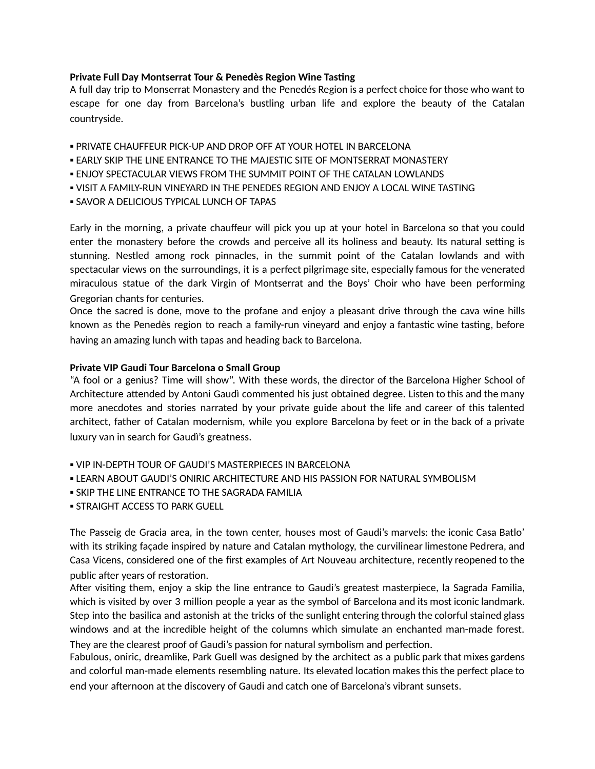### **Private Full Day Montserrat Tour & Penedès Region Wine Tasting**

A full day trip to Monserrat Monastery and the Penedés Region is a perfect choice for those who want to escape for one day from Barcelona's bustling urban life and explore the beauty of the Catalan countryside.

- **. PRIVATE CHAUFFFUR PICK-UP AND DROP OFF AT YOUR HOTEL IN BARCELONA**
- **. EARLY SKIP THE LINE ENTRANCE TO THE MAJESTIC SITE OF MONTSERRAT MONASTERY**
- **.** ENJOY SPECTACULAR VIEWS FROM THE SUMMIT POINT OF THE CATALAN LOWLANDS
- VISIT A FAMILY-RUN VINEYARD IN THE PENEDES REGION AND ENJOY A LOCAL WINE TASTING
- **. SAVOR A DELICIOUS TYPICAL LUNCH OF TAPAS**

Early in the morning, a private chauffeur will pick you up at your hotel in Barcelona so that you could enter the monastery before the crowds and perceive all its holiness and beauty. Its natural setting is stunning. Nestled among rock pinnacles, in the summit point of the Catalan lowlands and with spectacular views on the surroundings, it is a perfect pilgrimage site, especially famous for the venerated miraculous statue of the dark Virgin of Montserrat and the Boys' Choir who have been performing Gregorian chants for centuries.

Once the sacred is done, move to the profane and enjoy a pleasant drive through the cava wine hills known as the Penedès region to reach a family-run vineyard and enjoy a fantastic wine tasting, before having an amazing lunch with tapas and heading back to Barcelona.

#### **Private VIP Gaudi Tour Barcelona o Small Group**

"A fool or a genius? Time will show". With these words, the director of the Barcelona Higher School of Architecture attended by Antoni Gaudì commented his just obtained degree. Listen to this and the many more anecdotes and stories narrated by your private guide about the life and career of this talented architect, father of Catalan modernism, while you explore Barcelona by feet or in the back of a private luxury van in search for Gaudì's greatness.

- **.** VIP IN-DEPTH TOUR OF GAUDI'S MASTERPIECES IN BARCELONA
- **. LEARN ABOUT GAUDI'S ONIRIC ARCHITECTURE AND HIS PASSION FOR NATURAL SYMBOLISM**
- **. SKIP THE LINE ENTRANCE TO THE SAGRADA FAMILIA**
- **. STRAIGHT ACCESS TO PARK GUELL**

The Passeig de Gracia area, in the town center, houses most of Gaudi's marvels: the iconic Casa Batlo' with its striking façade inspired by nature and Catalan mythology, the curvilinear limestone Pedrera, and Casa Vicens, considered one of the first examples of Art Nouveau architecture, recently reopened to the public after years of restoration.

After visiting them, enjoy a skip the line entrance to Gaudi's greatest masterpiece, la Sagrada Familia, which is visited by over 3 million people a year as the symbol of Barcelona and its most iconic landmark. Step into the basilica and astonish at the tricks of the sunlight entering through the colorful stained glass windows and at the incredible height of the columns which simulate an enchanted man-made forest. They are the clearest proof of Gaudi's passion for natural symbolism and perfection.

Fabulous, oniric, dreamlike, Park Guell was designed by the architect as a public park that mixes gardens and colorful man-made elements resembling nature. Its elevated location makes this the perfect place to end your afternoon at the discovery of Gaudi and catch one of Barcelona's vibrant sunsets.